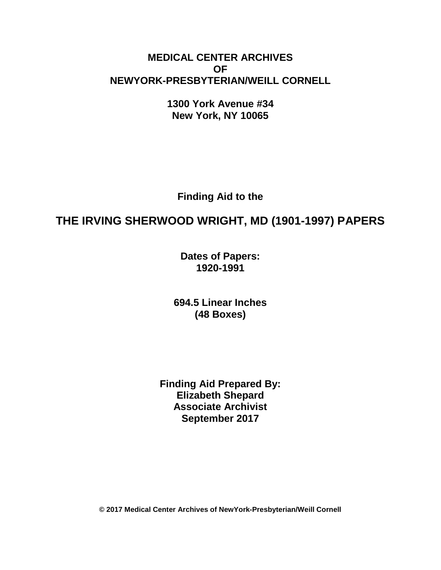# **MEDICAL CENTER ARCHIVES OF NEWYORK-PRESBYTERIAN/WEILL CORNELL**

**1300 York Avenue #34 New York, NY 10065**

**Finding Aid to the**

# **THE IRVING SHERWOOD WRIGHT, MD (1901-1997) PAPERS**

**Dates of Papers: 1920-1991**

**694.5 Linear Inches (48 Boxes)**

**Finding Aid Prepared By: Elizabeth Shepard Associate Archivist September 2017**

**© 2017 Medical Center Archives of NewYork-Presbyterian/Weill Cornell**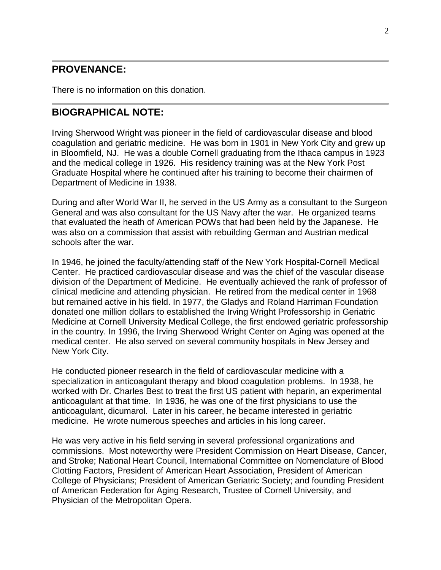# **PROVENANCE:**

There is no information on this donation.

# **BIOGRAPHICAL NOTE:**

Irving Sherwood Wright was pioneer in the field of cardiovascular disease and blood coagulation and geriatric medicine. He was born in 1901 in New York City and grew up in Bloomfield, NJ. He was a double Cornell graduating from the Ithaca campus in 1923 and the medical college in 1926. His residency training was at the New York Post Graduate Hospital where he continued after his training to become their chairmen of Department of Medicine in 1938.

During and after World War II, he served in the US Army as a consultant to the Surgeon General and was also consultant for the US Navy after the war. He organized teams that evaluated the heath of American POWs that had been held by the Japanese. He was also on a commission that assist with rebuilding German and Austrian medical schools after the war.

In 1946, he joined the faculty/attending staff of the New York Hospital-Cornell Medical Center. He practiced cardiovascular disease and was the chief of the vascular disease division of the Department of Medicine. He eventually achieved the rank of professor of clinical medicine and attending physician. He retired from the medical center in 1968 but remained active in his field. In 1977, the Gladys and Roland Harriman Foundation donated one million dollars to established the Irving Wright Professorship in Geriatric Medicine at Cornell University Medical College, the first endowed geriatric professorship in the country. In 1996, the Irving Sherwood Wright Center on Aging was opened at the medical center. He also served on several community hospitals in New Jersey and New York City.

He conducted pioneer research in the field of cardiovascular medicine with a specialization in anticoagulant therapy and blood coagulation problems. In 1938, he worked with Dr. Charles Best to treat the first US patient with heparin, an experimental anticoagulant at that time. In 1936, he was one of the first physicians to use the anticoagulant, dicumarol. Later in his career, he became interested in geriatric medicine. He wrote numerous speeches and articles in his long career.

He was very active in his field serving in several professional organizations and commissions. Most noteworthy were President Commission on Heart Disease, Cancer, and Stroke; National Heart Council, International Committee on Nomenclature of Blood Clotting Factors, President of American Heart Association, President of American College of Physicians; President of American Geriatric Society; and founding President of American Federation for Aging Research, Trustee of Cornell University, and Physician of the Metropolitan Opera.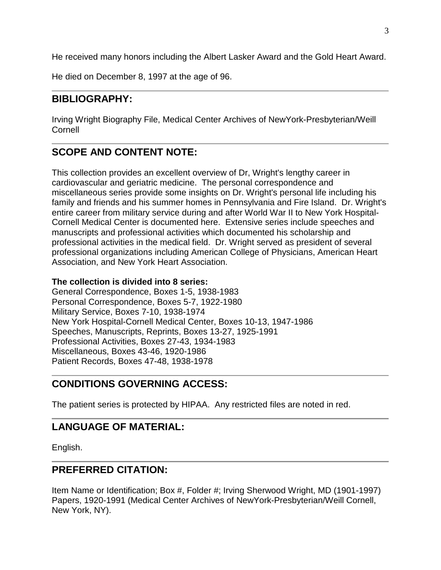He received many honors including the Albert Lasker Award and the Gold Heart Award.

He died on December 8, 1997 at the age of 96.

# **BIBLIOGRAPHY:**

Irving Wright Biography File, Medical Center Archives of NewYork-Presbyterian/Weill Cornell

# **SCOPE AND CONTENT NOTE:**

This collection provides an excellent overview of Dr, Wright's lengthy career in cardiovascular and geriatric medicine. The personal correspondence and miscellaneous series provide some insights on Dr. Wright's personal life including his family and friends and his summer homes in Pennsylvania and Fire Island. Dr. Wright's entire career from military service during and after World War II to New York Hospital-Cornell Medical Center is documented here. Extensive series include speeches and manuscripts and professional activities which documented his scholarship and professional activities in the medical field. Dr. Wright served as president of several professional organizations including American College of Physicians, American Heart Association, and New York Heart Association.

#### **The collection is divided into 8 series:**

General Correspondence, Boxes 1-5, 1938-1983 Personal Correspondence, Boxes 5-7, 1922-1980 Military Service, Boxes 7-10, 1938-1974 New York Hospital-Cornell Medical Center, Boxes 10-13, 1947-1986 Speeches, Manuscripts, Reprints, Boxes 13-27, 1925-1991 Professional Activities, Boxes 27-43, 1934-1983 Miscellaneous, Boxes 43-46, 1920-1986 Patient Records, Boxes 47-48, 1938-1978

# **CONDITIONS GOVERNING ACCESS:**

The patient series is protected by HIPAA. Any restricted files are noted in red.

# **LANGUAGE OF MATERIAL:**

English.

# **PREFERRED CITATION:**

Item Name or Identification; Box #, Folder #; Irving Sherwood Wright, MD (1901-1997) Papers, 1920-1991 (Medical Center Archives of NewYork-Presbyterian/Weill Cornell, New York, NY).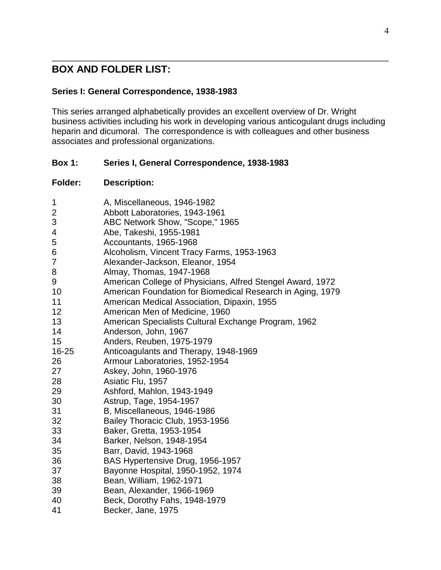# **BOX AND FOLDER LIST:**

#### **Series I: General Correspondence, 1938-1983**

This series arranged alphabetically provides an excellent overview of Dr. Wright business activities including his work in developing various anticogulant drugs including heparin and dicumoral. The correspondence is with colleagues and other business associates and professional organizations.

#### **Box 1: Series I, General Correspondence, 1938-1983**

| 1                       | A, Miscellaneous, 1946-1982                                |
|-------------------------|------------------------------------------------------------|
| $\overline{c}$          | Abbott Laboratories, 1943-1961                             |
| $\mathfrak{S}$          | ABC Network Show, "Scope," 1965                            |
| $\overline{\mathbf{4}}$ | Abe, Takeshi, 1955-1981                                    |
| 5                       | Accountants, 1965-1968                                     |
| 6                       | Alcoholism, Vincent Tracy Farms, 1953-1963                 |
| $\overline{7}$          | Alexander-Jackson, Eleanor, 1954                           |
| 8                       | Almay, Thomas, 1947-1968                                   |
| 9                       | American College of Physicians, Alfred Stengel Award, 1972 |
| 10                      | American Foundation for Biomedical Research in Aging, 1979 |
| 11                      | American Medical Association, Dipaxin, 1955                |
| 12 <sub>2</sub>         | American Men of Medicine, 1960                             |
| 13                      | American Specialists Cultural Exchange Program, 1962       |
| 14                      | Anderson, John, 1967                                       |
| 15                      | Anders, Reuben, 1975-1979                                  |
| 16-25                   | Anticoagulants and Therapy, 1948-1969                      |
| 26                      | Armour Laboratories, 1952-1954                             |
| 27                      | Askey, John, 1960-1976                                     |
| 28                      | Asiatic Flu, 1957                                          |
| 29                      | Ashford, Mahlon, 1943-1949                                 |
| 30                      | Astrup, Tage, 1954-1957                                    |
| 31                      | B, Miscellaneous, 1946-1986                                |
| 32                      | Bailey Thoracic Club, 1953-1956                            |
| 33                      | Baker, Gretta, 1953-1954                                   |
| 34                      | Barker, Nelson, 1948-1954                                  |
| 35                      | Barr, David, 1943-1968                                     |
| 36                      | BAS Hypertensive Drug, 1956-1957                           |
| 37                      | Bayonne Hospital, 1950-1952, 1974                          |
| 38                      | Bean, William, 1962-1971                                   |
| 39                      | Bean, Alexander, 1966-1969                                 |
| 40                      | Beck, Dorothy Fahs, 1948-1979                              |
| 41                      | Becker, Jane, 1975                                         |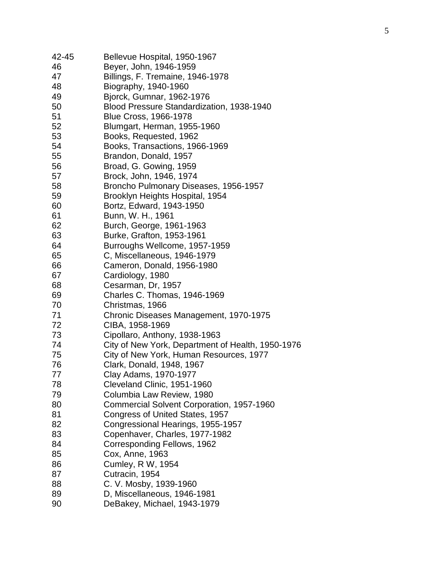| 42-45 | Bellevue Hospital, 1950-1967                      |
|-------|---------------------------------------------------|
| 46    | Beyer, John, 1946-1959                            |
| 47    | Billings, F. Tremaine, 1946-1978                  |
| 48    | Biography, 1940-1960                              |
| 49    | Bjorck, Gumnar, 1962-1976                         |
| 50    | Blood Pressure Standardization, 1938-1940         |
| 51    | <b>Blue Cross, 1966-1978</b>                      |
| 52    | Blumgart, Herman, 1955-1960                       |
| 53    | Books, Requested, 1962                            |
| 54    | Books, Transactions, 1966-1969                    |
| 55    | Brandon, Donald, 1957                             |
| 56    | Broad, G. Gowing, 1959                            |
| 57    | Brock, John, 1946, 1974                           |
| 58    | Broncho Pulmonary Diseases, 1956-1957             |
| 59    | Brooklyn Heights Hospital, 1954                   |
| 60    | Bortz, Edward, 1943-1950                          |
| 61    | Bunn, W. H., 1961                                 |
| 62    | Burch, George, 1961-1963                          |
| 63    | Burke, Grafton, 1953-1961                         |
| 64    | Burroughs Wellcome, 1957-1959                     |
| 65    | C, Miscellaneous, 1946-1979                       |
| 66    | Cameron, Donald, 1956-1980                        |
| 67    | Cardiology, 1980                                  |
| 68    | Cesarman, Dr, 1957                                |
| 69    | Charles C. Thomas, 1946-1969                      |
| 70    | Christmas, 1966                                   |
| 71    | Chronic Diseases Management, 1970-1975            |
| 72    | CIBA, 1958-1969                                   |
| 73    | Cipollaro, Anthony, 1938-1963                     |
| 74    | City of New York, Department of Health, 1950-1976 |
| 75    | City of New York, Human Resources, 1977           |
| 76    | Clark, Donald, 1948, 1967                         |
| 77    | Clay Adams, 1970-1977                             |
| 78    | Cleveland Clinic, 1951-1960                       |
| 79    | Columbia Law Review, 1980                         |
| 80    | Commercial Solvent Corporation, 1957-1960         |
| 81    | Congress of United States, 1957                   |
| 82    | Congressional Hearings, 1955-1957                 |
| 83    | Copenhaver, Charles, 1977-1982                    |
| 84    | Corresponding Fellows, 1962                       |
| 85    | Cox, Anne, 1963                                   |
| 86    |                                                   |
| 87    | Cumley, R W, 1954<br>Cutracin, 1954               |
| 88    | C. V. Mosby, 1939-1960                            |
| 89    | D, Miscellaneous, 1946-1981                       |
|       |                                                   |
| 90    | DeBakey, Michael, 1943-1979                       |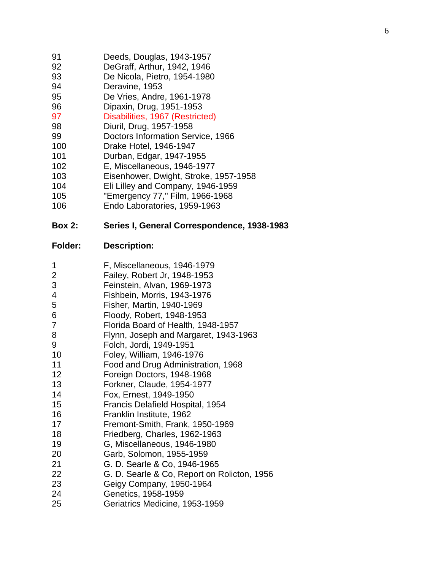| 91 |  |  | Deeds, Douglas, 1943-1957 |  |  |  |  |
|----|--|--|---------------------------|--|--|--|--|
|    |  |  |                           |  |  |  |  |

- DeGraff, Arthur, 1942, 1946
- De Nicola, Pietro, 1954 -1980
- Deravine, 1953
- De Vries, Andre, 1961 -1978
- Dipaxin, Drug, 19 5 1 -1953
- Disabilities, 1967 (Restricted)
- Diuril, Drug, 1957 -1958
- Doctors Information Service, 1966
- Drake Hotel, 1946 -1947
- Durban, Edgar, 1947 -195 5
- E, Miscellaneous, 1946 -1977
- Eisenhower, Dwight, Stroke, 1957 -1958
- Eli Lilley and Company, 1946 -1959
- "Emergency 77 ," Film, 1966 -1968
- Endo Laboratories, 1959 -1963

#### **Box 2: Series I, General Correspondence, 1938 -1983**

- F, Miscellaneous, 1946 -1979
- Failey, Robert Jr, 1948 -1953
- Feinstein, Alvan, 1969 -1973
- Fishbein, Morris, 19 4 3 -1976
- Fisher, Martin, 19 4 0 -1969
- Floody, Robert, 1948 -1953
- Florida Board of Health, 1948 -1957
- Flynn, Joseph and Margaret, 194 3 -1963
- Folch, Jordi, 1949 -1951
- Foley, William, 1946 -1976
- Food and Drug Administration, 1968
- Foreign Doctors, 1948 -1968
- Forkner, Claude, 195 4 -1977
- Fox, Ernest, 1949 -1950
- Francis Delafield Hospital, 1954
- Franklin Institute, 1962
- Fremont -Smith, Frank, 195 0 -1969
- Friedberg, Charles, 1962 -1963
- G, Miscellaneous, 1946 -1980
- Garb, Solomon, 1955 -1959
- G. D. Searle & Co, 1946 -1965
- G. D. Searle & Co, Report on Rolicton, 1956
- Geigy Company, 1950 -1964
- Genetics, 1958 -1959
- Geriatrics Medicine, 1953 -1959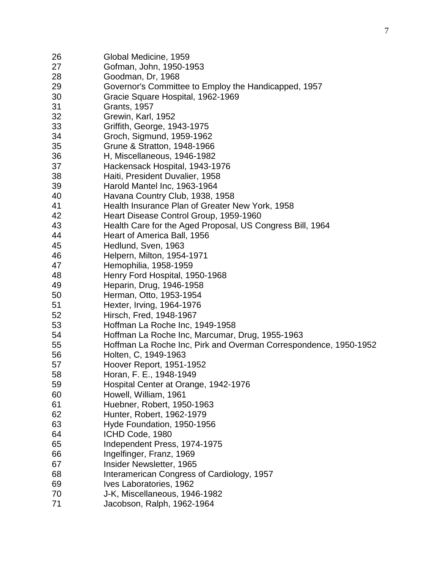| 26       | Global Medicine, 1959                                            |
|----------|------------------------------------------------------------------|
| 27       | Gofman, John, 1950-1953                                          |
| 28       | Goodman, Dr, 1968                                                |
| 29       | Governor's Committee to Employ the Handicapped, 1957             |
| 30       | Gracie Square Hospital, 1962-1969                                |
| 31       | <b>Grants, 1957</b>                                              |
| 32       | Grewin, Karl, 1952                                               |
| 33       | Griffith, George, 1943-1975                                      |
| 34       | Groch, Sigmund, 1959-1962                                        |
| 35       | Grune & Stratton, 1948-1966                                      |
| 36       | H, Miscellaneous, 1946-1982                                      |
| 37       | Hackensack Hospital, 1943-1976                                   |
| 38       | Haiti, President Duvalier, 1958                                  |
| 39       | Harold Mantel Inc, 1963-1964                                     |
| 40       | Havana Country Club, 1938, 1958                                  |
| 41       | Health Insurance Plan of Greater New York, 1958                  |
| 42       | Heart Disease Control Group, 1959-1960                           |
| 43       | Health Care for the Aged Proposal, US Congress Bill, 1964        |
| 44       | Heart of America Ball, 1956                                      |
| 45       | Hedlund, Sven, 1963                                              |
| 46       | Helpern, Milton, 1954-1971                                       |
| 47       | Hemophilia, 1958-1959                                            |
| 48       | Henry Ford Hospital, 1950-1968                                   |
| 49       |                                                                  |
|          | Heparin, Drug, 1946-1958                                         |
| 50<br>51 | Herman, Otto, 1953-1954<br>Hexter, Irving, 1964-1976             |
| 52       | Hirsch, Fred, 1948-1967                                          |
| 53       | Hoffman La Roche Inc, 1949-1958                                  |
| 54       | Hoffman La Roche Inc, Marcumar, Drug, 1955-1963                  |
| 55       | Hoffman La Roche Inc, Pirk and Overman Correspondence, 1950-1952 |
| 56       | Holten, C, 1949-1963                                             |
| 57       | Hoover Report, 1951-1952                                         |
| 58       | Horan, F. E., 1948-1949                                          |
| 59       | Hospital Center at Orange, 1942-1976                             |
| 60       | Howell, William, 1961                                            |
| 61       | Huebner, Robert, 1950-1963                                       |
| 62       | Hunter, Robert, 1962-1979                                        |
| 63       | Hyde Foundation, 1950-1956                                       |
| 64       | ICHD Code, 1980                                                  |
| 65       | Independent Press, 1974-1975                                     |
| 66       | Ingelfinger, Franz, 1969                                         |
| 67       | Insider Newsletter, 1965                                         |
| 68       | Interamerican Congress of Cardiology, 1957                       |
| 69       | Ives Laboratories, 1962                                          |
| 70       | J-K, Miscellaneous, 1946-1982                                    |
| 71       | Jacobson, Ralph, 1962-1964                                       |
|          |                                                                  |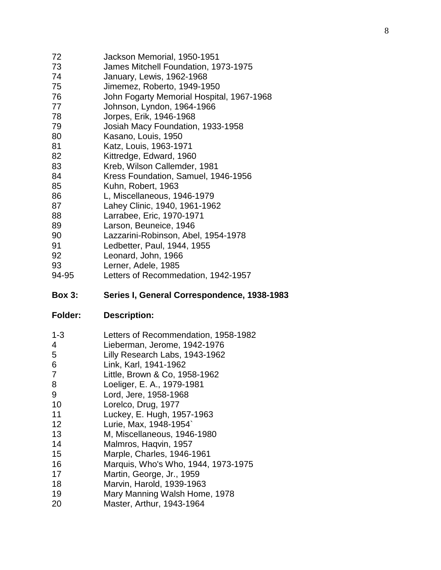| Jackson Memorial, 1950-1951               |
|-------------------------------------------|
| James Mitchell Foundation, 1973-1975      |
| January, Lewis, 1962-1968                 |
| Jimemez, Roberto, 1949-1950               |
| John Fogarty Memorial Hospital, 1967-1968 |
| Johnson, Lyndon, 1964-1966                |
| Jorpes, Erik, 1946-1968                   |
| Josiah Macy Foundation, 1933-1958         |
| Kasano, Louis, 1950                       |
| Katz, Louis, 1963-1971                    |
| Kittredge, Edward, 1960                   |
| Kreb, Wilson Callemder, 1981              |
| Kress Foundation, Samuel, 1946-1956       |
| Kuhn, Robert, 1963                        |
| L, Miscellaneous, 1946-1979               |
| Lahey Clinic, 1940, 1961-1962             |
| Larrabee, Eric, 1970-1971                 |
| Larson, Beuneice, 1946                    |
| Lazzarini-Robinson, Abel, 1954-1978       |
| Ledbetter, Paul, 1944, 1955               |
| Leonard, John, 1966                       |
| Lerner, Adele, 1985                       |
|                                           |

94-95 Letters of Recommedation, 1942 -1957

#### **Box 3: Series I, General Correspondence, 1938 -1983**

| $1 - 3$<br>4<br>5<br>6<br>7<br>8<br>9<br>10<br>11<br>12<br>13<br>14<br>15<br>16<br>17<br>18 | Letters of Recommendation, 1958-1982<br>Lieberman, Jerome, 1942-1976<br>Lilly Research Labs, 1943-1962<br>Link, Karl, 1941-1962<br>Little, Brown & Co, 1958-1962<br>Loeliger, E. A., 1979-1981<br>Lord, Jere, 1958-1968<br>Lorelco, Drug, 1977<br>Luckey, E. Hugh, 1957-1963<br>Lurie, Max, 1948-1954`<br>M, Miscellaneous, 1946-1980<br>Malmros, Hagvin, 1957<br>Marple, Charles, 1946-1961<br>Marquis, Who's Who, 1944, 1973-1975<br>Martin, George, Jr., 1959<br>Marvin, Harold, 1939-1963 |
|---------------------------------------------------------------------------------------------|-----------------------------------------------------------------------------------------------------------------------------------------------------------------------------------------------------------------------------------------------------------------------------------------------------------------------------------------------------------------------------------------------------------------------------------------------------------------------------------------------|
| 19                                                                                          | Mary Manning Walsh Home, 1978                                                                                                                                                                                                                                                                                                                                                                                                                                                                 |
| 20                                                                                          | Master, Arthur, 1943-1964                                                                                                                                                                                                                                                                                                                                                                                                                                                                     |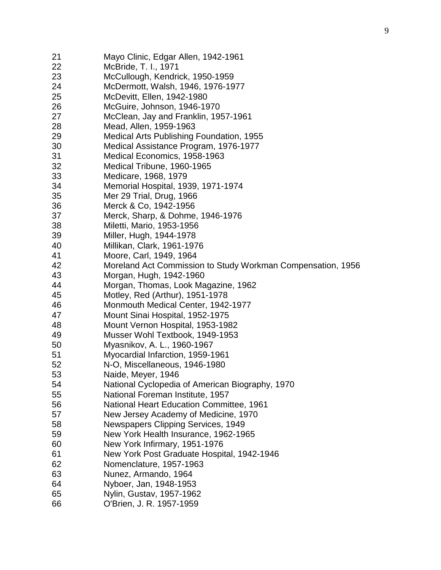| 21 | Mayo Clinic, Edgar Allen, 1942-1961                         |
|----|-------------------------------------------------------------|
| 22 | McBride, T. I., 1971                                        |
| 23 | McCullough, Kendrick, 1950-1959                             |
| 24 | McDermott, Walsh, 1946, 1976-1977                           |
| 25 | McDevitt, Ellen, 1942-1980                                  |
| 26 | McGuire, Johnson, 1946-1970                                 |
| 27 | McClean, Jay and Franklin, 1957-1961                        |
| 28 | Mead, Allen, 1959-1963                                      |
| 29 | Medical Arts Publishing Foundation, 1955                    |
| 30 | Medical Assistance Program, 1976-1977                       |
| 31 | Medical Economics, 1958-1963                                |
| 32 | Medical Tribune, 1960-1965                                  |
| 33 | Medicare, 1968, 1979                                        |
| 34 | Memorial Hospital, 1939, 1971-1974                          |
| 35 | Mer 29 Trial, Drug, 1966                                    |
| 36 | Merck & Co, 1942-1956                                       |
| 37 | Merck, Sharp, & Dohme, 1946-1976                            |
| 38 | Miletti, Mario, 1953-1956                                   |
| 39 | Miller, Hugh, 1944-1978                                     |
| 40 | Millikan, Clark, 1961-1976                                  |
| 41 | Moore, Carl, 1949, 1964                                     |
| 42 | Moreland Act Commission to Study Workman Compensation, 1956 |
| 43 | Morgan, Hugh, 1942-1960                                     |
| 44 | Morgan, Thomas, Look Magazine, 1962                         |
| 45 | Motley, Red (Arthur), 1951-1978                             |
| 46 | Monmouth Medical Center, 1942-1977                          |
| 47 | Mount Sinai Hospital, 1952-1975                             |
| 48 | Mount Vernon Hospital, 1953-1982                            |
| 49 | Musser Wohl Textbook, 1949-1953                             |
| 50 | Myasnikov, A. L., 1960-1967                                 |
| 51 | Myocardial Infarction, 1959-1961                            |
| 52 | N-O, Miscellaneous, 1946-1980                               |
| 53 | Naide, Meyer, 1946                                          |
| 54 | National Cyclopedia of American Biography, 1970             |
| 55 | National Foreman Institute, 1957                            |
| 56 | <b>National Heart Education Committee, 1961</b>             |
| 57 | New Jersey Academy of Medicine, 1970                        |
| 58 | Newspapers Clipping Services, 1949                          |
| 59 | New York Health Insurance, 1962-1965                        |
| 60 | New York Infirmary, 1951-1976                               |
| 61 | New York Post Graduate Hospital, 1942-1946                  |
| 62 | Nomenclature, 1957-1963                                     |
| 63 | Nunez, Armando, 1964                                        |
| 64 | Nyboer, Jan, 1948-1953                                      |
| 65 | Nylin, Gustav, 1957-1962                                    |
| 66 | O'Brien, J. R. 1957-1959                                    |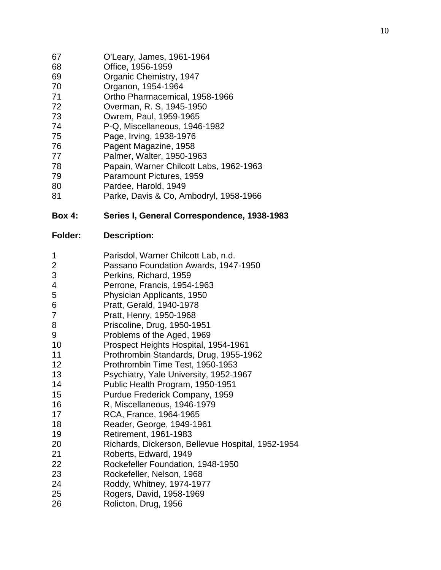| 67 | O'Leary, James, 1961-1964 |  |
|----|---------------------------|--|
|----|---------------------------|--|

- Office, 1956 -1959
- Organic Chemistry, 1947
- Organon, 1954-1964
- Ortho Pharmacemical, 1958 -1966
- Overman, R. S, 1945 -1950
- Owrem, Paul, 1959 -1965
- 4 P -Q, Miscellaneous, 1946 -1982
- Page, Irving, 193 8 -1976
- Pagent Magazine, 1958
- Palmer, Walter, 1950 -1963
- Papain, Warner Chilcott Labs, 1962 -1963
- Paramount Pictures, 1959
- Pardee, Harold, 1949
- Parke, Davis & Co, Ambodryl, 195 8 -1966

#### **Box 4: Series I, General Correspondence, 1938 -1983**

#### **Folder: Description:**

 Parisdol, Warner Chilcott Lab, n.d. Passano Foundation Awards, 1947 -1950 Perkins, Richard, 1959 Perrone, Francis, 1954 -1963 Physician Applicants, 1950 Pratt, Gerald, 1940-1978 Pratt, Henry, 1950-1968 Priscoline, Drug, 1950-1951 Problems of the Aged, 1969 Prospect Heights Hospital, 1954 -1961 Prothrombin Standards, Drug, 1955 -1962 Prothrombin Time Test, 1950 -1953 Psychiatry, Yale University, 1952 -1967 Public Health Program, 1950 -1951 Purdue Frederick Company, 1959 R, Miscellaneous, 1946 -1979 RCA, France, 1964 -1965 Reader, George, 1949 -1961 Retirement, 1961 -1983 Richards, Dickerson, Bellevue Hospital, 1952 -1954 Roberts, Edward, 1949 Rockefeller Foundation, 1948 -1950 Rockefeller, Nelson, 1968 Roddy, Whitney, 197 4 -1977 Rogers, David, 1958 -1969 Rolicton, Drug, 1956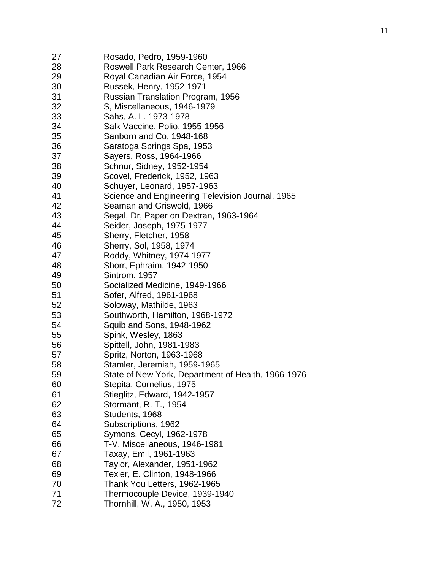| 27 | Rosado, Pedro, 1959-1960                           |
|----|----------------------------------------------------|
| 28 | Roswell Park Research Center, 1966                 |
| 29 | Royal Canadian Air Force, 1954                     |
| 30 | Russek, Henry, 1952-1971                           |
| 31 | Russian Translation Program, 1956                  |
| 32 | S, Miscellaneous, 1946-1979                        |
| 33 | Sahs, A. L. 1973-1978                              |
| 34 | Salk Vaccine, Polio, 1955-1956                     |
| 35 | Sanborn and Co, 1948-168                           |
| 36 | Saratoga Springs Spa, 1953                         |
| 37 | Sayers, Ross, 1964-1966                            |
| 38 | Schnur, Sidney, 1952-1954                          |
| 39 | Scovel, Frederick, 1952, 1963                      |
| 40 | Schuyer, Leonard, 1957-1963                        |
| 41 | Science and Engineering Television Journal, 1965   |
| 42 | Seaman and Griswold, 1966                          |
| 43 | Segal, Dr, Paper on Dextran, 1963-1964             |
| 44 | Seider, Joseph, 1975-1977                          |
| 45 | Sherry, Fletcher, 1958                             |
| 46 | Sherry, Sol, 1958, 1974                            |
| 47 | Roddy, Whitney, 1974-1977                          |
| 48 | Shorr, Ephraim, 1942-1950                          |
| 49 | Sintrom, 1957                                      |
| 50 | Socialized Medicine, 1949-1966                     |
| 51 | Sofer, Alfred, 1961-1968                           |
| 52 | Soloway, Mathilde, 1963                            |
| 53 | Southworth, Hamilton, 1968-1972                    |
| 54 | Squib and Sons, 1948-1962                          |
| 55 | Spink, Wesley, 1863                                |
| 56 | Spittell, John, 1981-1983                          |
| 57 | Spritz, Norton, 1963-1968                          |
| 58 | Stamler, Jeremiah, 1959-1965                       |
| 59 | State of New York, Department of Health, 1966-1976 |
| 60 | Stepita, Cornelius, 1975                           |
| 61 | Stieglitz, Edward, 1942-1957                       |
| 62 | Stormant, R. T., 1954                              |
| 63 | Students, 1968                                     |
| 64 | Subscriptions, 1962                                |
| 65 | Symons, Cecyl, 1962-1978                           |
| 66 | T-V, Miscellaneous, 1946-1981                      |
| 67 | Taxay, Emil, 1961-1963                             |
| 68 | Taylor, Alexander, 1951-1962                       |
| 69 | Texler, E. Clinton, 1948-1966                      |
| 70 | Thank You Letters, 1962-1965                       |
| 71 | Thermocouple Device, 1939-1940                     |
| 72 | Thornhill, W. A., 1950, 1953                       |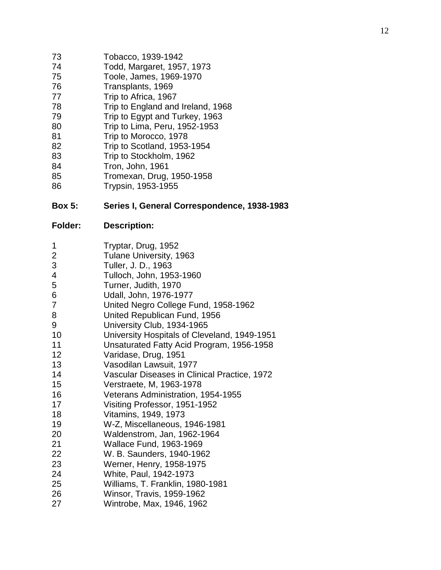- Tobacco, 1939 -1942
- Todd, Margaret, 1957, 1973
- Toole, James, 1969 -1970
- 76 Transplants, 1969<br>77 Trip to Africa, 1967
- 77 Trip to Africa, 1967<br>78 Trip to England and
- Trip to England and Ireland, 1968
- Trip to Egypt and Turkey, 1963
- Trip to Lima, Peru, 1952 -1953
- Trip to Morocco, 1978
- Trip to Scotland, 1953 -1954
- Trip to Stockholm, 1962
- Tron, J ohn, 1961
- Tromexan, Drug, 1950 -195 8
- Trypsin, 1953 -1955

#### **Box 5: Series I, General Correspondence, 1938 -1983**

| 1              | Tryptar, Drug, 1952                          |
|----------------|----------------------------------------------|
| $\overline{2}$ | Tulane University, 1963                      |
| 3              | Tuller, J. D., 1963                          |
| 4              | Tulloch, John, 1953-1960                     |
| 5              | Turner, Judith, 1970                         |
| 6              | Udall, John, 1976-1977                       |
| $\overline{7}$ | United Negro College Fund, 1958-1962         |
| 8              | United Republican Fund, 1956                 |
| 9              | University Club, 1934-1965                   |
| 10             | University Hospitals of Cleveland, 1949-1951 |
| 11             | Unsaturated Fatty Acid Program, 1956-1958    |
| 12             | Varidase, Drug, 1951                         |
| 13             | Vasodilan Lawsuit, 1977                      |
| 14             | Vascular Diseases in Clinical Practice, 1972 |
| 15             | Verstraete, M, 1963-1978                     |
| 16             | Veterans Administration, 1954-1955           |
| 17             | Visiting Professor, 1951-1952                |
| 18             | Vitamins, 1949, 1973                         |
| 19             | W-Z, Miscellaneous, 1946-1981                |
| 20             | Waldenstrom, Jan, 1962-1964                  |
| 21             | <b>Wallace Fund, 1963-1969</b>               |
| 22             | W. B. Saunders, 1940-1962                    |
| 23             | Werner, Henry, 1958-1975                     |
| 24             | White, Paul, 1942-1973                       |
| 25             | Williams, T. Franklin, 1980-1981             |
| 26             | Winsor, Travis, 1959-1962                    |
| 27             | Wintrobe, Max, 1946, 1962                    |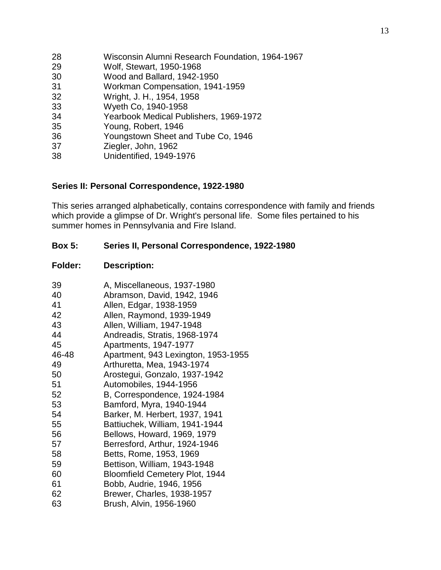| 28 | Wisconsin Alumni Research Foundation, 1964-1967 |
|----|-------------------------------------------------|
| 29 | Wolf, Stewart, 1950-1968                        |
| 30 | Wood and Ballard, 1942-1950                     |
| 31 | Workman Compensation, 1941-1959                 |
| 32 | Wright, J. H., 1954, 1958                       |
| 33 | Wyeth Co, 1940-1958                             |
| 34 | Yearbook Medical Publishers, 1969-1972          |
| 35 | Young, Robert, 1946                             |
| 36 | Youngstown Sheet and Tube Co, 1946              |
| 37 | Ziegler, John, 1962                             |
| 38 | Unidentified, 1949-1976                         |

#### **Series II: Personal Correspondence, 1922-1980**

This series arranged alphabetically, contains correspondence with family and friends which provide a glimpse of Dr. Wright's personal life. Some files pertained to his summer homes in Pennsylvania and Fire Island.

#### **Box 5: Series II, Personal Correspondence, 1922-1980**

| 39    | A, Miscellaneous, 1937-1980           |
|-------|---------------------------------------|
| 40    | Abramson, David, 1942, 1946           |
| 41    | Allen, Edgar, 1938-1959               |
| 42    | Allen, Raymond, 1939-1949             |
| 43    | Allen, William, 1947-1948             |
| 44    | Andreadis, Stratis, 1968-1974         |
| 45    | Apartments, 1947-1977                 |
| 46-48 | Apartment, 943 Lexington, 1953-1955   |
| 49    | Arthuretta, Mea, 1943-1974            |
| 50    | Arostegui, Gonzalo, 1937-1942         |
| 51    | Automobiles, 1944-1956                |
| 52    | B, Correspondence, 1924-1984          |
| 53    | Bamford, Myra, 1940-1944              |
| 54    | Barker, M. Herbert, 1937, 1941        |
| 55    | Battiuchek, William, 1941-1944        |
| 56    | Bellows, Howard, 1969, 1979           |
| 57    | Berresford, Arthur, 1924-1946         |
| 58    | Betts, Rome, 1953, 1969               |
| 59    | Bettison, William, 1943-1948          |
| 60    | <b>Bloomfield Cemetery Plot, 1944</b> |
| 61    | Bobb, Audrie, 1946, 1956              |
| 62    | Brewer, Charles, 1938-1957            |
| 63    | Brush, Alvin, 1956-1960               |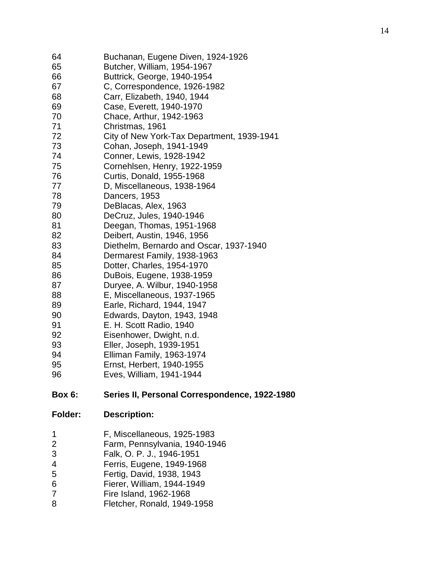| 64<br>65<br>66<br>67<br>68<br>69<br>70 | Buchanan, Eugene Diven, 1924-1926<br>Butcher, William, 1954-1967<br>Buttrick, George, 1940-1954<br>C, Correspondence, 1926-1982<br>Carr, Elizabeth, 1940, 1944<br>Case, Everett, 1940-1970<br>Chace, Arthur, 1942-1963 |
|----------------------------------------|------------------------------------------------------------------------------------------------------------------------------------------------------------------------------------------------------------------------|
| 71                                     | Christmas, 1961                                                                                                                                                                                                        |
| 72                                     | City of New York-Tax Department, 1939-1941                                                                                                                                                                             |
| 73                                     | Cohan, Joseph, 1941-1949                                                                                                                                                                                               |
| 74                                     | Conner, Lewis, 1928-1942                                                                                                                                                                                               |
| 75                                     | Cornehlsen, Henry, 1922-1959                                                                                                                                                                                           |
| 76                                     | Curtis, Donald, 1955-1968                                                                                                                                                                                              |
| 77                                     | D, Miscellaneous, 1938-1964                                                                                                                                                                                            |
| 78                                     | Dancers, 1953                                                                                                                                                                                                          |
| 79                                     | DeBlacas, Alex, 1963                                                                                                                                                                                                   |
| 80                                     | DeCruz, Jules, 1940-1946                                                                                                                                                                                               |
| 81                                     | Deegan, Thomas, 1951-1968                                                                                                                                                                                              |
| 82                                     | Deibert, Austin, 1946, 1956                                                                                                                                                                                            |
| 83                                     | Diethelm, Bernardo and Oscar, 1937-1940                                                                                                                                                                                |
| 84                                     | Dermarest Family, 1938-1963                                                                                                                                                                                            |
| 85                                     | Dotter, Charles, 1954-1970                                                                                                                                                                                             |
| 86                                     | DuBois, Eugene, 1938-1959                                                                                                                                                                                              |
| 87                                     | Duryee, A. Wilbur, 1940-1958                                                                                                                                                                                           |
| 88                                     | E, Miscellaneous, 1937-1965                                                                                                                                                                                            |
| 89                                     | Earle, Richard, 1944, 1947                                                                                                                                                                                             |
| 90                                     | Edwards, Dayton, 1943, 1948                                                                                                                                                                                            |
| 91                                     | E. H. Scott Radio, 1940                                                                                                                                                                                                |
| 92                                     | Eisenhower, Dwight, n.d.                                                                                                                                                                                               |
| 93                                     | Eller, Joseph, 1939-1951                                                                                                                                                                                               |
| 94                                     | Elliman Family, 1963-1974                                                                                                                                                                                              |
| 95                                     | Ernst, Herbert, 1940-1955                                                                                                                                                                                              |
| 96                                     | Eves, William, 1941-1944                                                                                                                                                                                               |
| <b>Box 6:</b>                          | Series II, Personal Correspondence, 1922-1980                                                                                                                                                                          |
| <b>Folder:</b>                         | <b>Description:</b>                                                                                                                                                                                                    |
| 1                                      | F, Miscellaneous, 1925-1983                                                                                                                                                                                            |
| 2<br>3                                 | Farm, Pennsylvania, 1940-1946                                                                                                                                                                                          |
|                                        | Falk, O. P. J., 1946-1951                                                                                                                                                                                              |
| 4                                      | Ferris, Eugene, 1949-1968                                                                                                                                                                                              |
| 5<br>⌒                                 | Fertig, David, 1938, 1943                                                                                                                                                                                              |

- 6 Fierer, William, 1944-1949
- 7 Fire Island, 1962-1968
- 8 Fletcher, Ronald, 1949-1958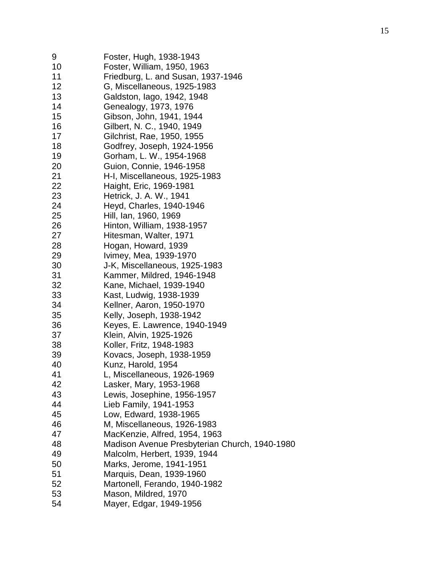| 9  | Foster, Hugh, 1938-1943                       |
|----|-----------------------------------------------|
| 10 | Foster, William, 1950, 1963                   |
| 11 | Friedburg, L. and Susan, 1937-1946            |
| 12 | G, Miscellaneous, 1925-1983                   |
| 13 | Galdston, lago, 1942, 1948                    |
| 14 | Genealogy, 1973, 1976                         |
| 15 | Gibson, John, 1941, 1944                      |
| 16 | Gilbert, N. C., 1940, 1949                    |
| 17 | Gilchrist, Rae, 1950, 1955                    |
| 18 | Godfrey, Joseph, 1924-1956                    |
| 19 | Gorham, L. W., 1954-1968                      |
| 20 | Guion, Connie, 1946-1958                      |
| 21 | H-I, Miscellaneous, 1925-1983                 |
| 22 | Haight, Eric, 1969-1981                       |
| 23 | Hetrick, J. A. W., 1941                       |
| 24 | Heyd, Charles, 1940-1946                      |
| 25 | Hill, Ian, 1960, 1969                         |
| 26 | Hinton, William, 1938-1957                    |
| 27 | Hitesman, Walter, 1971                        |
| 28 |                                               |
| 29 | Hogan, Howard, 1939                           |
|    | Ivimey, Mea, 1939-1970                        |
| 30 | J-K, Miscellaneous, 1925-1983                 |
| 31 | Kammer, Mildred, 1946-1948                    |
| 32 | Kane, Michael, 1939-1940                      |
| 33 | Kast, Ludwig, 1938-1939                       |
| 34 | Kellner, Aaron, 1950-1970                     |
| 35 | Kelly, Joseph, 1938-1942                      |
| 36 | Keyes, E. Lawrence, 1940-1949                 |
| 37 | Klein, Alvin, 1925-1926                       |
| 38 | Koller, Fritz, 1948-1983                      |
| 39 | Kovacs, Joseph, 1938-1959                     |
| 40 | Kunz, Harold, 1954                            |
| 41 | L, Miscellaneous, 1926-1969                   |
| 42 | Lasker, Mary, 1953-1968                       |
| 43 | Lewis, Josephine, 1956-1957                   |
| 44 | Lieb Family, 1941-1953                        |
| 45 | Low, Edward, 1938-1965                        |
| 46 | M, Miscellaneous, 1926-1983                   |
| 47 | MacKenzie, Alfred, 1954, 1963                 |
| 48 | Madison Avenue Presbyterian Church, 1940-1980 |
| 49 | Malcolm, Herbert, 1939, 1944                  |
| 50 | Marks, Jerome, 1941-1951                      |
| 51 | Marquis, Dean, 1939-1960                      |
| 52 | Martonell, Ferando, 1940-1982                 |
| 53 | Mason, Mildred, 1970                          |
| 54 | Mayer, Edgar, 1949-1956                       |
|    |                                               |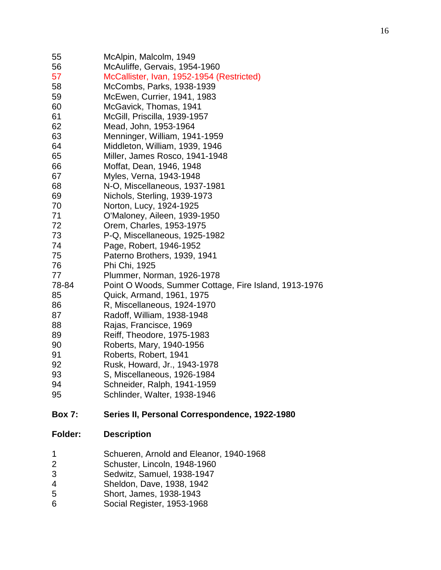| 55<br>56<br>57                     | McAlpin, Malcolm, 1949<br>McAuliffe, Gervais, 1954-1960<br>McCallister, Ivan, 1952-1954 (Restricted)                                                          |
|------------------------------------|---------------------------------------------------------------------------------------------------------------------------------------------------------------|
| 58                                 | McCombs, Parks, 1938-1939                                                                                                                                     |
| 59                                 | McEwen, Currier, 1941, 1983                                                                                                                                   |
| 60                                 | McGavick, Thomas, 1941                                                                                                                                        |
| 61                                 | McGill, Priscilla, 1939-1957                                                                                                                                  |
| 62                                 | Mead, John, 1953-1964                                                                                                                                         |
| 63                                 | Menninger, William, 1941-1959                                                                                                                                 |
| 64                                 | Middleton, William, 1939, 1946                                                                                                                                |
| 65                                 | Miller, James Rosco, 1941-1948                                                                                                                                |
| 66                                 | Moffat, Dean, 1946, 1948                                                                                                                                      |
| 67                                 | Myles, Verna, 1943-1948                                                                                                                                       |
| 68                                 | N-O, Miscellaneous, 1937-1981                                                                                                                                 |
| 69                                 | Nichols, Sterling, 1939-1973                                                                                                                                  |
| 70                                 | Norton, Lucy, 1924-1925                                                                                                                                       |
| 71                                 | O'Maloney, Aileen, 1939-1950                                                                                                                                  |
| 72                                 | Orem, Charles, 1953-1975                                                                                                                                      |
| 73                                 | P-Q, Miscellaneous, 1925-1982                                                                                                                                 |
| 74                                 | Page, Robert, 1946-1952                                                                                                                                       |
| 75                                 | Paterno Brothers, 1939, 1941                                                                                                                                  |
| 76                                 | Phi Chi, 1925                                                                                                                                                 |
| 77                                 | Plummer, Norman, 1926-1978                                                                                                                                    |
| 78-84                              | Point O Woods, Summer Cottage, Fire Island, 1913-1976                                                                                                         |
| 85                                 | Quick, Armand, 1961, 1975                                                                                                                                     |
| 86<br>87                           | R, Miscellaneous, 1924-1970<br>Radoff, William, 1938-1948                                                                                                     |
| 88                                 | Rajas, Francisce, 1969                                                                                                                                        |
| 89                                 | Reiff, Theodore, 1975-1983                                                                                                                                    |
| 90                                 | Roberts, Mary, 1940-1956                                                                                                                                      |
| 91                                 | Roberts, Robert, 1941                                                                                                                                         |
| 92                                 | Rusk, Howard, Jr., 1943-1978                                                                                                                                  |
| 93                                 | S, Miscellaneous, 1926-1984                                                                                                                                   |
| 94                                 | Schneider, Ralph, 1941-1959                                                                                                                                   |
| 95                                 | Schlinder, Walter, 1938-1946                                                                                                                                  |
| <b>Box 7:</b>                      | Series II, Personal Correspondence, 1922-1980                                                                                                                 |
| Folder:                            | <b>Description</b>                                                                                                                                            |
| 1<br>$\overline{c}$<br>3<br>4<br>5 | Schueren, Arnold and Eleanor, 1940-1968<br>Schuster, Lincoln, 1948-1960<br>Sedwitz, Samuel, 1938-1947<br>Sheldon, Dave, 1938, 1942<br>Short, James, 1938-1943 |
|                                    |                                                                                                                                                               |

Social Register, 1953-1968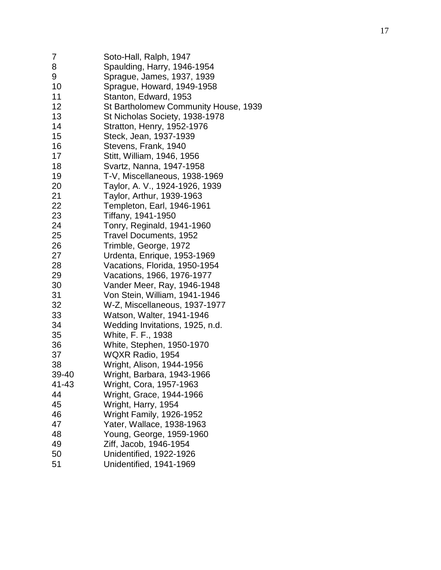| 7     | Soto-Hall, Ralph, 1947               |
|-------|--------------------------------------|
| 8     | Spaulding, Harry, 1946-1954          |
| 9     | Sprague, James, 1937, 1939           |
| 10    | Sprague, Howard, 1949-1958           |
| 11    | Stanton, Edward, 1953                |
| 12    | St Bartholomew Community House, 1939 |
| 13    | St Nicholas Society, 1938-1978       |
| 14    | Stratton, Henry, 1952-1976           |
| 15    | Steck, Jean, 1937-1939               |
| 16    | Stevens, Frank, 1940                 |
| 17    | Stitt, William, 1946, 1956           |
| 18    | Svartz, Nanna, 1947-1958             |
| 19    | T-V, Miscellaneous, 1938-1969        |
| 20    | Taylor, A. V., 1924-1926, 1939       |
| 21    | Taylor, Arthur, 1939-1963            |
| 22    | Templeton, Earl, 1946-1961           |
| 23    | Tiffany, 1941-1950                   |
| 24    | Tonry, Reginald, 1941-1960           |
| 25    | <b>Travel Documents, 1952</b>        |
| 26    | Trimble, George, 1972                |
| 27    | Urdenta, Enrique, 1953-1969          |
| 28    | Vacations, Florida, 1950-1954        |
| 29    | Vacations, 1966, 1976-1977           |
| 30    | Vander Meer, Ray, 1946-1948          |
| 31    | Von Stein, William, 1941-1946        |
| 32    | W-Z, Miscellaneous, 1937-1977        |
| 33    | Watson, Walter, 1941-1946            |
| 34    | Wedding Invitations, 1925, n.d.      |
| 35    | White, F. F., 1938                   |
| 36    | White, Stephen, 1950-1970            |
| 37    | WQXR Radio, 1954                     |
| 38    | Wright, Alison, 1944-1956            |
| 39-40 | Wright, Barbara, 1943-1966           |
| 41-43 | Wright, Cora, 1957-1963              |
| 44    | Wright, Grace, 1944-1966             |
| 45    | Wright, Harry, 1954                  |
| 46    | Wright Family, 1926-1952             |
| 47    | Yater, Wallace, 1938-1963            |
| 48    | Young, George, 1959-1960             |
| 49    | Ziff, Jacob, 1946-1954               |
| 50    | Unidentified, 1922-1926              |
| 51    | Unidentified, 1941-1969              |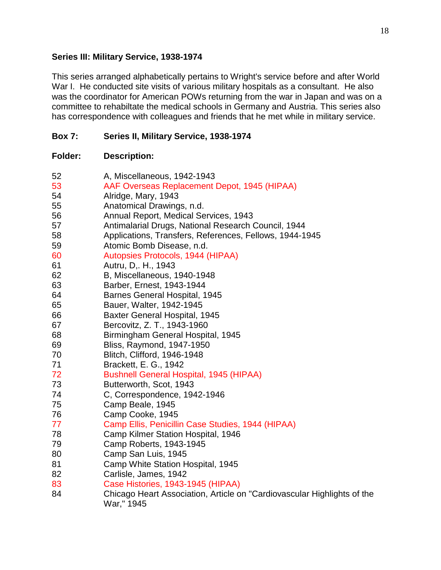#### **Series III: Military Service, 1938-1974**

This series arranged alphabetically pertains to Wright's service before and after World War I. He conducted site visits of various military hospitals as a consultant. He also was the coordinator for American POWs returning from the war in Japan and was on a committee to rehabiltate the medical schools in Germany and Austria. This series also has correspondence with colleagues and friends that he met while in military service.

## **Box 7: Series II, Military Service, 1938-1974**

| 52 | A, Miscellaneous, 1942-1943                                                           |
|----|---------------------------------------------------------------------------------------|
| 53 | AAF Overseas Replacement Depot, 1945 (HIPAA)                                          |
| 54 | Alridge, Mary, 1943                                                                   |
| 55 | Anatomical Drawings, n.d.                                                             |
| 56 | Annual Report, Medical Services, 1943                                                 |
| 57 | Antimalarial Drugs, National Research Council, 1944                                   |
| 58 | Applications, Transfers, References, Fellows, 1944-1945                               |
| 59 | Atomic Bomb Disease, n.d.                                                             |
| 60 | Autopsies Protocols, 1944 (HIPAA)                                                     |
| 61 | Autru, D., H., 1943                                                                   |
| 62 | B, Miscellaneous, 1940-1948                                                           |
| 63 | Barber, Ernest, 1943-1944                                                             |
| 64 | <b>Barnes General Hospital, 1945</b>                                                  |
| 65 | Bauer, Walter, 1942-1945                                                              |
| 66 | <b>Baxter General Hospital, 1945</b>                                                  |
| 67 | Bercovitz, Z. T., 1943-1960                                                           |
| 68 | Birmingham General Hospital, 1945                                                     |
| 69 | Bliss, Raymond, 1947-1950                                                             |
| 70 | Blitch, Clifford, 1946-1948                                                           |
| 71 | Brackett, E. G., 1942                                                                 |
| 72 | <b>Bushnell General Hospital, 1945 (HIPAA)</b>                                        |
| 73 | Butterworth, Scot, 1943                                                               |
| 74 | C, Correspondence, 1942-1946                                                          |
| 75 | Camp Beale, 1945                                                                      |
| 76 | Camp Cooke, 1945                                                                      |
| 77 | Camp Ellis, Penicillin Case Studies, 1944 (HIPAA)                                     |
| 78 | Camp Kilmer Station Hospital, 1946                                                    |
| 79 | Camp Roberts, 1943-1945                                                               |
| 80 | Camp San Luis, 1945                                                                   |
| 81 | Camp White Station Hospital, 1945                                                     |
| 82 | Carlisle, James, 1942                                                                 |
| 83 | Case Histories, 1943-1945 (HIPAA)                                                     |
| 84 | Chicago Heart Association, Article on "Cardiovascular Highlights of the<br>War," 1945 |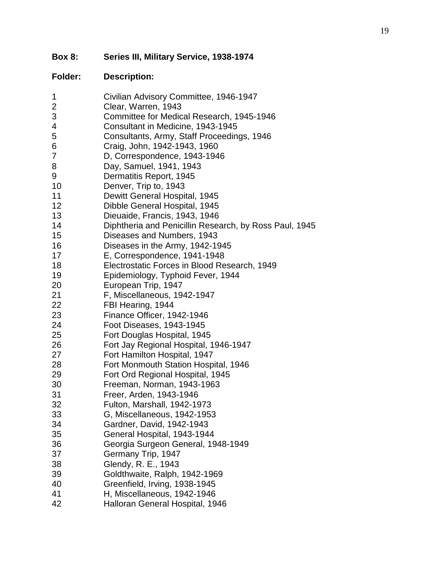**Box 8: Series III, Military Service, 1938 -1974**

| 1                         | Civilian Advisory Committee, 1946-1947                 |
|---------------------------|--------------------------------------------------------|
| $\overline{2}$            | Clear, Warren, 1943                                    |
| $\ensuremath{\mathsf{3}}$ | Committee for Medical Research, 1945-1946              |
| 4                         | Consultant in Medicine, 1943-1945                      |
| 5                         | Consultants, Army, Staff Proceedings, 1946             |
| 6                         | Craig, John, 1942-1943, 1960                           |
| 7                         | D, Correspondence, 1943-1946                           |
| 8                         | Day, Samuel, 1941, 1943                                |
| 9                         | Dermatitis Report, 1945                                |
| 10                        | Denver, Trip to, 1943                                  |
| 11                        | Dewitt General Hospital, 1945                          |
| 12                        | Dibble General Hospital, 1945                          |
| 13                        | Dieuaide, Francis, 1943, 1946                          |
| 14                        | Diphtheria and Penicillin Research, by Ross Paul, 1945 |
| 15 <sub>15</sub>          | Diseases and Numbers, 1943                             |
| 16                        | Diseases in the Army, 1942-1945                        |
| 17                        | E, Correspondence, 1941-1948                           |
| 18                        | Electrostatic Forces in Blood Research, 1949           |
| 19                        | Epidemiology, Typhoid Fever, 1944                      |
| 20                        | European Trip, 1947                                    |
| 21                        | F, Miscellaneous, 1942-1947                            |
| 22                        | FBI Hearing, 1944                                      |
| 23                        | Finance Officer, 1942-1946                             |
| 24                        | Foot Diseases, 1943-1945                               |
| 25                        | Fort Douglas Hospital, 1945                            |
| 26                        | Fort Jay Regional Hospital, 1946-1947                  |
| 27                        | Fort Hamilton Hospital, 1947                           |
| 28                        | Fort Monmouth Station Hospital, 1946                   |
| 29                        | Fort Ord Regional Hospital, 1945                       |
| 30                        | Freeman, Norman, 1943-1963                             |
| 31                        | Freer, Arden, 1943-1946                                |
| 32                        | Fulton, Marshall, 1942-1973                            |
| 33                        | G, Miscellaneous, 1942-1953                            |
| 34                        | Gardner, David, 1942-1943                              |
| 35                        | General Hospital, 1943-1944                            |
| 36                        | Georgia Surgeon General, 1948-1949                     |
| 37                        | Germany Trip, 1947                                     |
| 38                        | Glendy, R. E., 1943                                    |
| 39                        | Goldthwaite, Ralph, 1942-1969                          |
| 40                        | Greenfield, Irving, 1938-1945                          |
| 41                        | H, Miscellaneous, 1942-1946                            |
| 42                        | Halloran General Hospital, 1946                        |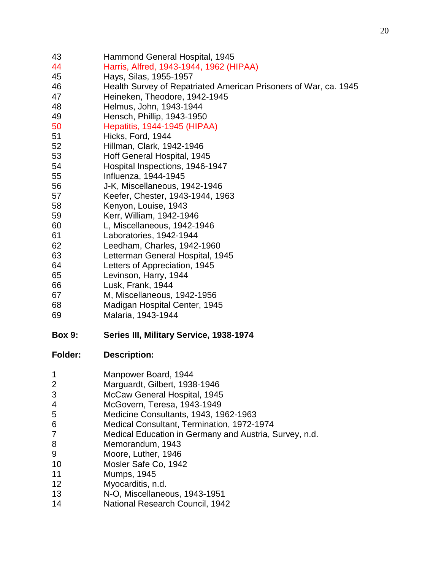| 45             | Hays, Silas, 1955-1957                                           |
|----------------|------------------------------------------------------------------|
| 46             | Health Survey of Repatriated American Prisoners of War, ca. 1945 |
| 47             | Heineken, Theodore, 1942-1945                                    |
| 48             | Helmus, John, 1943-1944                                          |
| 49             | Hensch, Phillip, 1943-1950                                       |
| 50             | Hepatitis, 1944-1945 (HIPAA)                                     |
| 51             | Hicks, Ford, 1944                                                |
| 52             | Hillman, Clark, 1942-1946                                        |
| 53             | Hoff General Hospital, 1945                                      |
| 54             | Hospital Inspections, 1946-1947                                  |
| 55             | Influenza, 1944-1945                                             |
| 56             | J-K, Miscellaneous, 1942-1946                                    |
| 57             | Keefer, Chester, 1943-1944, 1963                                 |
| 58             | Kenyon, Louise, 1943                                             |
| 59             | Kerr, William, 1942-1946                                         |
| 60             | L, Miscellaneous, 1942-1946                                      |
| 61             | Laboratories, 1942-1944                                          |
| 62             | Leedham, Charles, 1942-1960                                      |
| 63             | Letterman General Hospital, 1945                                 |
| 64             | Letters of Appreciation, 1945                                    |
| 65             | Levinson, Harry, 1944                                            |
| 66             | Lusk, Frank, 1944                                                |
| 67             | M, Miscellaneous, 1942-1956                                      |
| 68             | Madigan Hospital Center, 1945                                    |
| 69             | Malaria, 1943-1944                                               |
| <b>Box 9:</b>  | Series III, Military Service, 1938-1974                          |
| <b>Folder:</b> | <b>Description:</b>                                              |
| 1              | Manpower Board, 1944                                             |
| 2              | Marguardt, Gilbert, 1938-1946                                    |
| 3              | McCaw General Hospital, 1945                                     |
| 4              | McGovern, Teresa, 1943-1949                                      |
| 5              | Medicine Consultants, 1943, 1962-1963                            |
| 6              | Medical Consultant, Termination, 1972-1974                       |
| 7              | Medical Education in Germany and Austria, Survey, n.d.           |
| 8              | Memorandum, 1943                                                 |
| 9              | Moore, Luther, 1946                                              |
| 10             | Mosler Safe Co, 1942                                             |
| 11             | <b>Mumps, 1945</b>                                               |
| 12             | Myocarditis, n.d.                                                |
| 13             | N-O, Miscellaneous, 1943-1951                                    |
| 14             | National Research Council, 1942                                  |
|                |                                                                  |

Hammond General Hospital, 1945

Harris, Alfred, 1943-1944, 1962 (HIPAA)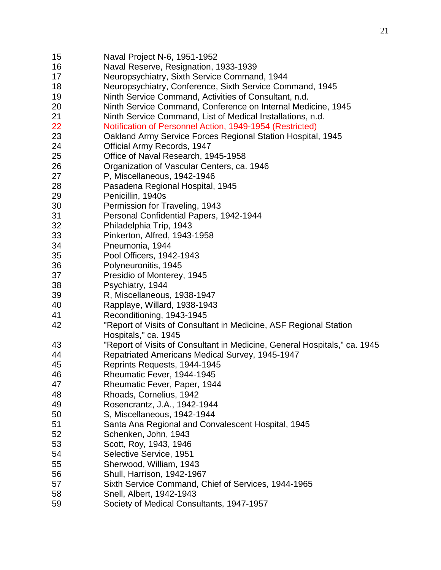- Naval Project N-6, 1951-1952
- Naval Reserve, Resignation, 1933-1939
- Neuropsychiatry, Sixth Service Command, 1944
- Neuropsychiatry, Conference, Sixth Service Command, 1945
- Ninth Service Command, Activities of Consultant, n.d.
- Ninth Service Command, Conference on Internal Medicine, 1945
- Ninth Service Command, List of Medical Installations, n.d.
- Notification of Personnel Action, 1949-1954 (Restricted)
- Oakland Army Service Forces Regional Station Hospital, 1945
- Official Army Records, 1947
- Office of Naval Research, 1945-1958
- Organization of Vascular Centers, ca. 1946
- P, Miscellaneous, 1942-1946
- Pasadena Regional Hospital, 1945
- Penicillin, 1940s
- Permission for Traveling, 1943
- Personal Confidential Papers, 1942-1944
- Philadelphia Trip, 1943
- Pinkerton, Alfred, 1943-1958
- Pneumonia, 1944
- Pool Officers, 1942-1943
- Polyneuronitis, 1945
- Presidio of Monterey, 1945
- Psychiatry, 1944
- R, Miscellaneous, 1938-1947
- Rapplaye, Willard, 1938-1943
- Reconditioning, 1943-1945
- "Report of Visits of Consultant in Medicine, ASF Regional Station
- Hospitals," ca. 1945
- "Report of Visits of Consultant in Medicine, General Hospitals," ca. 1945
- Repatriated Americans Medical Survey, 1945-1947
- Reprints Requests, 1944-1945
- Rheumatic Fever, 1944-1945
- Rheumatic Fever, Paper, 1944
- Rhoads, Cornelius, 1942
- Rosencrantz, J.A., 1942-1944
- S, Miscellaneous, 1942-1944
- Santa Ana Regional and Convalescent Hospital, 1945
- Schenken, John, 1943
- Scott, Roy, 1943, 1946
- Selective Service, 1951
- Sherwood, William, 1943
- Shull, Harrison, 1942-1967
- Sixth Service Command, Chief of Services, 1944-1965
- Snell, Albert, 1942-1943
- Society of Medical Consultants, 1947-1957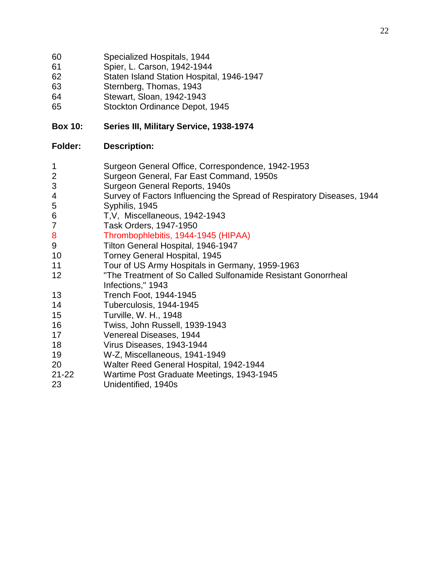- Specialized Hospitals, 1944
- Spier, L. Carson, 1942-1944
- Staten Island Station Hospital, 1946-1947
- Sternberg, Thomas, 1943
- Stewart, Sloan, 1942-1943
- Stockton Ordinance Depot, 1945

## **Box 10: Series III, Military Service, 1938-1974**

- Surgeon General Office, Correspondence, 1942-1953
- Surgeon General, Far East Command, 1950s
- Surgeon General Reports, 1940s
- Survey of Factors Influencing the Spread of Respiratory Diseases, 1944
- Syphilis, 1945
- T,V, Miscellaneous, 1942-1943
- Task Orders, 1947-1950
- Thrombophlebitis, 1944-1945 (HIPAA)
- Tilton General Hospital, 1946-1947
- Torney General Hospital, 1945
- Tour of US Army Hospitals in Germany, 1959-1963
- "The Treatment of So Called Sulfonamide Resistant Gonorrheal Infections," 1943
- Trench Foot, 1944-1945
- Tuberculosis, 1944-1945
- Turville, W. H., 1948
- Twiss, John Russell, 1939-1943
- Venereal Diseases, 1944
- Virus Diseases, 1943-1944
- W-Z, Miscellaneous, 1941-1949
- Walter Reed General Hospital, 1942-1944
- 21-22 Wartime Post Graduate Meetings, 1943-1945
- Unidentified, 1940s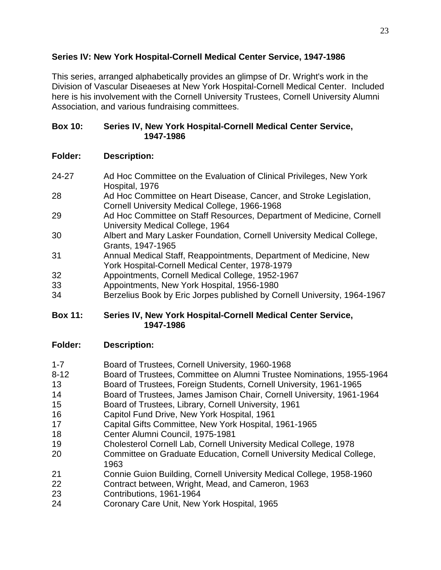## **Series IV: New York Hospital-Cornell Medical Center Service, 1947-1986**

This series, arranged alphabetically provides an glimpse of Dr. Wright's work in the Division of Vascular Diseaeses at New York Hospital-Cornell Medical Center. Included here is his involvement with the Cornell University Trustees, Cornell University Alumni Association, and various fundraising committees.

#### **Box 10: Series IV, New York Hospital-Cornell Medical Center Service, 1947-1986**

# **Folder: Description:**

- 24-27 Ad Hoc Committee on the Evaluation of Clinical Privileges, New York Hospital, 1976
- 28 Ad Hoc Committee on Heart Disease, Cancer, and Stroke Legislation, Cornell University Medical College, 1966-1968
- 29 Ad Hoc Committee on Staff Resources, Department of Medicine, Cornell University Medical College, 1964
- 30 Albert and Mary Lasker Foundation, Cornell University Medical College, Grants, 1947-1965
- 31 Annual Medical Staff, Reappointments, Department of Medicine, New York Hospital-Cornell Medical Center, 1978-1979
- 32 Appointments, Cornell Medical College, 1952-1967
- 33 Appointments, New York Hospital, 1956-1980
- 34 Berzelius Book by Eric Jorpes published by Cornell University, 1964-1967

## **Box 11: Series IV, New York Hospital-Cornell Medical Center Service, 1947-1986**

- 1-7 Board of Trustees, Cornell University, 1960-1968
- 8-12 Board of Trustees, Committee on Alumni Trustee Nominations, 1955-1964
- 13 Board of Trustees, Foreign Students, Cornell University, 1961-1965
- 14 Board of Trustees, James Jamison Chair, Cornell University, 1961-1964
- 15 Board of Trustees, Library, Cornell University, 1961
- 16 Capitol Fund Drive, New York Hospital, 1961
- 17 Capital Gifts Committee, New York Hospital, 1961-1965
- 18 Center Alumni Council, 1975-1981
- 19 Cholesterol Cornell Lab, Cornell University Medical College, 1978
- 20 Committee on Graduate Education, Cornell University Medical College, 1963
- 21 Connie Guion Building, Cornell University Medical College, 1958-1960
- 22 Contract between, Wright, Mead, and Cameron, 1963
- 23 Contributions, 1961-1964
- 24 Coronary Care Unit, New York Hospital, 1965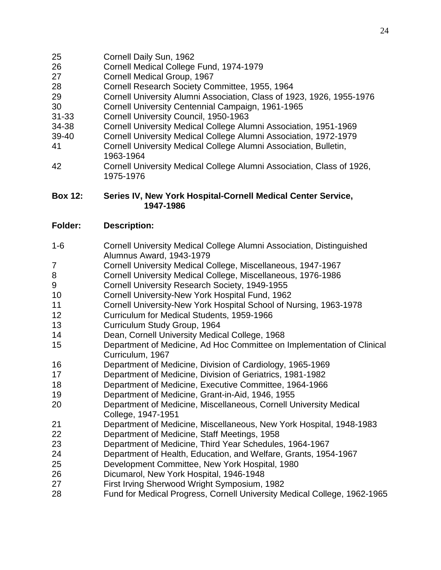- Cornell Daily Sun, 1962
- Cornell Medical College Fund, 1974-1979
- Cornell Medical Group, 1967
- Cornell Research Society Committee, 1955, 1964
- Cornell University Alumni Association, Class of 1923, 1926, 1955-1976
- Cornell University Centennial Campaign, 1961-1965
- 31-33 Cornell University Council, 1950-1963
- 34-38 Cornell University Medical College Alumni Association, 1951-1969
- 39-40 Cornell University Medical College Alumni Association, 1972-1979
- Cornell University Medical College Alumni Association, Bulletin, 1963-1964
- Cornell University Medical College Alumni Association, Class of 1926, 1975-1976

#### **Box 12: Series IV, New York Hospital-Cornell Medical Center Service, 1947-1986**

- 1-6 Cornell University Medical College Alumni Association, Distinguished Alumnus Award, 1943-1979
- Cornell University Medical College, Miscellaneous, 1947-1967
- Cornell University Medical College, Miscellaneous, 1976-1986
- Cornell University Research Society, 1949-1955
- Cornell University-New York Hospital Fund, 1962
- Cornell University-New York Hospital School of Nursing, 1963-1978
- Curriculum for Medical Students, 1959-1966
- Curriculum Study Group, 1964
- Dean, Cornell University Medical College, 1968
- Department of Medicine, Ad Hoc Committee on Implementation of Clinical Curriculum, 1967
- Department of Medicine, Division of Cardiology, 1965-1969
- Department of Medicine, Division of Geriatrics, 1981-1982
- Department of Medicine, Executive Committee, 1964-1966
- Department of Medicine, Grant-in-Aid, 1946, 1955
- Department of Medicine, Miscellaneous, Cornell University Medical College, 1947-1951
- Department of Medicine, Miscellaneous, New York Hospital, 1948-1983
- Department of Medicine, Staff Meetings, 1958
- Department of Medicine, Third Year Schedules, 1964-1967
- Department of Health, Education, and Welfare, Grants, 1954-1967
- Development Committee, New York Hospital, 1980
- Dicumarol, New York Hospital, 1946-1948
- First Irving Sherwood Wright Symposium, 1982
- Fund for Medical Progress, Cornell University Medical College, 1962-1965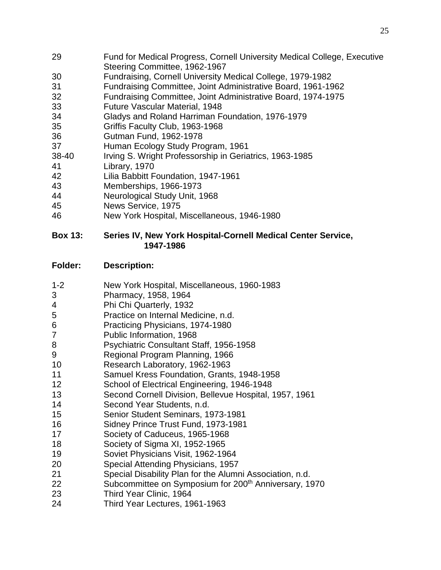- Fund for Medical Progress, Cornell University Medical College, Executive Steering Committee, 1962-1967
- Fundraising, Cornell University Medical College, 1979-1982
- Fundraising Committee, Joint Administrative Board, 1961-1962
- Fundraising Committee, Joint Administrative Board, 1974-1975
- Future Vascular Material, 1948
- Gladys and Roland Harriman Foundation, 1976-1979
- Griffis Faculty Club, 1963-1968
- Gutman Fund, 1962-1978
- Human Ecology Study Program, 1961
- 38-40 Irving S. Wright Professorship in Geriatrics, 1963-1985
- Library, 1970
- Lilia Babbitt Foundation, 1947-1961
- Memberships, 1966-1973
- Neurological Study Unit, 1968
- News Service, 1975
- New York Hospital, Miscellaneous, 1946-1980

#### **Box 13: Series IV, New York Hospital-Cornell Medical Center Service, 1947-1986**

- 1-2 New York Hospital, Miscellaneous, 1960-1983
- Pharmacy, 1958, 1964
- Phi Chi Quarterly, 1932
- Practice on Internal Medicine, n.d.
- Practicing Physicians, 1974-1980
- Public Information, 1968
- Psychiatric Consultant Staff, 1956-1958
- Regional Program Planning, 1966
- Research Laboratory, 1962-1963
- Samuel Kress Foundation, Grants, 1948-1958
- School of Electrical Engineering, 1946-1948
- Second Cornell Division, Bellevue Hospital, 1957, 1961
- Second Year Students, n.d.
- 
- 15 Senior Student Seminars, 1973-1981<br>16 Sidney Prince Trust Fund, 1973-1981 Sidney Prince Trust Fund, 1973-1981
- Society of Caduceus, 1965-1968
- Society of Sigma XI, 1952-1965
- Soviet Physicians Visit, 1962-1964
- Special Attending Physicians, 1957
- Special Disability Plan for the Alumni Association, n.d.
- 22 Subcommittee on Symposium for 200<sup>th</sup> Anniversary, 1970
- Third Year Clinic, 1964
- Third Year Lectures, 1961-1963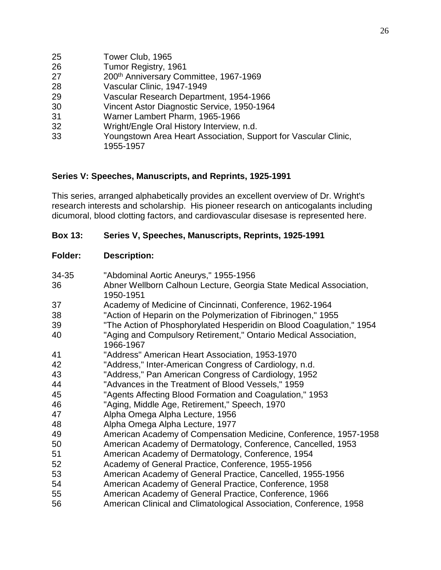| 25 | Tower Club, 1965                                                |
|----|-----------------------------------------------------------------|
| 26 | Tumor Registry, 1961                                            |
| 27 | 200th Anniversary Committee, 1967-1969                          |
| 28 | Vascular Clinic, 1947-1949                                      |
| 29 | Vascular Research Department, 1954-1966                         |
| 30 | Vincent Astor Diagnostic Service, 1950-1964                     |
| 31 | Warner Lambert Pharm, 1965-1966                                 |
| 32 | Wright/Engle Oral History Interview, n.d.                       |
| 33 | Youngstown Area Heart Association, Support for Vascular Clinic, |
|    | 1955-1957                                                       |
|    |                                                                 |

## **Series V: Speeches, Manuscripts, and Reprints, 1925-1991**

This series, arranged alphabetically provides an excellent overview of Dr. Wright's research interests and scholarship. His pioneer research on anticogalants including dicumoral, blood clotting factors, and cardiovascular disesase is represented here.

#### **Box 13: Series V, Speeches, Manuscripts, Reprints, 1925-1991**

| 34-35 | "Abdominal Aortic Aneurys," 1955-1956                                        |
|-------|------------------------------------------------------------------------------|
| 36    | Abner Wellborn Calhoun Lecture, Georgia State Medical Association,           |
|       | 1950-1951                                                                    |
| 37    | Academy of Medicine of Cincinnati, Conference, 1962-1964                     |
| 38    | "Action of Heparin on the Polymerization of Fibrinogen," 1955                |
| 39    | "The Action of Phosphorylated Hesperidin on Blood Coagulation," 1954         |
| 40    | "Aging and Compulsory Retirement," Ontario Medical Association,<br>1966-1967 |
| 41    | "Address" American Heart Association, 1953-1970                              |
| 42    | "Address," Inter-American Congress of Cardiology, n.d.                       |
| 43    | "Address," Pan American Congress of Cardiology, 1952                         |
| 44    | "Advances in the Treatment of Blood Vessels," 1959                           |
| 45    | "Agents Affecting Blood Formation and Coagulation," 1953                     |
| 46    | "Aging, Middle Age, Retirement," Speech, 1970                                |
| 47    | Alpha Omega Alpha Lecture, 1956                                              |
| 48    | Alpha Omega Alpha Lecture, 1977                                              |
| 49    | American Academy of Compensation Medicine, Conference, 1957-1958             |
| 50    | American Academy of Dermatology, Conference, Cancelled, 1953                 |
| 51    | American Academy of Dermatology, Conference, 1954                            |
| 52    | Academy of General Practice, Conference, 1955-1956                           |
| 53    | American Academy of General Practice, Cancelled, 1955-1956                   |
| 54    | American Academy of General Practice, Conference, 1958                       |
| 55    | American Academy of General Practice, Conference, 1966                       |
| 56    | American Clinical and Climatological Association, Conference, 1958           |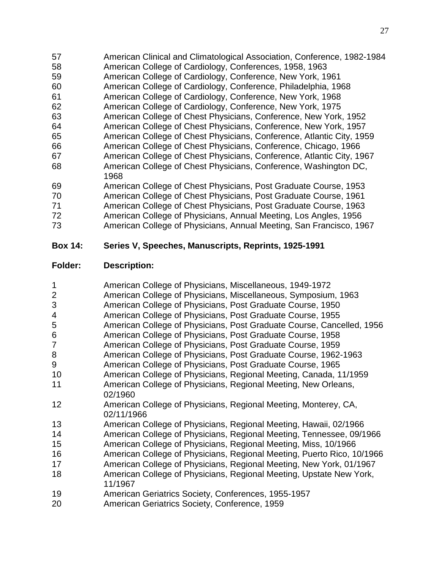- American Clinical and Climatological Association, Conference, 1982-1984
- American College of Cardiology, Conferences, 1958, 1963
- American College of Cardiology, Conference, New York, 1961
- American College of Cardiology, Conference, Philadelphia, 1968
- American College of Cardiology, Conference, New York, 1968
- American College of Cardiology, Conference, New York, 1975
- American College of Chest Physicians, Conference, New York, 1952
- American College of Chest Physicians, Conference, New York, 1957
- American College of Chest Physicians, Conference, Atlantic City, 1959
- American College of Chest Physicians, Conference, Chicago, 1966 American College of Chest Physicians, Conference, Atlantic City, 1967 American College of Chest Physicians, Conference, Washington DC,
- 
- American College of Chest Physicians, Post Graduate Course, 1953
- American College of Chest Physicians, Post Graduate Course, 1961
- American College of Chest Physicians, Post Graduate Course, 1963
- American College of Physicians, Annual Meeting, Los Angles, 1956
- American College of Physicians, Annual Meeting, San Francisco, 1967

# **Box 14: Series V, Speeches, Manuscripts, Reprints, 1925-1991**

# **Folder: Description:**

 American College of Physicians, Miscellaneous, 1949-1972 American College of Physicians, Miscellaneous, Symposium, 1963 American College of Physicians, Post Graduate Course, 1950 American College of Physicians, Post Graduate Course, 1955 American College of Physicians, Post Graduate Course, Cancelled, 1956 American College of Physicians, Post Graduate Course, 1958 American College of Physicians, Post Graduate Course, 1959 American College of Physicians, Post Graduate Course, 1962-1963 American College of Physicians, Post Graduate Course, 1965 American College of Physicians, Regional Meeting, Canada, 11/1959 American College of Physicians, Regional Meeting, New Orleans, 02/1960 American College of Physicians, Regional Meeting, Monterey, CA, 02/11/1966 American College of Physicians, Regional Meeting, Hawaii, 02/1966 American College of Physicians, Regional Meeting, Tennessee, 09/1966 American College of Physicians, Regional Meeting, Miss, 10/1966 American College of Physicians, Regional Meeting, Puerto Rico, 10/1966 American College of Physicians, Regional Meeting, New York, 01/1967 American College of Physicians, Regional Meeting, Upstate New York, 11/1967 American Geriatrics Society, Conferences, 1955-1957 American Geriatrics Society, Conference, 1959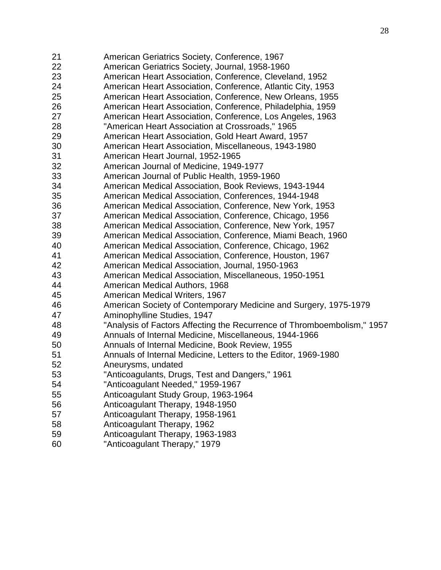- American Geriatrics Society, Conference, 1967 American Geriatrics Society, Journal, 1958-1960 American Heart Association, Conference, Cleveland, 1952 American Heart Association, Conference, Atlantic City, 1953 American Heart Association, Conference, New Orleans, 1955 American Heart Association, Conference, Philadelphia, 1959 American Heart Association, Conference, Los Angeles, 1963 "American Heart Association at Crossroads," 1965 American Heart Association, Gold Heart Award, 1957 American Heart Association, Miscellaneous, 1943-1980 American Heart Journal, 1952-1965 American Journal of Medicine, 1949-1977 American Journal of Public Health, 1959-1960 American Medical Association, Book Reviews, 1943-1944 American Medical Association, Conferences, 1944-1948 American Medical Association, Conference, New York, 1953 American Medical Association, Conference, Chicago, 1956 American Medical Association, Conference, New York, 1957 American Medical Association, Conference, Miami Beach, 1960 American Medical Association, Conference, Chicago, 1962 American Medical Association, Conference, Houston, 1967 American Medical Association, Journal, 1950-1963 American Medical Association, Miscellaneous, 1950-1951 American Medical Authors, 1968 American Medical Writers, 1967 American Society of Contemporary Medicine and Surgery, 1975-1979 Aminophylline Studies, 1947 "Analysis of Factors Affecting the Recurrence of Thromboembolism," 1957 Annuals of Internal Medicine, Miscellaneous, 1944-1966 Annuals of Internal Medicine, Book Review, 1955 Annuals of Internal Medicine, Letters to the Editor, 1969-1980 Aneurysms, undated "Anticoagulants, Drugs, Test and Dangers," 1961 "Anticoagulant Needed," 1959-1967 Anticoagulant Study Group, 1963-1964 Anticoagulant Therapy, 1948-1950 Anticoagulant Therapy, 1958-1961 Anticoagulant Therapy, 1962 Anticoagulant Therapy, 1963-1983
- "Anticoagulant Therapy," 1979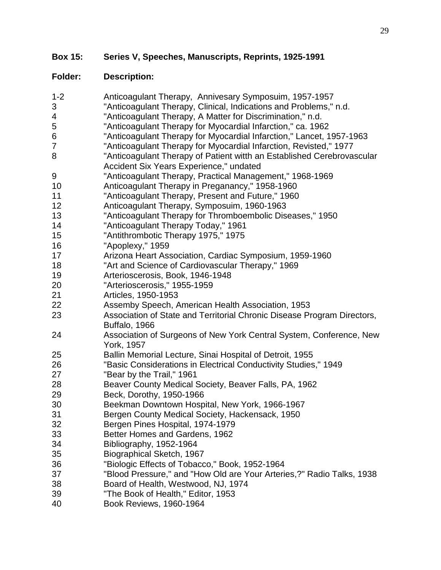| $1 - 2$        | Anticoagulant Therapy, Annivesary Symposuim, 1957-1957                  |
|----------------|-------------------------------------------------------------------------|
| $\mathfrak{S}$ | "Anticoagulant Therapy, Clinical, Indications and Problems," n.d.       |
| 4              | "Anticoagulant Therapy, A Matter for Discrimination," n.d.              |
| 5              | "Anticoagulant Therapy for Myocardial Infarction," ca. 1962             |
| 6              | "Anticoagulant Therapy for Myocardial Infarction," Lancet, 1957-1963    |
| 7              | "Anticoagulant Therapy for Myocardial Infarction, Revisted," 1977       |
| 8              | "Anticoagulant Therapy of Patient witth an Established Cerebrovascular  |
|                | Accident Six Years Experience," undated                                 |
| 9              | "Anticoagulant Therapy, Practical Management," 1968-1969                |
| 10             | Anticoagulant Therapy in Preganancy," 1958-1960                         |
| 11             | "Anticoagulant Therapy, Present and Future," 1960                       |
| 12             | Anticoagulant Therapy, Symposuim, 1960-1963                             |
| 13             | "Anticoagulant Therapy for Thromboembolic Diseases," 1950               |
| 14             | "Anticoagulant Therapy Today," 1961                                     |
| 15             | "Antithrombotic Therapy 1975," 1975                                     |
| 16             | "Apoplexy," 1959                                                        |
| 17             | Arizona Heart Association, Cardiac Symposium, 1959-1960                 |
| 18             | "Art and Science of Cardiovascular Therapy," 1969                       |
| 19             | Arterioscerosis, Book, 1946-1948                                        |
| 20             | "Arterioscerosis," 1955-1959                                            |
| 21             | Articles, 1950-1953                                                     |
| 22             | Assemby Speech, American Health Association, 1953                       |
| 23             | Association of State and Territorial Chronic Disease Program Directors, |
|                | Buffalo, 1966                                                           |
| 24             | Association of Surgeons of New York Central System, Conference, New     |
|                | York, 1957                                                              |
| 25             | Ballin Memorial Lecture, Sinai Hospital of Detroit, 1955                |
| 26             | "Basic Considerations in Electrical Conductivity Studies," 1949         |
| 27             | "Bear by the Trail," 1961                                               |
| 28             | Beaver County Medical Society, Beaver Falls, PA, 1962                   |
| 29             | Beck, Dorothy, 1950-1966                                                |
| 30             | Beekman Downtown Hospital, New York, 1966-1967                          |
| 31             | Bergen County Medical Society, Hackensack, 1950                         |
| 32             | Bergen Pines Hospital, 1974-1979                                        |
| 33             | Better Homes and Gardens, 1962                                          |
| 34             | Bibliography, 1952-1964                                                 |
| 35             | Biographical Sketch, 1967                                               |
| 36             | "Biologic Effects of Tobacco," Book, 1952-1964                          |
| 37             | "Blood Pressure," and "How Old are Your Arteries,?" Radio Talks, 1938   |
| 38             | Board of Health, Westwood, NJ, 1974                                     |
| 39             | "The Book of Health," Editor, 1953                                      |
| 40             | Book Reviews, 1960-1964                                                 |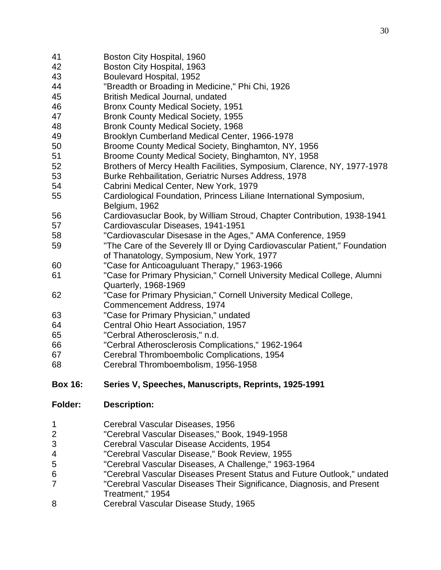- Boston City Hospital, 1960 Boston City Hospital, 1963 Boulevard Hospital, 1952 "Breadth or Broading in Medicine," Phi Chi, 1926 British Medical Journal, undated Bronx County Medical Society, 1951 Bronk County Medical Society, 1955 Bronk County Medical Society, 1968 Brooklyn Cumberland Medical Center, 1966-1978 Broome County Medical Society, Binghamton, NY, 1956 Broome County Medical Society, Binghamton, NY, 1958 Brothers of Mercy Health Facilities, Symposium, Clarence, NY, 1977-1978 Burke Rehbailitation, Geriatric Nurses Address, 1978 Cabrini Medical Center, New York, 1979 Cardiological Foundation, Princess Liliane International Symposium, Belgium, 1962 Cardiovasuclar Book, by William Stroud, Chapter Contribution, 1938-1941 Cardiovascular Diseases, 1941-1951 "Cardiovascular Disesase in the Ages," AMA Conference, 1959 "The Care of the Severely Ill or Dying Cardiovascular Patient," Foundation of Thanatology, Symposium, New York, 1977 "Case for Anticoaguluant Therapy," 1963-1966 "Case for Primary Physician," Cornell University Medical College, Alumni Quarterly, 1968-1969 "Case for Primary Physician," Cornell University Medical College, Commencement Address, 1974 "Case for Primary Physician," undated Central Ohio Heart Association, 1957 "Cerbral Atherosclerosis," n.d. "Cerbral Atherosclerosis Complications," 1962-1964 Cerebral Thromboembolic Complications, 1954 Cerebral Thromboembolism, 1956-1958 **Box 16: Series V, Speeches, Manuscripts, Reprints, 1925-1991**
- **Folder: Description:**
- Cerebral Vascular Diseases, 1956
- "Cerebral Vascular Diseases," Book, 1949-1958
- Cerebral Vascular Disease Accidents, 1954
- "Cerebral Vascular Disease," Book Review, 1955
- "Cerebral Vascular Diseases, A Challenge," 1963-1964
- "Cerebral Vascular Diseases Present Status and Future Outlook," undated
- "Cerebral Vascular Diseases Their Significance, Diagnosis, and Present Treatment," 1954
- Cerebral Vascular Disease Study, 1965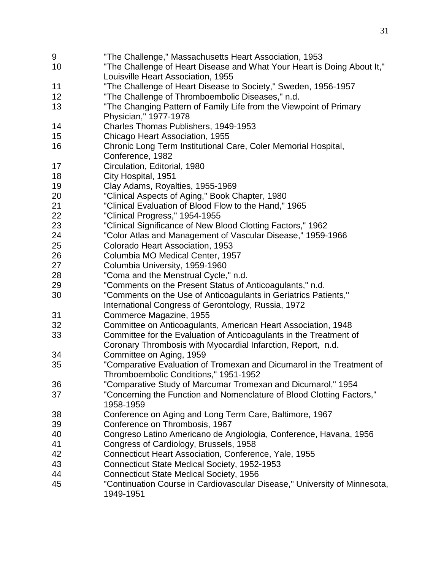- "The Challenge," Massachusetts Heart Association, 1953 "The Challenge of Heart Disease and What Your Heart is Doing About It," Louisville Heart Association, 1955 "The Challenge of Heart Disease to Society," Sweden, 1956-1957 "The Challenge of Thromboembolic Diseases," n.d. "The Changing Pattern of Family Life from the Viewpoint of Primary Physician," 1977-1978 Charles Thomas Publishers, 1949-1953 Chicago Heart Association, 1955 Chronic Long Term Institutional Care, Coler Memorial Hospital, Conference, 1982 Circulation, Editorial, 1980 City Hospital, 1951 Clay Adams, Royalties, 1955-1969 "Clinical Aspects of Aging," Book Chapter, 1980 "Clinical Evaluation of Blood Flow to the Hand," 1965 "Clinical Progress," 1954-1955 "Clinical Significance of New Blood Clotting Factors," 1962 "Color Atlas and Management of Vascular Disease," 1959-1966 Colorado Heart Association, 1953 Columbia MO Medical Center, 1957 Columbia University, 1959-1960 "Coma and the Menstrual Cycle," n.d. "Comments on the Present Status of Anticoagulants," n.d. "Comments on the Use of Anticoagulants in Geriatrics Patients," International Congress of Gerontology, Russia, 1972 Commerce Magazine, 1955 Committee on Anticoagulants, American Heart Association, 1948 Committee for the Evaluation of Anticoagulants in the Treatment of Coronary Thrombosis with Myocardial Infarction, Report, n.d. Committee on Aging, 1959 "Comparative Evaluation of Tromexan and Dicumarol in the Treatment of Thromboembolic Conditions," 1951-1952 "Comparative Study of Marcumar Tromexan and Dicumarol," 1954 "Concerning the Function and Nomenclature of Blood Clotting Factors," 1958-1959 Conference on Aging and Long Term Care, Baltimore, 1967 Conference on Thrombosis, 1967 Congreso Latino Americano de Angiologia, Conference, Havana, 1956 Congress of Cardiology, Brussels, 1958 Connecticut Heart Association, Conference, Yale, 1955 Connecticut State Medical Society, 1952-1953 Connecticut State Medical Society, 1956 "Continuation Course in Cardiovascular Disease," University of Minnesota,
	- 1949-1951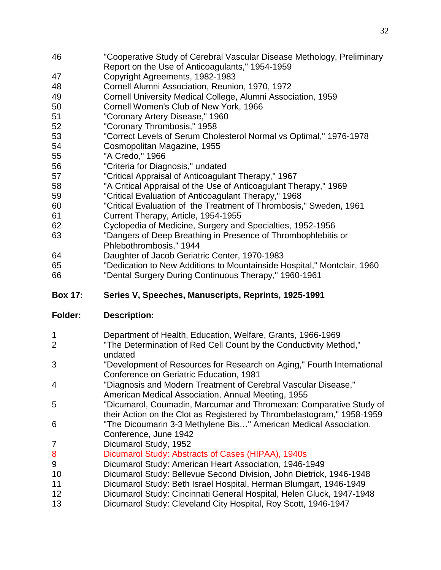- "Cooperative Study of Cerebral Vascular Disease Methology, Preliminary Report on the Use of Anticoagulants," 1954-1959
- Copyright Agreements, 1982-1983
- Cornell Alumni Association, Reunion, 1970, 1972
- Cornell University Medical College, Alumni Association, 1959
- Cornell Women's Club of New York, 1966
- "Coronary Artery Disease," 1960
- "Coronary Thrombosis," 1958
- "Correct Levels of Serum Cholesterol Normal vs Optimal," 1976-1978
- Cosmopolitan Magazine, 1955
- "A Credo," 1966
- "Criteria for Diagnosis," undated
- "Critical Appraisal of Anticoagulant Therapy," 1967
- "A Critical Appraisal of the Use of Anticoagulant Therapy," 1969
- "Critical Evaluation of Anticoagulant Therapy," 1968
- "Critical Evaluation of the Treatment of Thrombosis," Sweden, 1961
- Current Therapy, Article, 1954-1955
- Cyclopedia of Medicine, Surgery and Specialties, 1952-1956
- "Dangers of Deep Breathing in Presence of Thrombophlebitis or Phlebothrombosis," 1944
- Daughter of Jacob Geriatric Center, 1970-1983
- "Dedication to New Additions to Mountainside Hospital," Montclair, 1960
- "Dental Surgery During Continuous Therapy," 1960-1961

## **Box 17: Series V, Speeches, Manuscripts, Reprints, 1925-1991**

- Department of Health, Education, Welfare, Grants, 1966-1969
- "The Determination of Red Cell Count by the Conductivity Method," undated
- "Development of Resources for Research on Aging," Fourth International Conference on Geriatric Education, 1981
- "Diagnosis and Modern Treatment of Cerebral Vascular Disease," American Medical Association, Annual Meeting, 1955
- "Dicumarol, Coumadin, Marcumar and Thromexan: Comparative Study of their Action on the Clot as Registered by Thrombelastogram," 1958-1959
- "The Dicoumarin 3-3 Methylene Bis…" American Medical Association, Conference, June 1942
- Dicumarol Study, 1952
- Dicumarol Study: Abstracts of Cases (HIPAA), 1940s
- Dicumarol Study: American Heart Association, 1946-1949
- Dicumarol Study: Bellevue Second Division, John Dietrick, 1946-1948
- Dicumarol Study: Beth Israel Hospital, Herman Blumgart, 1946-1949
- Dicumarol Study: Cincinnati General Hospital, Helen Gluck, 1947-1948
- Dicumarol Study: Cleveland City Hospital, Roy Scott, 1946-1947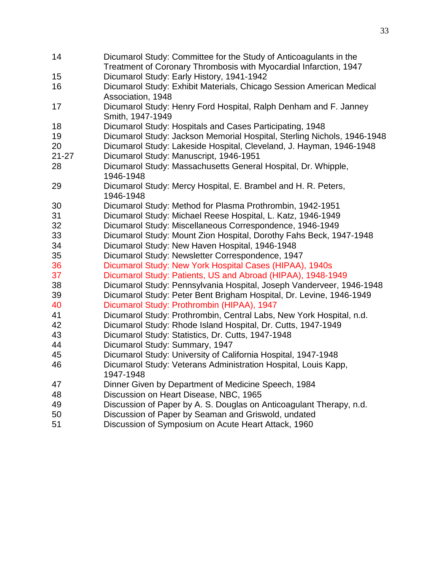| 14        | Dicumarol Study: Committee for the Study of Anticoagulants in the<br>Treatment of Coronary Thrombosis with Myocardial Infarction, 1947 |
|-----------|----------------------------------------------------------------------------------------------------------------------------------------|
| 15        | Dicumarol Study: Early History, 1941-1942                                                                                              |
| 16        | Dicumarol Study: Exhibit Materials, Chicago Session American Medical                                                                   |
|           | Association, 1948                                                                                                                      |
| 17        | Dicumarol Study: Henry Ford Hospital, Ralph Denham and F. Janney                                                                       |
|           | Smith, 1947-1949                                                                                                                       |
| 18        | Dicumarol Study: Hospitals and Cases Participating, 1948                                                                               |
| 19        | Dicumarol Study: Jackson Memorial Hospital, Sterling Nichols, 1946-1948                                                                |
| 20        | Dicumarol Study: Lakeside Hospital, Cleveland, J. Hayman, 1946-1948                                                                    |
| $21 - 27$ | Dicumarol Study: Manuscript, 1946-1951                                                                                                 |
| 28        | Dicumarol Study: Massachusetts General Hospital, Dr. Whipple,                                                                          |
|           | 1946-1948                                                                                                                              |
| 29        | Dicumarol Study: Mercy Hospital, E. Brambel and H. R. Peters,                                                                          |
|           | 1946-1948                                                                                                                              |
| 30        | Dicumarol Study: Method for Plasma Prothrombin, 1942-1951                                                                              |
| 31        | Dicumarol Study: Michael Reese Hospital, L. Katz, 1946-1949                                                                            |
| 32        | Dicumarol Study: Miscellaneous Correspondence, 1946-1949                                                                               |
| 33        | Dicumarol Study: Mount Zion Hospital, Dorothy Fahs Beck, 1947-1948                                                                     |
| 34        | Dicumarol Study: New Haven Hospital, 1946-1948                                                                                         |
| 35        | Dicumarol Study: Newsletter Correspondence, 1947                                                                                       |
| 36        | Dicumarol Study: New York Hospital Cases (HIPAA), 1940s                                                                                |
| 37        | Dicumarol Study: Patients, US and Abroad (HIPAA), 1948-1949                                                                            |
| 38        | Dicumarol Study: Pennsylvania Hospital, Joseph Vanderveer, 1946-1948                                                                   |
| 39        | Dicumarol Study: Peter Bent Brigham Hospital, Dr. Levine, 1946-1949                                                                    |
| 40        | Dicumarol Study: Prothrombin (HIPAA), 1947                                                                                             |
| 41        | Dicumarol Study: Prothrombin, Central Labs, New York Hospital, n.d.                                                                    |
| 42        | Dicumarol Study: Rhode Island Hospital, Dr. Cutts, 1947-1949                                                                           |
| 43        | Dicumarol Study: Statistics, Dr. Cutts, 1947-1948                                                                                      |
| 44        | Dicumarol Study: Summary, 1947                                                                                                         |
| 45        | Dicumarol Study: University of California Hospital, 1947-1948                                                                          |
| 46        | Dicumarol Study: Veterans Administration Hospital, Louis Kapp,                                                                         |
|           | 1947-1948                                                                                                                              |
| 47        | Dinner Given by Department of Medicine Speech, 1984                                                                                    |
| 48        | Discussion on Heart Disease, NBC, 1965                                                                                                 |
| 49        | Discussion of Paper by A. S. Douglas on Anticoagulant Therapy, n.d.                                                                    |
| 50        | Discussion of Paper by Seaman and Griswold, undated                                                                                    |
| 51        | Discussion of Symposium on Acute Heart Attack, 1960                                                                                    |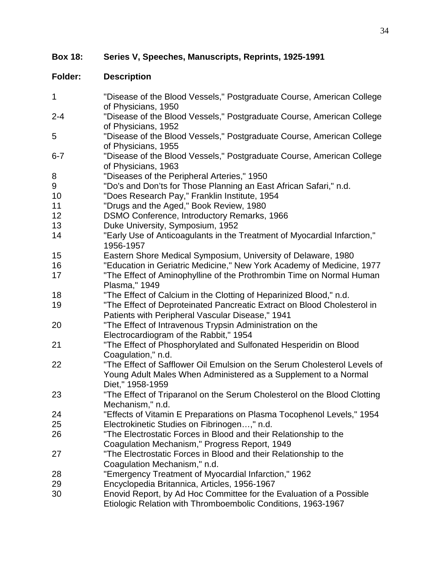**Box 18: Series V, Speeches, Manuscripts, Reprints, 1925-1991**

| $\mathbf{1}$ | "Disease of the Blood Vessels," Postgraduate Course, American College<br>of Physicians, 1950                                                                    |
|--------------|-----------------------------------------------------------------------------------------------------------------------------------------------------------------|
| $2 - 4$      | "Disease of the Blood Vessels," Postgraduate Course, American College<br>of Physicians, 1952                                                                    |
| 5            | "Disease of the Blood Vessels," Postgraduate Course, American College<br>of Physicians, 1955                                                                    |
| $6 - 7$      | "Disease of the Blood Vessels," Postgraduate Course, American College<br>of Physicians, 1963                                                                    |
| 8            | "Diseases of the Peripheral Arteries," 1950                                                                                                                     |
| 9            | "Do's and Don'ts for Those Planning an East African Safari," n.d.                                                                                               |
| 10           | "Does Research Pay," Franklin Institute, 1954                                                                                                                   |
| 11           | "Drugs and the Aged," Book Review, 1980                                                                                                                         |
| 12           | DSMO Conference, Introductory Remarks, 1966                                                                                                                     |
| 13           | Duke University, Symposium, 1952                                                                                                                                |
| 14           | "Early Use of Anticoagulants in the Treatment of Myocardial Infarction,"<br>1956-1957                                                                           |
| 15           | Eastern Shore Medical Symposium, University of Delaware, 1980                                                                                                   |
| 16           | "Education in Geriatric Medicine," New York Academy of Medicine, 1977                                                                                           |
| 17           | "The Effect of Aminophylline of the Prothrombin Time on Normal Human<br>Plasma," 1949                                                                           |
| 18           | "The Effect of Calcium in the Clotting of Heparinized Blood," n.d.                                                                                              |
| 19           | "The Effect of Deproteinated Pancreatic Extract on Blood Cholesterol in<br>Patients with Peripheral Vascular Disease," 1941                                     |
| 20           | "The Effect of Intravenous Trypsin Administration on the                                                                                                        |
|              | Electrocardiogram of the Rabbit," 1954                                                                                                                          |
| 21           | "The Effect of Phosphorylated and Sulfonated Hesperidin on Blood<br>Coagulation," n.d.                                                                          |
| 22           | "The Effect of Safflower Oil Emulsion on the Serum Cholesterol Levels of<br>Young Adult Males When Administered as a Supplement to a Normal<br>Diet," 1958-1959 |
| 23           | "The Effect of Triparanol on the Serum Cholesterol on the Blood Clotting<br>Mechanism," n.d.                                                                    |
| 24           | "Effects of Vitamin E Preparations on Plasma Tocophenol Levels," 1954                                                                                           |
| 25           | Electrokinetic Studies on Fibrinogen," n.d.                                                                                                                     |
| 26           | "The Electrostatic Forces in Blood and their Relationship to the                                                                                                |
|              | Coagulation Mechanism," Progress Report, 1949                                                                                                                   |
| 27           | "The Electrostatic Forces in Blood and their Relationship to the                                                                                                |
|              | Coagulation Mechanism," n.d.                                                                                                                                    |
| 28           | "Emergency Treatment of Myocardial Infarction," 1962                                                                                                            |
| 29           | Encyclopedia Britannica, Articles, 1956-1967                                                                                                                    |
| 30           | Enovid Report, by Ad Hoc Committee for the Evaluation of a Possible                                                                                             |
|              | Etiologic Relation with Thromboembolic Conditions, 1963-1967                                                                                                    |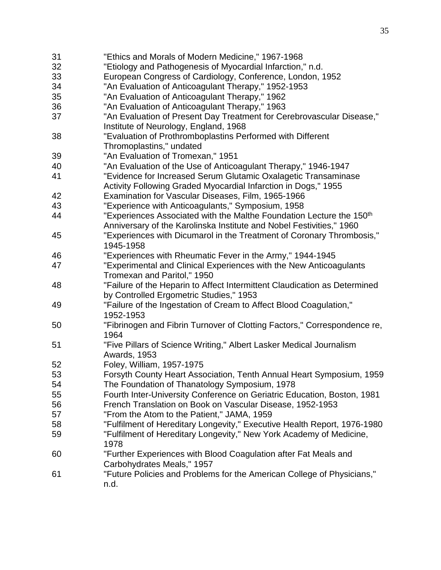| 31 | "Ethics and Morals of Modern Medicine," 1967-1968                                |
|----|----------------------------------------------------------------------------------|
| 32 | "Etiology and Pathogenesis of Myocardial Infarction," n.d.                       |
| 33 | European Congress of Cardiology, Conference, London, 1952                        |
| 34 | "An Evaluation of Anticoagulant Therapy," 1952-1953                              |
| 35 | "An Evaluation of Anticoagulant Therapy," 1962                                   |
| 36 | "An Evaluation of Anticoagulant Therapy," 1963                                   |
| 37 | "An Evaluation of Present Day Treatment for Cerebrovascular Disease,"            |
|    | Institute of Neurology, England, 1968                                            |
| 38 | "Evaluation of Prothromboplastins Performed with Different                       |
|    | Thromoplastins," undated                                                         |
| 39 | "An Evaluation of Tromexan," 1951                                                |
| 40 | "An Evaluation of the Use of Anticoagulant Therapy," 1946-1947                   |
| 41 | "Evidence for Increased Serum Glutamic Oxalagetic Transaminase                   |
|    | Activity Following Graded Myocardial Infarction in Dogs," 1955                   |
| 42 | Examination for Vascular Diseases, Film, 1965-1966                               |
| 43 | "Experience with Anticoagulants," Symposium, 1958                                |
| 44 | "Experiences Associated with the Malthe Foundation Lecture the 150 <sup>th</sup> |
|    | Anniversary of the Karolinska Institute and Nobel Festivities," 1960             |
| 45 | "Experiences with Dicumarol in the Treatment of Coronary Thrombosis,"            |
|    | 1945-1958                                                                        |
| 46 | "Experiences with Rheumatic Fever in the Army," 1944-1945                        |
| 47 | "Experimental and Clinical Experiences with the New Anticoagulants               |
|    | Tromexan and Paritol," 1950                                                      |
| 48 | "Failure of the Heparin to Affect Intermittent Claudication as Determined        |
|    | by Controlled Ergometric Studies," 1953                                          |
| 49 | "Failure of the Ingestation of Cream to Affect Blood Coagulation,"               |
|    | 1952-1953                                                                        |
| 50 | "Fibrinogen and Fibrin Turnover of Clotting Factors," Correspondence re,         |
|    | 1964                                                                             |
| 51 | "Five Pillars of Science Writing," Albert Lasker Medical Journalism              |
|    | <b>Awards, 1953</b>                                                              |
| 52 | Foley, William, 1957-1975                                                        |
| 53 | Forsyth County Heart Association, Tenth Annual Heart Symposium, 1959             |
| 54 | The Foundation of Thanatology Symposium, 1978                                    |
| 55 | Fourth Inter-University Conference on Geriatric Education, Boston, 1981          |
| 56 | French Translation on Book on Vascular Disease, 1952-1953                        |
| 57 | "From the Atom to the Patient," JAMA, 1959                                       |
| 58 | "Fulfilment of Hereditary Longevity," Executive Health Report, 1976-1980         |
| 59 | "Fulfilment of Hereditary Longevity," New York Academy of Medicine,              |
|    | 1978                                                                             |
| 60 | "Further Experiences with Blood Coagulation after Fat Meals and                  |
|    | Carbohydrates Meals," 1957                                                       |
| 61 | "Future Policies and Problems for the American College of Physicians,"           |
|    | n.d.                                                                             |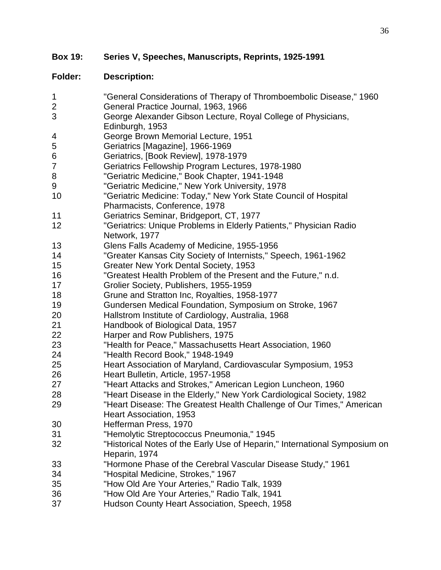**Box 19: Series V, Speeches, Manuscripts, Reprints, 1925-1991**

# **Folder: Description:**

 "General Considerations of Therapy of Thromboembolic Disease," 1960 General Practice Journal, 1963, 1966 George Alexander Gibson Lecture, Royal College of Physicians, Edinburgh, 1953 George Brown Memorial Lecture, 1951 Geriatrics [Magazine], 1966-1969 Geriatrics, [Book Review], 1978-1979 Geriatrics Fellowship Program Lectures, 1978-1980 "Geriatric Medicine," Book Chapter, 1941-1948 "Geriatric Medicine," New York University, 1978 "Geriatric Medicine: Today," New York State Council of Hospital Pharmacists, Conference, 1978 Geriatrics Seminar, Bridgeport, CT, 1977 "Geriatrics: Unique Problems in Elderly Patients," Physician Radio Network, 1977 Glens Falls Academy of Medicine, 1955-1956 "Greater Kansas City Society of Internists," Speech, 1961-1962 Greater New York Dental Society, 1953 "Greatest Health Problem of the Present and the Future," n.d. Grolier Society, Publishers, 1955-1959 Grune and Stratton Inc, Royalties, 1958-1977 Gundersen Medical Foundation, Symposium on Stroke, 1967 Hallstrom Institute of Cardiology, Australia, 1968 Handbook of Biological Data, 1957 Harper and Row Publishers, 1975 "Health for Peace," Massachusetts Heart Association, 1960 "Health Record Book," 1948-1949 Heart Association of Maryland, Cardiovascular Symposium, 1953 Heart Bulletin, Article, 1957-1958 "Heart Attacks and Strokes," American Legion Luncheon, 1960 "Heart Disease in the Elderly," New York Cardiological Society, 1982 "Heart Disease: The Greatest Health Challenge of Our Times," American Heart Association, 1953 Hefferman Press, 1970 "Hemolytic Streptococcus Pneumonia," 1945 "Historical Notes of the Early Use of Heparin," International Symposium on Heparin, 1974 "Hormone Phase of the Cerebral Vascular Disease Study," 1961 "Hospital Medicine, Strokes," 1967 "How Old Are Your Arteries," Radio Talk, 1939 "How Old Are Your Arteries," Radio Talk, 1941 Hudson County Heart Association, Speech, 1958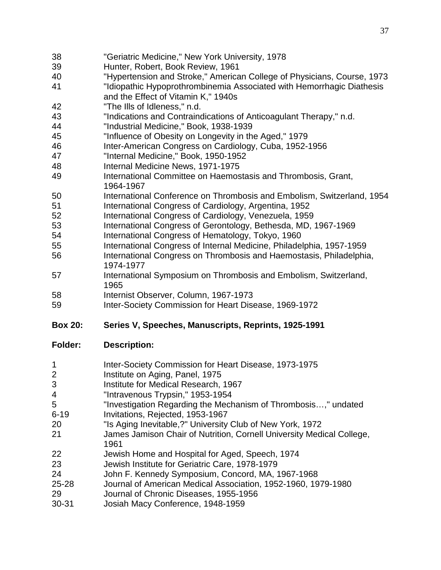- "Geriatric Medicine," New York University, 1978
- Hunter, Robert, Book Review, 1961
- "Hypertension and Stroke," American College of Physicians, Course, 1973
- "Idiopathic Hypoprothrombinemia Associated with Hemorrhagic Diathesis and the Effect of Vitamin K," 1940s
- "The Ills of Idleness," n.d.
- "Indications and Contraindications of Anticoagulant Therapy," n.d.
- "Industrial Medicine," Book, 1938-1939
- "Influence of Obesity on Longevity in the Aged," 1979
- Inter-American Congress on Cardiology, Cuba, 1952-1956
- "Internal Medicine," Book, 1950-1952
- Internal Medicine News, 1971-1975
- International Committee on Haemostasis and Thrombosis, Grant, 1964-1967
- International Conference on Thrombosis and Embolism, Switzerland, 1954
- International Congress of Cardiology, Argentina, 1952
- International Congress of Cardiology, Venezuela, 1959
- International Congress of Gerontology, Bethesda, MD, 1967-1969
- International Congress of Hematology, Tokyo, 1960
- International Congress of Internal Medicine, Philadelphia, 1957-1959
- International Congress on Thrombosis and Haemostasis, Philadelphia, 1974-1977
- International Symposium on Thrombosis and Embolism, Switzerland,
- Internist Observer, Column, 1967-1973
- Inter-Society Commission for Heart Disease, 1969-1972

# **Box 20: Series V, Speeches, Manuscripts, Reprints, 1925-1991**

- **Inter-Society Commission for Heart Disease, 1973-1975**
- Institute on Aging, Panel, 1975
- Institute for Medical Research, 1967
- "Intravenous Trypsin," 1953-1954
- "Investigation Regarding the Mechanism of Thrombosis…," undated 6-19 Invitations, Rejected, 1953-1967
- "Is Aging Inevitable,?" University Club of New York, 1972
- James Jamison Chair of Nutrition, Cornell University Medical College,
- Jewish Home and Hospital for Aged, Speech, 1974
- Jewish Institute for Geriatric Care, 1978-1979
- John F. Kennedy Symposium, Concord, MA, 1967-1968
- 25-28 Journal of American Medical Association, 1952-1960, 1979-1980
- Journal of Chronic Diseases, 1955-1956
- 30-31 Josiah Macy Conference, 1948-1959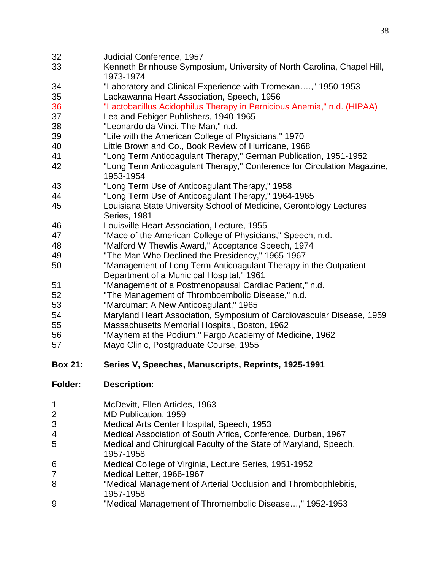- Judicial Conference, 1957
- Kenneth Brinhouse Symposium, University of North Carolina, Chapel Hill, 1973-1974
- "Laboratory and Clinical Experience with Tromexan….," 1950-1953
- Lackawanna Heart Association, Speech, 1956

"Lactobacillus Acidophilus Therapy in Pernicious Anemia," n.d. (HIPAA)

- Lea and Febiger Publishers, 1940-1965
- "Leonardo da Vinci, The Man," n.d.
- "Life with the American College of Physicians," 1970
- Little Brown and Co., Book Review of Hurricane, 1968
- "Long Term Anticoagulant Therapy," German Publication, 1951-1952
- "Long Term Anticoagulant Therapy," Conference for Circulation Magazine, 1953-1954
- "Long Term Use of Anticoagulant Therapy," 1958
- "Long Term Use of Anticoagulant Therapy," 1964-1965
- Louisiana State University School of Medicine, Gerontology Lectures Series, 1981
- Louisville Heart Association, Lecture, 1955
- "Mace of the American College of Physicians," Speech, n.d.
- "Malford W Thewlis Award," Acceptance Speech, 1974
- "The Man Who Declined the Presidency," 1965-1967
- "Management of Long Term Anticoagulant Therapy in the Outpatient Department of a Municipal Hospital," 1961
- "Management of a Postmenopausal Cardiac Patient," n.d.
- "The Management of Thromboembolic Disease," n.d.
- "Marcumar: A New Anticoagulant," 1965
- Maryland Heart Association, Symposium of Cardiovascular Disease, 1959
- Massachusetts Memorial Hospital, Boston, 1962
- "Mayhem at the Podium," Fargo Academy of Medicine, 1962
- Mayo Clinic, Postgraduate Course, 1955
- **Box 21: Series V, Speeches, Manuscripts, Reprints, 1925-1991**

| <b>Folder:</b> | <b>Description:</b> |
|----------------|---------------------|
|                |                     |

- McDevitt, Ellen Articles, 1963
- MD Publication, 1959
- Medical Arts Center Hospital, Speech, 1953
- Medical Association of South Africa, Conference, Durban, 1967
- Medical and Chirurgical Faculty of the State of Maryland, Speech, 1957-1958
- Medical College of Virginia, Lecture Series, 1951-1952
- Medical Letter, 1966-1967
- "Medical Management of Arterial Occlusion and Thrombophlebitis, 1957-1958
- "Medical Management of Thromembolic Disease…," 1952-1953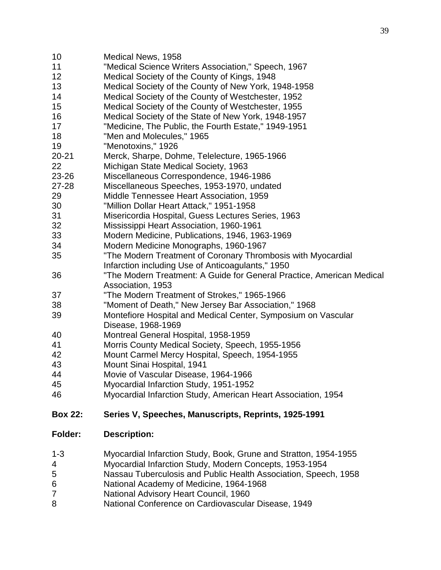- Medical News, 1958 "Medical Science Writers Association," Speech, 1967 Medical Society of the County of Kings, 1948 Medical Society of the County of New York, 1948-1958 Medical Society of the County of Westchester, 1952 Medical Society of the County of Westchester, 1955 Medical Society of the State of New York, 1948-1957 "Medicine, The Public, the Fourth Estate," 1949-1951 "Men and Molecules," 1965 "Menotoxins," 1926 20-21 Merck, Sharpe, Dohme, Telelecture, 1965-1966 Michigan State Medical Society, 1963 23-26 Miscellaneous Correspondence, 1946-1986 27-28 Miscellaneous Speeches, 1953-1970, undated Middle Tennessee Heart Association, 1959 "Million Dollar Heart Attack," 1951-1958 Misericordia Hospital, Guess Lectures Series, 1963 Mississippi Heart Association, 1960-1961 Modern Medicine, Publications, 1946, 1963-1969 Modern Medicine Monographs, 1960-1967 "The Modern Treatment of Coronary Thrombosis with Myocardial Infarction including Use of Anticoagulants," 1950 "The Modern Treatment: A Guide for General Practice, American Medical Association, 1953 "The Modern Treatment of Strokes," 1965-1966 "Moment of Death," New Jersey Bar Association," 1968 Montefiore Hospital and Medical Center, Symposium on Vascular Disease, 1968-1969 Montreal General Hospital, 1958-1959 Morris County Medical Society, Speech, 1955-1956 Mount Carmel Mercy Hospital, Speech, 1954-1955 Mount Sinai Hospital, 1941 Movie of Vascular Disease, 1964-1966 Myocardial Infarction Study, 1951-1952 Myocardial Infarction Study, American Heart Association, 1954 **Box 22: Series V, Speeches, Manuscripts, Reprints, 1925-1991 Folder: Description:** 1-3 Myocardial Infarction Study, Book, Grune and Stratton, 1954-1955
- Myocardial Infarction Study, Modern Concepts, 1953-1954
- Nassau Tuberculosis and Public Health Association, Speech, 1958
- National Academy of Medicine, 1964-1968
- National Advisory Heart Council, 1960
- National Conference on Cardiovascular Disease, 1949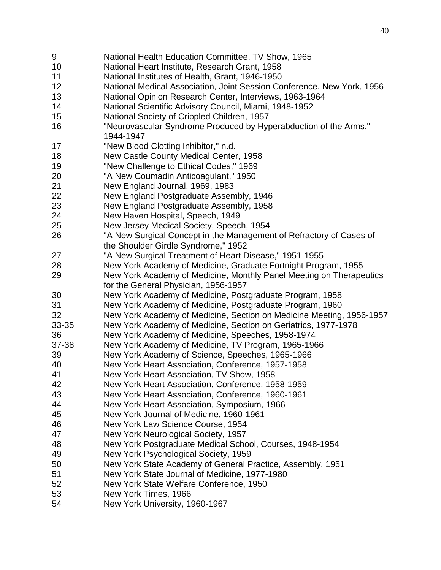National Health Education Committee, TV Show, 1965 National Heart Institute, Research Grant, 1958 National Institutes of Health, Grant, 1946-1950 National Medical Association, Joint Session Conference, New York, 1956 National Opinion Research Center, Interviews, 1963-1964 National Scientific Advisory Council, Miami, 1948-1952 National Society of Crippled Children, 1957 "Neurovascular Syndrome Produced by Hyperabduction of the Arms," 1944-1947 "New Blood Clotting Inhibitor," n.d. New Castle County Medical Center, 1958 "New Challenge to Ethical Codes," 1969 "A New Coumadin Anticoagulant," 1950 New England Journal, 1969, 1983 New England Postgraduate Assembly, 1946 New England Postgraduate Assembly, 1958 New Haven Hospital, Speech, 1949 New Jersey Medical Society, Speech, 1954 "A New Surgical Concept in the Management of Refractory of Cases of the Shoulder Girdle Syndrome," 1952 "A New Surgical Treatment of Heart Disease," 1951-1955 New York Academy of Medicine, Graduate Fortnight Program, 1955 New York Academy of Medicine, Monthly Panel Meeting on Therapeutics for the General Physician, 1956-1957 New York Academy of Medicine, Postgraduate Program, 1958 New York Academy of Medicine, Postgraduate Program, 1960 New York Academy of Medicine, Section on Medicine Meeting, 1956-1957 33-35 New York Academy of Medicine, Section on Geriatrics, 1977-1978 New York Academy of Medicine, Speeches, 1958-1974 37-38 New York Academy of Medicine, TV Program, 1965-1966 New York Academy of Science, Speeches, 1965-1966 New York Heart Association, Conference, 1957-1958 New York Heart Association, TV Show, 1958 New York Heart Association, Conference, 1958-1959 New York Heart Association, Conference, 1960-1961 New York Heart Association, Symposium, 1966 New York Journal of Medicine, 1960-1961 New York Law Science Course, 1954 New York Neurological Society, 1957 New York Postgraduate Medical School, Courses, 1948-1954 New York Psychological Society, 1959 New York State Academy of General Practice, Assembly, 1951 New York State Journal of Medicine, 1977-1980 New York State Welfare Conference, 1950 New York Times, 1966 New York University, 1960-1967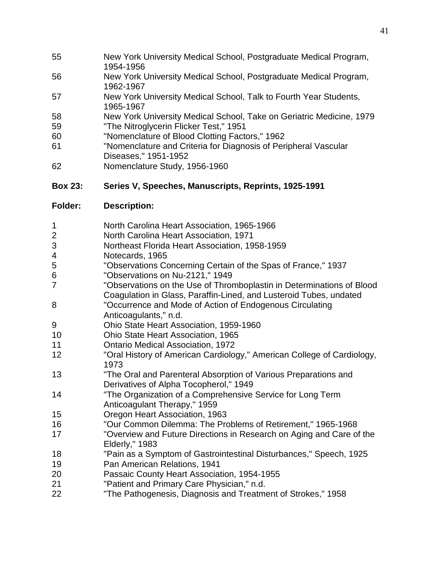- New York University Medical School, Postgraduate Medical Program, 1954-1956
- New York University Medical School, Postgraduate Medical Program, 1962-1967
- New York University Medical School, Talk to Fourth Year Students, 1965-1967
- New York University Medical School, Take on Geriatric Medicine, 1979
- "The Nitroglycerin Flicker Test," 1951
- "Nomenclature of Blood Clotting Factors," 1962
- "Nomenclature and Criteria for Diagnosis of Peripheral Vascular Diseases," 1951-1952
- Nomenclature Study, 1956-1960

# **Box 23: Series V, Speeches, Manuscripts, Reprints, 1925-1991**

|  |  | North Carolina Heart Association, 1965-1966 |  |
|--|--|---------------------------------------------|--|
|--|--|---------------------------------------------|--|

- North Carolina Heart Association, 1971
- Northeast Florida Heart Association, 1958-1959
- Notecards, 1965
- "Observations Concerning Certain of the Spas of France," 1937
- "Observations on Nu-2121," 1949
- "Observations on the Use of Thromboplastin in Determinations of Blood Coagulation in Glass, Paraffin-Lined, and Lusteroid Tubes, undated
- "Occurrence and Mode of Action of Endogenous Circulating Anticoagulants," n.d.
- Ohio State Heart Association, 1959-1960
- Ohio State Heart Association, 1965
- Ontario Medical Association, 1972
- "Oral History of American Cardiology," American College of Cardiology,
- "The Oral and Parenteral Absorption of Various Preparations and Derivatives of Alpha Tocopherol," 1949
- "The Organization of a Comprehensive Service for Long Term Anticoagulant Therapy," 1959
- Oregon Heart Association, 1963
- "Our Common Dilemma: The Problems of Retirement," 1965-1968
- "Overview and Future Directions in Research on Aging and Care of the Elderly," 1983
- "Pain as a Symptom of Gastrointestinal Disturbances," Speech, 1925
- Pan American Relations, 1941
- Passaic County Heart Association, 1954-1955
- "Patient and Primary Care Physician," n.d.
- "The Pathogenesis, Diagnosis and Treatment of Strokes," 1958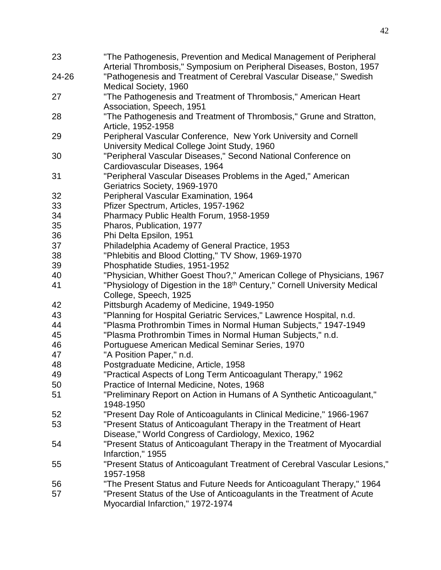| 23    | "The Pathogenesis, Prevention and Medical Management of Peripheral<br>Arterial Thrombosis," Symposium on Peripheral Diseases, Boston, 1957 |
|-------|--------------------------------------------------------------------------------------------------------------------------------------------|
| 24-26 | "Pathogenesis and Treatment of Cerebral Vascular Disease," Swedish                                                                         |
| 27    | Medical Society, 1960<br>"The Pathogenesis and Treatment of Thrombosis," American Heart                                                    |
|       | Association, Speech, 1951                                                                                                                  |
| 28    | "The Pathogenesis and Treatment of Thrombosis," Grune and Stratton,                                                                        |
|       | Article, 1952-1958                                                                                                                         |
| 29    | Peripheral Vascular Conference, New York University and Cornell                                                                            |
|       | University Medical College Joint Study, 1960                                                                                               |
| 30    | "Peripheral Vascular Diseases," Second National Conference on                                                                              |
|       | Cardiovascular Diseases, 1964                                                                                                              |
| 31    | "Peripheral Vascular Diseases Problems in the Aged," American<br>Geriatrics Society, 1969-1970                                             |
| 32    | Peripheral Vascular Examination, 1964                                                                                                      |
| 33    | Pfizer Spectrum, Articles, 1957-1962                                                                                                       |
| 34    | Pharmacy Public Health Forum, 1958-1959                                                                                                    |
| 35    | Pharos, Publication, 1977                                                                                                                  |
| 36    | Phi Delta Epsilon, 1951                                                                                                                    |
| 37    | Philadelphia Academy of General Practice, 1953                                                                                             |
| 38    | "Phlebitis and Blood Clotting," TV Show, 1969-1970                                                                                         |
|       |                                                                                                                                            |
| 39    | Phosphatide Studies, 1951-1952                                                                                                             |
| 40    | "Physician, Whither Goest Thou?," American College of Physicians, 1967                                                                     |
| 41    | "Physiology of Digestion in the 18 <sup>th</sup> Century," Cornell University Medical<br>College, Speech, 1925                             |
| 42    | Pittsburgh Academy of Medicine, 1949-1950                                                                                                  |
| 43    | "Planning for Hospital Geriatric Services," Lawrence Hospital, n.d.                                                                        |
| 44    | "Plasma Prothrombin Times in Normal Human Subjects," 1947-1949                                                                             |
| 45    | "Plasma Prothrombin Times in Normal Human Subjects," n.d.                                                                                  |
| 46    | Portuguese American Medical Seminar Series, 1970                                                                                           |
| 47    | "A Position Paper," n.d.                                                                                                                   |
| 48    | Postgraduate Medicine, Article, 1958                                                                                                       |
| 49    | "Practical Aspects of Long Term Anticoagulant Therapy," 1962                                                                               |
| 50    | Practice of Internal Medicine, Notes, 1968                                                                                                 |
| 51    | "Preliminary Report on Action in Humans of A Synthetic Anticoagulant,"                                                                     |
|       | 1948-1950                                                                                                                                  |
| 52    | "Present Day Role of Anticoagulants in Clinical Medicine," 1966-1967                                                                       |
| 53    | "Present Status of Anticoagulant Therapy in the Treatment of Heart                                                                         |
|       | Disease," World Congress of Cardiology, Mexico, 1962                                                                                       |
| 54    | "Present Status of Anticoagulant Therapy in the Treatment of Myocardial                                                                    |
|       | Infarction," 1955                                                                                                                          |
| 55    | "Present Status of Anticoagulant Treatment of Cerebral Vascular Lesions,"                                                                  |
|       | 1957-1958                                                                                                                                  |
| 56    | "The Present Status and Future Needs for Anticoagulant Therapy," 1964                                                                      |
| 57    | "Present Status of the Use of Anticoagulants in the Treatment of Acute                                                                     |
|       | Myocardial Infarction," 1972-1974                                                                                                          |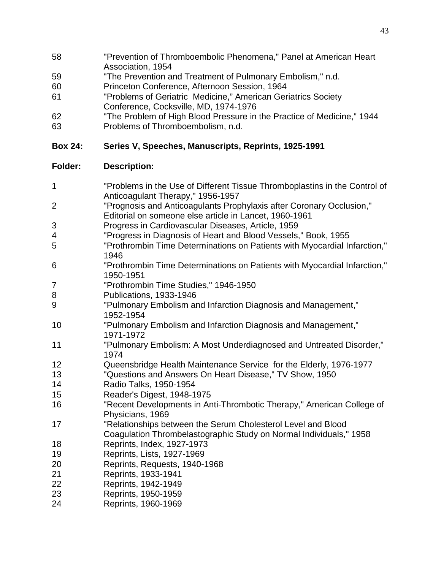- "Prevention of Thromboembolic Phenomena," Panel at American Heart Association, 1954
- "The Prevention and Treatment of Pulmonary Embolism," n.d.
- Princeton Conference, Afternoon Session, 1964
- "Problems of Geriatric Medicine," American Geriatrics Society Conference, Cocksville, MD, 1974-1976
- "The Problem of High Blood Pressure in the Practice of Medicine," 1944
- Problems of Thromboembolism, n.d.

# **Box 24: Series V, Speeches, Manuscripts, Reprints, 1925-1991**

| 1              | "Problems in the Use of Different Tissue Thromboplastins in the Control of             |
|----------------|----------------------------------------------------------------------------------------|
|                | Anticoagulant Therapy," 1956-1957                                                      |
| $\overline{2}$ | "Prognosis and Anticoagulants Prophylaxis after Coronary Occlusion,"                   |
|                | Editorial on someone else article in Lancet, 1960-1961                                 |
| 3              | Progress in Cardiovascular Diseases, Article, 1959                                     |
| 4              | "Progress in Diagnosis of Heart and Blood Vessels," Book, 1955                         |
| 5              | "Prothrombin Time Determinations on Patients with Myocardial Infarction,"<br>1946      |
| 6              | "Prothrombin Time Determinations on Patients with Myocardial Infarction,"<br>1950-1951 |
| 7              | "Prothrombin Time Studies," 1946-1950                                                  |
| 8              | Publications, 1933-1946                                                                |
| 9              | "Pulmonary Embolism and Infarction Diagnosis and Management,"<br>1952-1954             |
| 10             | "Pulmonary Embolism and Infarction Diagnosis and Management,"<br>1971-1972             |
| 11             | "Pulmonary Embolism: A Most Underdiagnosed and Untreated Disorder,"<br>1974            |
| 12             | Queensbridge Health Maintenance Service for the Elderly, 1976-1977                     |
| 13             | "Questions and Answers On Heart Disease," TV Show, 1950                                |
| 14             | Radio Talks, 1950-1954                                                                 |
| 15             | Reader's Digest, 1948-1975                                                             |
| 16             | "Recent Developments in Anti-Thrombotic Therapy," American College of                  |
|                | Physicians, 1969                                                                       |
| 17             | "Relationships between the Serum Cholesterol Level and Blood                           |
|                | Coagulation Thrombelastographic Study on Normal Individuals," 1958                     |
| 18             | Reprints, Index, 1927-1973                                                             |
| 19             | Reprints, Lists, 1927-1969                                                             |
| 20             | Reprints, Requests, 1940-1968                                                          |
| 21             | Reprints, 1933-1941                                                                    |
| 22             | Reprints, 1942-1949                                                                    |
| 23             | Reprints, 1950-1959                                                                    |
| 24             | Reprints, 1960-1969                                                                    |
|                |                                                                                        |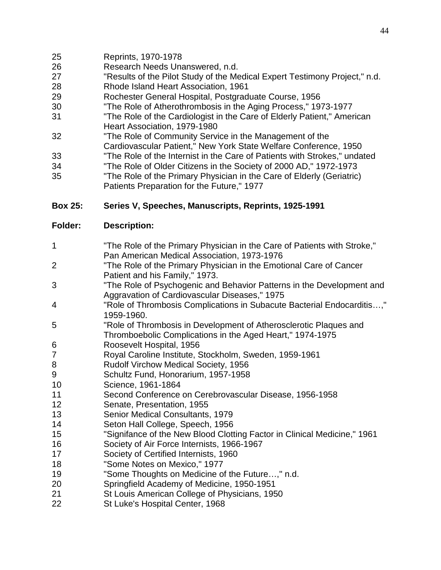- Reprints, 1970-1978
- Research Needs Unanswered, n.d.
- "Results of the Pilot Study of the Medical Expert Testimony Project," n.d.
- Rhode Island Heart Association, 1961
- Rochester General Hospital, Postgraduate Course, 1956
- "The Role of Atherothrombosis in the Aging Process," 1973-1977
- "The Role of the Cardiologist in the Care of Elderly Patient," American Heart Association, 1979-1980
- "The Role of Community Service in the Management of the Cardiovascular Patient," New York State Welfare Conference, 1950
- "The Role of the Internist in the Care of Patients with Strokes," undated
- "The Role of Older Citizens in the Society of 2000 AD," 1972-1973
- "The Role of the Primary Physician in the Care of Elderly (Geriatric) Patients Preparation for the Future," 1977

## **Box 25: Series V, Speeches, Manuscripts, Reprints, 1925-1991**

- "The Role of the Primary Physician in the Care of Patients with Stroke," Pan American Medical Association, 1973-1976
- "The Role of the Primary Physician in the Emotional Care of Cancer Patient and his Family," 1973.
- "The Role of Psychogenic and Behavior Patterns in the Development and Aggravation of Cardiovascular Diseases," 1975
- "Role of Thrombosis Complications in Subacute Bacterial Endocarditis…," 1959-1960.
- "Role of Thrombosis in Development of Atherosclerotic Plaques and Thromboebolic Complications in the Aged Heart," 1974-1975
- Roosevelt Hospital, 1956
- Royal Caroline Institute, Stockholm, Sweden, 1959-1961
- Rudolf Virchow Medical Society, 1956
- Schultz Fund, Honorarium, 1957-1958
- Science, 1961-1864
- Second Conference on Cerebrovascular Disease, 1956-1958
- Senate, Presentation, 1955
- Senior Medical Consultants, 1979
- Seton Hall College, Speech, 1956
- "Signifance of the New Blood Clotting Factor in Clinical Medicine," 1961
- Society of Air Force Internists, 1966-1967
- Society of Certified Internists, 1960
- "Some Notes on Mexico," 1977
- "Some Thoughts on Medicine of the Future…," n.d.
- Springfield Academy of Medicine, 1950-1951
- St Louis American College of Physicians, 1950
- St Luke's Hospital Center, 1968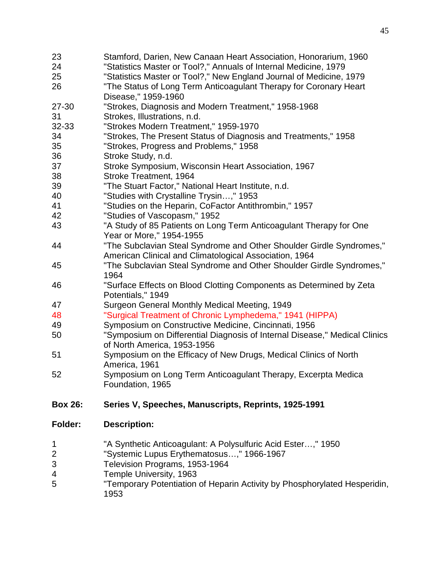| 23<br>24                 | Stamford, Darien, New Canaan Heart Association, Honorarium, 1960<br>"Statistics Master or Tool?," Annuals of Internal Medicine, 1979        |
|--------------------------|---------------------------------------------------------------------------------------------------------------------------------------------|
| 25                       | "Statistics Master or Tool?," New England Journal of Medicine, 1979                                                                         |
| 26                       | "The Status of Long Term Anticoagulant Therapy for Coronary Heart<br>Disease," 1959-1960                                                    |
| 27-30                    | "Strokes, Diagnosis and Modern Treatment," 1958-1968                                                                                        |
| 31                       | Strokes, Illustrations, n.d.                                                                                                                |
| 32-33                    | "Strokes Modern Treatment," 1959-1970                                                                                                       |
| 34                       | "Strokes, The Present Status of Diagnosis and Treatments," 1958                                                                             |
| 35                       | "Strokes, Progress and Problems," 1958                                                                                                      |
| 36                       | Stroke Study, n.d.                                                                                                                          |
| 37                       | Stroke Symposium, Wisconsin Heart Association, 1967                                                                                         |
| 38                       | Stroke Treatment, 1964                                                                                                                      |
| 39                       | "The Stuart Factor," National Heart Institute, n.d.                                                                                         |
| 40                       | "Studies with Crystalline Trysin," 1953                                                                                                     |
| 41                       | "Studies on the Heparin, CoFactor Antithrombin," 1957                                                                                       |
| 42                       | "Studies of Vascopasm," 1952                                                                                                                |
| 43                       | "A Study of 85 Patients on Long Term Anticoagulant Therapy for One<br>Year or More," 1954-1955                                              |
| 44                       | "The Subclavian Steal Syndrome and Other Shoulder Girdle Syndromes,"<br>American Clinical and Climatological Association, 1964              |
| 45                       | "The Subclavian Steal Syndrome and Other Shoulder Girdle Syndromes,"<br>1964                                                                |
| 46                       | "Surface Effects on Blood Clotting Components as Determined by Zeta<br>Potentials," 1949                                                    |
| 47                       | Surgeon General Monthly Medical Meeting, 1949                                                                                               |
| 48                       | "Surgical Treatment of Chronic Lymphedema," 1941 (HIPPA)                                                                                    |
| 49                       | Symposium on Constructive Medicine, Cincinnati, 1956                                                                                        |
| 50                       | "Symposium on Differential Diagnosis of Internal Disease," Medical Clinics<br>of North America, 1953-1956                                   |
| 51                       | Symposium on the Efficacy of New Drugs, Medical Clinics of North<br>America, 1961                                                           |
| 52                       | Symposium on Long Term Anticoagulant Therapy, Excerpta Medica<br>Foundation, 1965                                                           |
| <b>Box 26:</b>           | Series V, Speeches, Manuscripts, Reprints, 1925-1991                                                                                        |
| <b>Folder:</b>           | <b>Description:</b>                                                                                                                         |
| 1<br>$\overline{2}$<br>3 | "A Synthetic Anticoagulant: A Polysulfuric Acid Ester," 1950<br>"Systemic Lupus Erythematosus," 1966-1967<br>Television Programs, 1953-1964 |

- Temple University, 1963
- "Temporary Potentiation of Heparin Activity by Phosphorylated Hesperidin,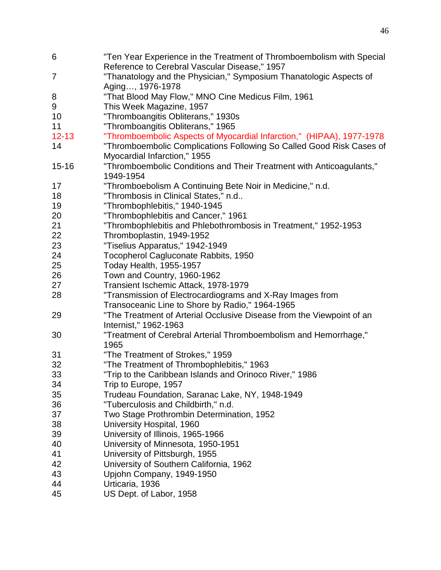| 6              | "Ten Year Experience in the Treatment of Thromboembolism with Special |
|----------------|-----------------------------------------------------------------------|
|                | Reference to Cerebral Vascular Disease," 1957                         |
| $\overline{7}$ | "Thanatology and the Physician," Symposium Thanatologic Aspects of    |
|                | Aging, 1976-1978                                                      |
| 8              | "That Blood May Flow," MNO Cine Medicus Film, 1961                    |
| 9              | This Week Magazine, 1957                                              |
| 10             | "Thromboangitis Obliterans," 1930s                                    |
| 11             | "Thromboangitis Obliterans," 1965                                     |
| $12 - 13$      | "Thromboembolic Aspects of Myocardial Infarction," (HIPAA), 1977-1978 |
| 14             | "Thromboembolic Complications Following So Called Good Risk Cases of  |
|                | Myocardial Infarction," 1955                                          |
| $15 - 16$      | "Thromboembolic Conditions and Their Treatment with Anticoagulants,"  |
|                | 1949-1954                                                             |
| 17             | "Thromboebolism A Continuing Bete Noir in Medicine," n.d.             |
| 18             | "Thrombosis in Clinical States," n.d                                  |
| 19             | "Thrombophlebitis," 1940-1945                                         |
| 20             | "Thrombophlebitis and Cancer," 1961                                   |
| 21             | "Thrombophlebitis and Phlebothrombosis in Treatment," 1952-1953       |
| 22             | Thromboplastin, 1949-1952                                             |
| 23             | "Tiselius Apparatus," 1942-1949                                       |
| 24             | Tocopherol Cagluconate Rabbits, 1950                                  |
| 25             | Today Health, 1955-1957                                               |
| 26             | Town and Country, 1960-1962                                           |
| 27             | Transient Ischemic Attack, 1978-1979                                  |
| 28             | "Transmission of Electrocardiograms and X-Ray Images from             |
|                | Transoceanic Line to Shore by Radio," 1964-1965                       |
| 29             | "The Treatment of Arterial Occlusive Disease from the Viewpoint of an |
|                | Internist," 1962-1963                                                 |
| 30             | "Treatment of Cerebral Arterial Thromboembolism and Hemorrhage,"      |
|                | 1965                                                                  |
| 31             | "The Treatment of Strokes," 1959                                      |
| 32             | "The Treatment of Thrombophlebitis," 1963                             |
| 33             | "Trip to the Caribbean Islands and Orinoco River," 1986               |
| 34             | Trip to Europe, 1957                                                  |
| 35             | Trudeau Foundation, Saranac Lake, NY, 1948-1949                       |
| 36             | "Tuberculosis and Childbirth," n.d.                                   |
| 37             | Two Stage Prothrombin Determination, 1952                             |
| 38             | University Hospital, 1960                                             |
| 39             | University of Illinois, 1965-1966                                     |
| 40             | University of Minnesota, 1950-1951                                    |
| 41             | University of Pittsburgh, 1955                                        |
| 42             | University of Southern California, 1962                               |
| 43             | Upjohn Company, 1949-1950                                             |
| 44             | Urticaria, 1936                                                       |
| 45             | US Dept. of Labor, 1958                                               |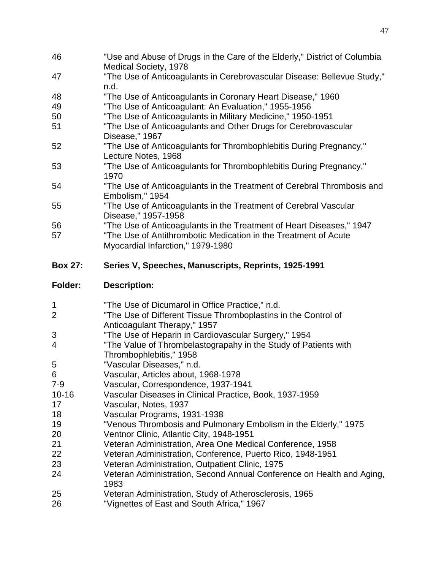- "Use and Abuse of Drugs in the Care of the Elderly," District of Columbia Medical Society, 1978
- "The Use of Anticoagulants in Cerebrovascular Disease: Bellevue Study," n.d.
- "The Use of Anticoagulants in Coronary Heart Disease," 1960
- "The Use of Anticoagulant: An Evaluation," 1955-1956
- "The Use of Anticoagulants in Military Medicine," 1950-1951
- "The Use of Anticoagulants and Other Drugs for Cerebrovascular Disease," 1967
- "The Use of Anticoagulants for Thrombophlebitis During Pregnancy," Lecture Notes, 1968
- "The Use of Anticoagulants for Thrombophlebitis During Pregnancy,"
- "The Use of Anticoagulants in the Treatment of Cerebral Thrombosis and Embolism," 1954
- "The Use of Anticoagulants in the Treatment of Cerebral Vascular Disease," 1957-1958
- "The Use of Anticoagulants in the Treatment of Heart Diseases," 1947
- "The Use of Antithrombotic Medication in the Treatment of Acute Myocardial Infarction," 1979-1980
- **Box 27: Series V, Speeches, Manuscripts, Reprints, 1925-1991**
- **Folder: Description:**
- "The Use of Dicumarol in Office Practice," n.d. "The Use of Different Tissue Thromboplastins in the Control of Anticoagulant Therapy," 1957 "The Use of Heparin in Cardiovascular Surgery," 1954 "The Value of Thrombelastograpahy in the Study of Patients with Thrombophlebitis," 1958 "Vascular Diseases," n.d. Vascular, Articles about, 1968-1978 7-9 Vascular, Correspondence, 1937-1941 10-16 Vascular Diseases in Clinical Practice, Book, 1937-1959 Vascular, Notes, 1937 Vascular Programs, 1931-1938 "Venous Thrombosis and Pulmonary Embolism in the Elderly," 1975 Ventnor Clinic, Atlantic City, 1948-1951 Veteran Administration, Area One Medical Conference, 1958 Veteran Administration, Conference, Puerto Rico, 1948-1951 Veteran Administration, Outpatient Clinic, 1975 Veteran Administration, Second Annual Conference on Health and Aging, Veteran Administration, Study of Atherosclerosis, 1965 "Vignettes of East and South Africa," 1967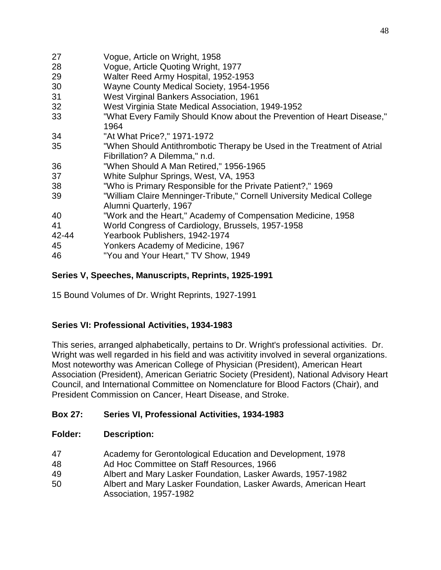| 27        | Vogue, Article on Wright, 1958                                                                           |
|-----------|----------------------------------------------------------------------------------------------------------|
| 28        | Vogue, Article Quoting Wright, 1977                                                                      |
| 29        | Walter Reed Army Hospital, 1952-1953                                                                     |
| 30        | Wayne County Medical Society, 1954-1956                                                                  |
| 31        | West Virginal Bankers Association, 1961                                                                  |
| 32        | West Virginia State Medical Association, 1949-1952                                                       |
| 33        | "What Every Family Should Know about the Prevention of Heart Disease,"<br>1964                           |
| 34        | "At What Price?," 1971-1972                                                                              |
| 35        | "When Should Antithrombotic Therapy be Used in the Treatment of Atrial<br>Fibrillation? A Dilemma," n.d. |
| 36        | "When Should A Man Retired," 1956-1965                                                                   |
| 37        | White Sulphur Springs, West, VA, 1953                                                                    |
| 38        | "Who is Primary Responsible for the Private Patient?," 1969                                              |
| 39        | "William Claire Menninger-Tribute," Cornell University Medical College<br>Alumni Quarterly, 1967         |
| 40        | "Work and the Heart," Academy of Compensation Medicine, 1958                                             |
| 41        | World Congress of Cardiology, Brussels, 1957-1958                                                        |
| $42 - 44$ | Yearbook Publishers, 1942-1974                                                                           |
| 45        | Yonkers Academy of Medicine, 1967                                                                        |
| 46        | "You and Your Heart," TV Show, 1949                                                                      |

## **Series V, Speeches, Manuscripts, Reprints, 1925-1991**

15 Bound Volumes of Dr. Wright Reprints, 1927-1991

## **Series VI: Professional Activities, 1934-1983**

This series, arranged alphabetically, pertains to Dr. Wright's professional activities. Dr. Wright was well regarded in his field and was activitity involved in several organizations. Most noteworthy was American College of Physician (President), American Heart Association (President), American Geriatric Society (President), National Advisory Heart Council, and International Committee on Nomenclature for Blood Factors (Chair), and President Commission on Cancer, Heart Disease, and Stroke.

## **Box 27: Series VI, Professional Activities, 1934-1983**

- Academy for Gerontological Education and Development, 1978
- Ad Hoc Committee on Staff Resources, 1966
- Albert and Mary Lasker Foundation, Lasker Awards, 1957-1982
- Albert and Mary Lasker Foundation, Lasker Awards, American Heart Association, 1957-1982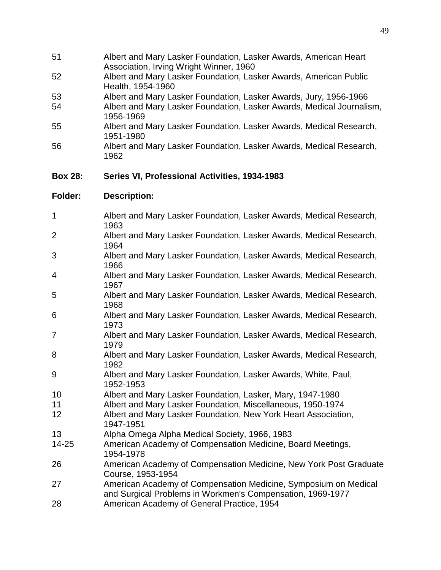| 51             | Albert and Mary Lasker Foundation, Lasker Awards, American Heart<br>Association, Irving Wright Winner, 1960                   |
|----------------|-------------------------------------------------------------------------------------------------------------------------------|
| 52             | Albert and Mary Lasker Foundation, Lasker Awards, American Public<br>Health, 1954-1960                                        |
| 53             | Albert and Mary Lasker Foundation, Lasker Awards, Jury, 1956-1966                                                             |
| 54             | Albert and Mary Lasker Foundation, Lasker Awards, Medical Journalism,<br>1956-1969                                            |
| 55             | Albert and Mary Lasker Foundation, Lasker Awards, Medical Research,<br>1951-1980                                              |
| 56             | Albert and Mary Lasker Foundation, Lasker Awards, Medical Research,<br>1962                                                   |
| <b>Box 28:</b> | Series VI, Professional Activities, 1934-1983                                                                                 |
| <b>Folder:</b> | <b>Description:</b>                                                                                                           |
| 1              | Albert and Mary Lasker Foundation, Lasker Awards, Medical Research,<br>1963                                                   |
| $\overline{2}$ | Albert and Mary Lasker Foundation, Lasker Awards, Medical Research,<br>1964                                                   |
| 3              | Albert and Mary Lasker Foundation, Lasker Awards, Medical Research,<br>1966                                                   |
| 4              | Albert and Mary Lasker Foundation, Lasker Awards, Medical Research,<br>1967                                                   |
| 5              | Albert and Mary Lasker Foundation, Lasker Awards, Medical Research,<br>1968                                                   |
| 6              | Albert and Mary Lasker Foundation, Lasker Awards, Medical Research,<br>1973                                                   |
| $\overline{7}$ | Albert and Mary Lasker Foundation, Lasker Awards, Medical Research,<br>1979                                                   |
| 8              | Albert and Mary Lasker Foundation, Lasker Awards, Medical Research,<br>1982                                                   |
| 9              | Albert and Mary Lasker Foundation, Lasker Awards, White, Paul,<br>1952-1953                                                   |
| 10             | Albert and Mary Lasker Foundation, Lasker, Mary, 1947-1980                                                                    |
| 11             | Albert and Mary Lasker Foundation, Miscellaneous, 1950-1974                                                                   |
| 12             | Albert and Mary Lasker Foundation, New York Heart Association,<br>1947-1951                                                   |
| 13             | Alpha Omega Alpha Medical Society, 1966, 1983                                                                                 |
| 14-25          | American Academy of Compensation Medicine, Board Meetings,<br>1954-1978                                                       |
| 26             | American Academy of Compensation Medicine, New York Post Graduate<br>Course, 1953-1954                                        |
| 27             | American Academy of Compensation Medicine, Symposium on Medical<br>and Surgical Problems in Workmen's Compensation, 1969-1977 |
| 28             | American Academy of General Practice, 1954                                                                                    |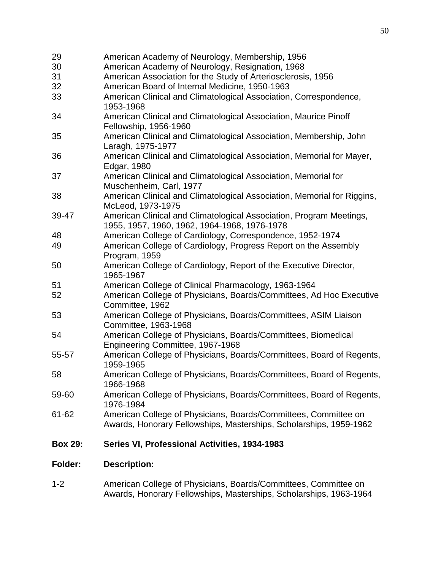| <b>Folder:</b> | <b>Description:</b>                                                                                                                   |
|----------------|---------------------------------------------------------------------------------------------------------------------------------------|
| <b>Box 29:</b> | Series VI, Professional Activities, 1934-1983                                                                                         |
| 61-62          | American College of Physicians, Boards/Committees, Committee on<br>Awards, Honorary Fellowships, Masterships, Scholarships, 1959-1962 |
| 59-60          | American College of Physicians, Boards/Committees, Board of Regents,<br>1976-1984                                                     |
| 58             | American College of Physicians, Boards/Committees, Board of Regents,<br>1966-1968                                                     |
| 55-57          | American College of Physicians, Boards/Committees, Board of Regents,<br>1959-1965                                                     |
| 54             | American College of Physicians, Boards/Committees, Biomedical<br>Engineering Committee, 1967-1968                                     |
| 53             | American College of Physicians, Boards/Committees, ASIM Liaison<br>Committee, 1963-1968                                               |
| 52             | American College of Physicians, Boards/Committees, Ad Hoc Executive<br>Committee, 1962                                                |
| 51             | 1965-1967<br>American College of Clinical Pharmacology, 1963-1964                                                                     |
| 50             | Program, 1959<br>American College of Cardiology, Report of the Executive Director,                                                    |
| 48<br>49       | American College of Cardiology, Correspondence, 1952-1974<br>American College of Cardiology, Progress Report on the Assembly          |
| 39-47          | American Clinical and Climatological Association, Program Meetings,<br>1955, 1957, 1960, 1962, 1964-1968, 1976-1978                   |
| 38             | American Clinical and Climatological Association, Memorial for Riggins,<br>McLeod, 1973-1975                                          |
| 37             | American Clinical and Climatological Association, Memorial for<br>Muschenheim, Carl, 1977                                             |
| 36             | Laragh, 1975-1977<br>American Clinical and Climatological Association, Memorial for Mayer,<br>Edgar, 1980                             |
| 35             | Fellowship, 1956-1960<br>American Clinical and Climatological Association, Membership, John                                           |
| 34             | 1953-1968<br>American Clinical and Climatological Association, Maurice Pinoff                                                         |
| 33             | American Clinical and Climatological Association, Correspondence,                                                                     |
| 32             | American Board of Internal Medicine, 1950-1963                                                                                        |
| 30<br>31       | American Academy of Neurology, Resignation, 1968<br>American Association for the Study of Arteriosclerosis, 1956                      |
| 29             | American Academy of Neurology, Membership, 1956                                                                                       |

1-2 American College of Physicians, Boards/Committees, Committee on Awards, Honorary Fellowships, Masterships, Scholarships, 1963-1964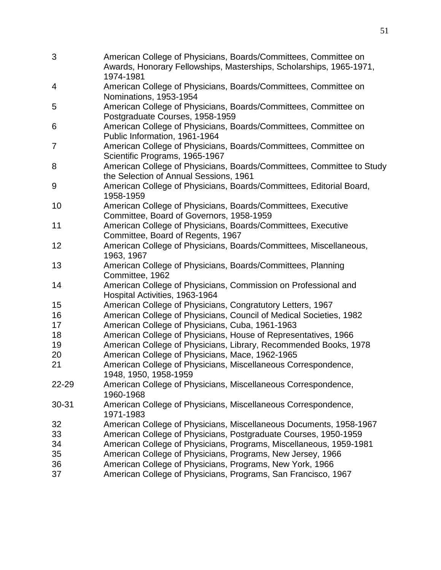| 3              | American College of Physicians, Boards/Committees, Committee on<br>Awards, Honorary Fellowships, Masterships, Scholarships, 1965-1971,<br>1974-1981 |
|----------------|-----------------------------------------------------------------------------------------------------------------------------------------------------|
| 4              | American College of Physicians, Boards/Committees, Committee on<br>Nominations, 1953-1954                                                           |
| 5              | American College of Physicians, Boards/Committees, Committee on<br>Postgraduate Courses, 1958-1959                                                  |
| 6              | American College of Physicians, Boards/Committees, Committee on<br>Public Information, 1961-1964                                                    |
| $\overline{7}$ | American College of Physicians, Boards/Committees, Committee on<br>Scientific Programs, 1965-1967                                                   |
| 8              | American College of Physicians, Boards/Committees, Committee to Study<br>the Selection of Annual Sessions, 1961                                     |
| 9              | American College of Physicians, Boards/Committees, Editorial Board,<br>1958-1959                                                                    |
| 10             | American College of Physicians, Boards/Committees, Executive<br>Committee, Board of Governors, 1958-1959                                            |
| 11             | American College of Physicians, Boards/Committees, Executive<br>Committee, Board of Regents, 1967                                                   |
| 12             | American College of Physicians, Boards/Committees, Miscellaneous,<br>1963, 1967                                                                     |
| 13             | American College of Physicians, Boards/Committees, Planning<br>Committee, 1962                                                                      |
| 14             | American College of Physicians, Commission on Professional and<br>Hospital Activities, 1963-1964                                                    |
| 15             | American College of Physicians, Congratutory Letters, 1967                                                                                          |
| 16             | American College of Physicians, Council of Medical Societies, 1982                                                                                  |
| 17             | American College of Physicians, Cuba, 1961-1963                                                                                                     |
| 18             | American College of Physicians, House of Representatives, 1966                                                                                      |
| 19             | American College of Physicians, Library, Recommended Books, 1978                                                                                    |
| 20             | American College of Physicians, Mace, 1962-1965                                                                                                     |
| 21             | American College of Physicians, Miscellaneous Correspondence,<br>1948, 1950, 1958-1959                                                              |
| 22-29          | American College of Physicians, Miscellaneous Correspondence,<br>1960-1968                                                                          |
| $30 - 31$      | American College of Physicians, Miscellaneous Correspondence,<br>1971-1983                                                                          |
| 32             | American College of Physicians, Miscellaneous Documents, 1958-1967                                                                                  |
| 33             | American College of Physicians, Postgraduate Courses, 1950-1959                                                                                     |
| 34             | American College of Physicians, Programs, Miscellaneous, 1959-1981                                                                                  |
| 35             | American College of Physicians, Programs, New Jersey, 1966                                                                                          |
| 36             | American College of Physicians, Programs, New York, 1966                                                                                            |
| 37             | American College of Physicians, Programs, San Francisco, 1967                                                                                       |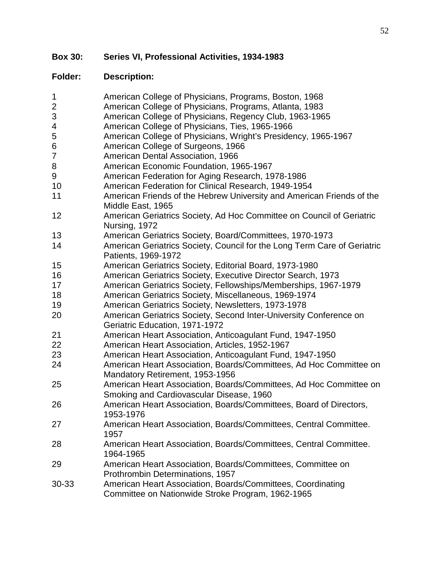**Box 30: Series VI, Professional Activities, 1934-1983**

| $\mathbf 1$<br>$\mathbf{2}$<br>$\mathsf 3$<br>4<br>5<br>6<br>$\overline{7}$<br>8<br>9<br>10<br>11 | American College of Physicians, Programs, Boston, 1968<br>American College of Physicians, Programs, Atlanta, 1983<br>American College of Physicians, Regency Club, 1963-1965<br>American College of Physicians, Ties, 1965-1966<br>American College of Physicians, Wright's Presidency, 1965-1967<br>American College of Surgeons, 1966<br>American Dental Association, 1966<br>American Economic Foundation, 1965-1967<br>American Federation for Aging Research, 1978-1986<br>American Federation for Clinical Research, 1949-1954<br>American Friends of the Hebrew University and American Friends of the<br>Middle East, 1965 |
|---------------------------------------------------------------------------------------------------|------------------------------------------------------------------------------------------------------------------------------------------------------------------------------------------------------------------------------------------------------------------------------------------------------------------------------------------------------------------------------------------------------------------------------------------------------------------------------------------------------------------------------------------------------------------------------------------------------------------------------------|
| 12                                                                                                | American Geriatrics Society, Ad Hoc Committee on Council of Geriatric<br>Nursing, 1972                                                                                                                                                                                                                                                                                                                                                                                                                                                                                                                                             |
| 13                                                                                                | American Geriatrics Society, Board/Committees, 1970-1973                                                                                                                                                                                                                                                                                                                                                                                                                                                                                                                                                                           |
| 14                                                                                                | American Geriatrics Society, Council for the Long Term Care of Geriatric<br>Patients, 1969-1972                                                                                                                                                                                                                                                                                                                                                                                                                                                                                                                                    |
| 15                                                                                                | American Geriatrics Society, Editorial Board, 1973-1980                                                                                                                                                                                                                                                                                                                                                                                                                                                                                                                                                                            |
| 16                                                                                                | American Geriatrics Society, Executive Director Search, 1973                                                                                                                                                                                                                                                                                                                                                                                                                                                                                                                                                                       |
| 17                                                                                                | American Geriatrics Society, Fellowships/Memberships, 1967-1979                                                                                                                                                                                                                                                                                                                                                                                                                                                                                                                                                                    |
| 18                                                                                                | American Geriatrics Society, Miscellaneous, 1969-1974                                                                                                                                                                                                                                                                                                                                                                                                                                                                                                                                                                              |
| 19                                                                                                | American Geriatrics Society, Newsletters, 1973-1978                                                                                                                                                                                                                                                                                                                                                                                                                                                                                                                                                                                |
| 20                                                                                                | American Geriatrics Society, Second Inter-University Conference on<br>Geriatric Education, 1971-1972                                                                                                                                                                                                                                                                                                                                                                                                                                                                                                                               |
| 21                                                                                                | American Heart Association, Anticoagulant Fund, 1947-1950                                                                                                                                                                                                                                                                                                                                                                                                                                                                                                                                                                          |
| 22                                                                                                | American Heart Association, Articles, 1952-1967                                                                                                                                                                                                                                                                                                                                                                                                                                                                                                                                                                                    |
| 23                                                                                                | American Heart Association, Anticoagulant Fund, 1947-1950                                                                                                                                                                                                                                                                                                                                                                                                                                                                                                                                                                          |
| 24                                                                                                | American Heart Association, Boards/Committees, Ad Hoc Committee on                                                                                                                                                                                                                                                                                                                                                                                                                                                                                                                                                                 |
|                                                                                                   | Mandatory Retirement, 1953-1956                                                                                                                                                                                                                                                                                                                                                                                                                                                                                                                                                                                                    |
| 25                                                                                                | American Heart Association, Boards/Committees, Ad Hoc Committee on<br>Smoking and Cardiovascular Disease, 1960                                                                                                                                                                                                                                                                                                                                                                                                                                                                                                                     |
| 26                                                                                                | American Heart Association, Boards/Committees, Board of Directors,<br>1953-1976                                                                                                                                                                                                                                                                                                                                                                                                                                                                                                                                                    |
| 27                                                                                                | American Heart Association, Boards/Committees, Central Committee.<br>1957                                                                                                                                                                                                                                                                                                                                                                                                                                                                                                                                                          |
| 28                                                                                                | American Heart Association, Boards/Committees, Central Committee.<br>1964-1965                                                                                                                                                                                                                                                                                                                                                                                                                                                                                                                                                     |
| 29                                                                                                | American Heart Association, Boards/Committees, Committee on<br>Prothrombin Determinations, 1957                                                                                                                                                                                                                                                                                                                                                                                                                                                                                                                                    |
| 30-33                                                                                             | American Heart Association, Boards/Committees, Coordinating<br>Committee on Nationwide Stroke Program, 1962-1965                                                                                                                                                                                                                                                                                                                                                                                                                                                                                                                   |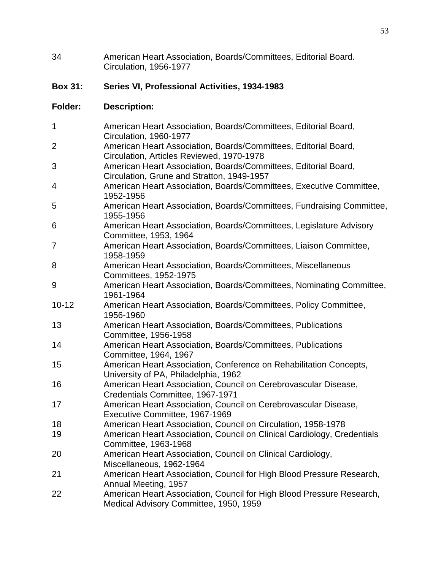34 American Heart Association, Boards/Committees, Editorial Board. Circulation, 1956-1977

# **Box 31: Series VI, Professional Activities, 1934-1983**

| 1              | American Heart Association, Boards/Committees, Editorial Board,<br>Circulation, 1960-1977                       |
|----------------|-----------------------------------------------------------------------------------------------------------------|
| $\overline{2}$ | American Heart Association, Boards/Committees, Editorial Board,                                                 |
|                | Circulation, Articles Reviewed, 1970-1978                                                                       |
| 3              | American Heart Association, Boards/Committees, Editorial Board,                                                 |
|                | Circulation, Grune and Stratton, 1949-1957                                                                      |
| 4              | American Heart Association, Boards/Committees, Executive Committee,<br>1952-1956                                |
| 5              | American Heart Association, Boards/Committees, Fundraising Committee,<br>1955-1956                              |
| 6              | American Heart Association, Boards/Committees, Legislature Advisory<br>Committee, 1953, 1964                    |
| 7              | American Heart Association, Boards/Committees, Liaison Committee,<br>1958-1959                                  |
| 8              | American Heart Association, Boards/Committees, Miscellaneous<br>Committees, 1952-1975                           |
| 9              | American Heart Association, Boards/Committees, Nominating Committee,<br>1961-1964                               |
| $10 - 12$      | American Heart Association, Boards/Committees, Policy Committee,<br>1956-1960                                   |
| 13             | American Heart Association, Boards/Committees, Publications<br>Committee, 1956-1958                             |
| 14             | American Heart Association, Boards/Committees, Publications<br>Committee, 1964, 1967                            |
| 15             | American Heart Association, Conference on Rehabilitation Concepts,<br>University of PA, Philadelphia, 1962      |
| 16             | American Heart Association, Council on Cerebrovascular Disease,<br>Credentials Committee, 1967-1971             |
| 17             | American Heart Association, Council on Cerebrovascular Disease,<br>Executive Committee, 1967-1969               |
| 18             | American Heart Association, Council on Circulation, 1958-1978                                                   |
| 19             | American Heart Association, Council on Clinical Cardiology, Credentials<br>Committee, 1963-1968                 |
| 20             | American Heart Association, Council on Clinical Cardiology,<br>Miscellaneous, 1962-1964                         |
| 21             | American Heart Association, Council for High Blood Pressure Research,<br>Annual Meeting, 1957                   |
| 22             | American Heart Association, Council for High Blood Pressure Research,<br>Medical Advisory Committee, 1950, 1959 |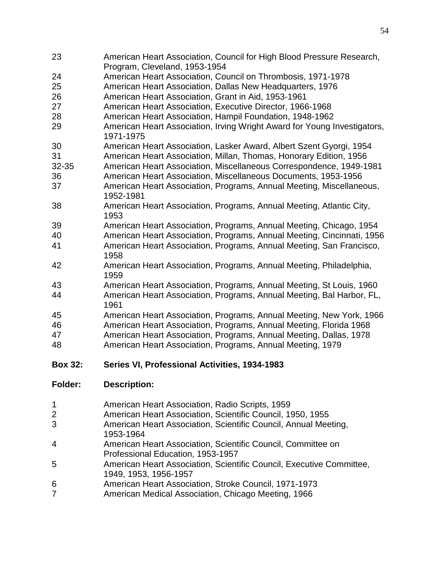- American Heart Association, Council for High Blood Pressure Research, Program, Cleveland, 1953-1954
- American Heart Association, Council on Thrombosis, 1971-1978
- American Heart Association, Dallas New Headquarters, 1976
- American Heart Association, Grant in Aid, 1953-1961
- American Heart Association, Executive Director, 1966-1968
- American Heart Association, Hampil Foundation, 1948-1962
- American Heart Association, Irving Wright Award for Young Investigators, 1971-1975
- American Heart Association, Lasker Award, Albert Szent Gyorgi, 1954
- American Heart Association, Millan, Thomas, Honorary Edition, 1956
- 32-35 American Heart Association, Miscellaneous Correspondence, 1949-1981 American Heart Association, Miscellaneous Documents, 1953-1956
- American Heart Association, Programs, Annual Meeting, Miscellaneous, 1952-1981
- American Heart Association, Programs, Annual Meeting, Atlantic City,
- American Heart Association, Programs, Annual Meeting, Chicago, 1954
- American Heart Association, Programs, Annual Meeting, Cincinnati, 1956 American Heart Association, Programs, Annual Meeting, San Francisco,
- 
- American Heart Association, Programs, Annual Meeting, Philadelphia,
- American Heart Association, Programs, Annual Meeting, St Louis, 1960 American Heart Association, Programs, Annual Meeting, Bal Harbor, FL,
- 
- American Heart Association, Programs, Annual Meeting, New York, 1966
- American Heart Association, Programs, Annual Meeting, Florida 1968
- American Heart Association, Programs, Annual Meeting, Dallas, 1978
- American Heart Association, Programs, Annual Meeting, 1979
- **Box 32: Series VI, Professional Activities, 1934-1983**
- **Folder: Description:**
- American Heart Association, Radio Scripts, 1959
- American Heart Association, Scientific Council, 1950, 1955
- American Heart Association, Scientific Council, Annual Meeting, 1953-1964
- American Heart Association, Scientific Council, Committee on Professional Education, 1953-1957
- American Heart Association, Scientific Council, Executive Committee, 1949, 1953, 1956-1957
- American Heart Association, Stroke Council, 1971-1973
- American Medical Association, Chicago Meeting, 1966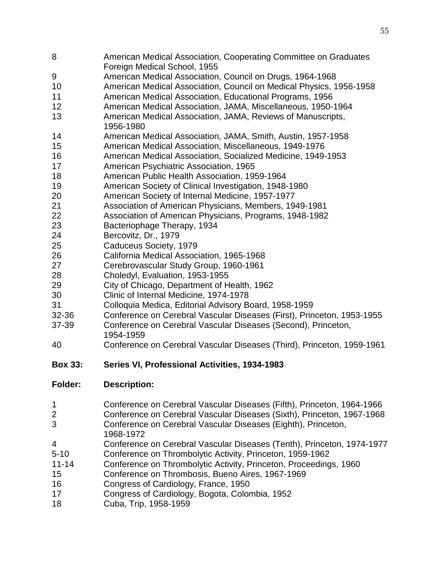- American Medical Association, Cooperating Committee on Graduates Foreign Medical School, 1955
- American Medical Association, Council on Drugs, 1964-1968
- American Medical Association, Council on Medical Physics, 1956-1958
- American Medical Association, Educational Programs, 1956
- American Medical Association, JAMA, Miscellaneous, 1950-1964
- American Medical Association, JAMA, Reviews of Manuscripts, 1956-1980
- American Medical Association, JAMA, Smith, Austin, 1957-1958
- American Medical Association, Miscellaneous, 1949-1976
- American Medical Association, Socialized Medicine, 1949-1953
- American Psychiatric Association, 1965
- American Public Health Association, 1959-1964
- American Society of Clinical Investigation, 1948-1980
- American Society of Internal Medicine, 1957-1977
- Association of American Physicians, Members, 1949-1981
- Association of American Physicians, Programs, 1948-1982
- Bacteriophage Therapy, 1934
- Bercovitz, Dr., 1979
- Caduceus Society, 1979
- California Medical Association, 1965-1968
- Cerebrovascular Study Group, 1960-1961
- Choledyl, Evaluation, 1953-1955
- City of Chicago, Department of Health, 1962
- Clinic of Internal Medicine, 1974-1978
- Colloquia Medica, Editorial Advisory Board, 1958-1959
- 32-36 Conference on Cerebral Vascular Diseases (First), Princeton, 1953-1955
- 37-39 Conference on Cerebral Vascular Diseases (Second), Princeton, 1954-1959
- Conference on Cerebral Vascular Diseases (Third), Princeton, 1959-1961
- **Box 33: Series VI, Professional Activities, 1934-1983**
- **Folder: Description:**
- Conference on Cerebral Vascular Diseases (Fifth), Princeton, 1964-1966
- Conference on Cerebral Vascular Diseases (Sixth), Princeton, 1967-1968
- Conference on Cerebral Vascular Diseases (Eighth), Princeton, 1968-1972
- Conference on Cerebral Vascular Diseases (Tenth), Princeton, 1974-1977
- 5-10 Conference on Thrombolytic Activity, Princeton, 1959-1962
- 11-14 Conference on Thrombolytic Activity, Princeton, Proceedings, 1960
- Conference on Thrombosis, Bueno Aires, 1967-1969
- Congress of Cardiology, France, 1950
- Congress of Cardiology, Bogota, Colombia, 1952
- Cuba, Trip, 1958-1959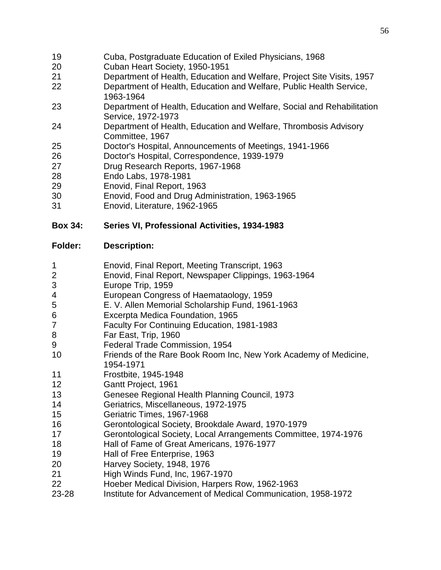- Cuba, Postgraduate Education of Exiled Physicians, 1968
- Cuban Heart Society, 1950-1951
- Department of Health, Education and Welfare, Project Site Visits, 1957
- Department of Health, Education and Welfare, Public Health Service, 1963-1964
- Department of Health, Education and Welfare, Social and Rehabilitation Service, 1972-1973
- Department of Health, Education and Welfare, Thrombosis Advisory Committee, 1967
- Doctor's Hospital, Announcements of Meetings, 1941-1966
- Doctor's Hospital, Correspondence, 1939-1979
- Drug Research Reports, 1967-1968
- Endo Labs, 1978-1981
- Enovid, Final Report, 1963
- Enovid, Food and Drug Administration, 1963-1965
- Enovid, Literature, 1962-1965

# **Box 34: Series VI, Professional Activities, 1934-1983**

- Enovid, Final Report, Meeting Transcript, 1963
- Enovid, Final Report, Newspaper Clippings, 1963-1964
- Europe Trip, 1959
- European Congress of Haemataology, 1959
- E. V. Allen Memorial Scholarship Fund, 1961-1963
- Excerpta Medica Foundation, 1965
- Faculty For Continuing Education, 1981-1983
- Far East, Trip, 1960
- Federal Trade Commission, 1954
- Friends of the Rare Book Room Inc, New York Academy of Medicine, 1954-1971
- Frostbite, 1945-1948
- Gantt Project, 1961
- Genesee Regional Health Planning Council, 1973
- Geriatrics, Miscellaneous, 1972-1975
- Geriatric Times, 1967-1968
- Gerontological Society, Brookdale Award, 1970-1979
- Gerontological Society, Local Arrangements Committee, 1974-1976
- Hall of Fame of Great Americans, 1976-1977
- Hall of Free Enterprise, 1963
- Harvey Society, 1948, 1976
- High Winds Fund, Inc, 1967-1970
- Hoeber Medical Division, Harpers Row, 1962-1963
- 23-28 Institute for Advancement of Medical Communication, 1958-1972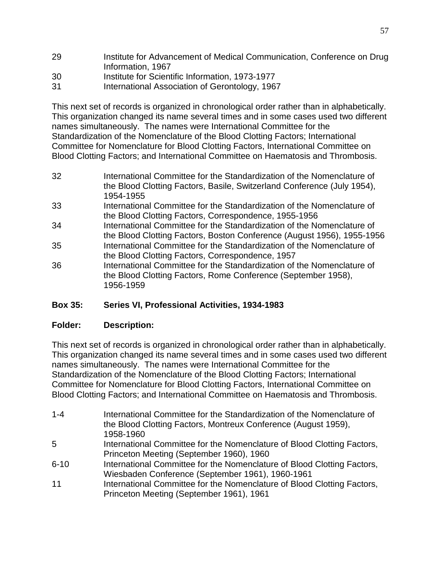- 29 Institute for Advancement of Medical Communication, Conference on Drug Information, 1967
- 30 Institute for Scientific Information, 1973-1977
- 31 International Association of Gerontology, 1967

This next set of records is organized in chronological order rather than in alphabetically. This organization changed its name several times and in some cases used two different names simultaneously. The names were International Committee for the Standardization of the Nomenclature of the Blood Clotting Factors; International Committee for Nomenclature for Blood Clotting Factors, International Committee on Blood Clotting Factors; and International Committee on Haematosis and Thrombosis.

- 32 International Committee for the Standardization of the Nomenclature of the Blood Clotting Factors, Basile, Switzerland Conference (July 1954), 1954-1955
- 33 International Committee for the Standardization of the Nomenclature of the Blood Clotting Factors, Correspondence, 1955-1956
- 34 International Committee for the Standardization of the Nomenclature of the Blood Clotting Factors, Boston Conference (August 1956), 1955-1956 35 International Committee for the Standardization of the Nomenclature of
- the Blood Clotting Factors, Correspondence, 1957
- 36 International Committee for the Standardization of the Nomenclature of the Blood Clotting Factors, Rome Conference (September 1958), 1956-1959

# **Box 35: Series VI, Professional Activities, 1934-1983**

## **Folder: Description:**

This next set of records is organized in chronological order rather than in alphabetically. This organization changed its name several times and in some cases used two different names simultaneously. The names were International Committee for the Standardization of the Nomenclature of the Blood Clotting Factors; International Committee for Nomenclature for Blood Clotting Factors, International Committee on Blood Clotting Factors; and International Committee on Haematosis and Thrombosis.

- 1-4 International Committee for the Standardization of the Nomenclature of the Blood Clotting Factors, Montreux Conference (August 1959), 1958-1960 5 International Committee for the Nomenclature of Blood Clotting Factors,
- Princeton Meeting (September 1960), 1960
- 6-10 International Committee for the Nomenclature of Blood Clotting Factors, Wiesbaden Conference (September 1961), 1960-1961
- 11 **International Committee for the Nomenclature of Blood Clotting Factors,** Princeton Meeting (September 1961), 1961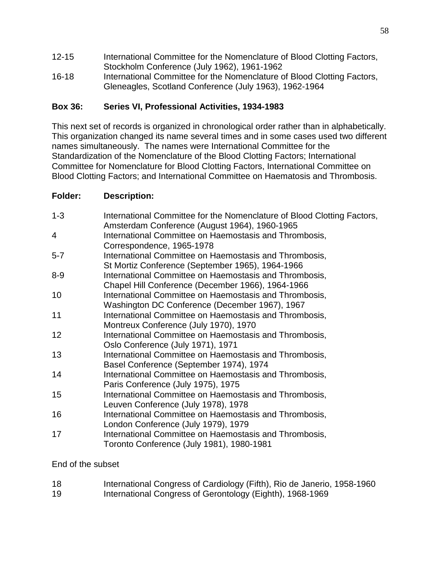- 12-15 International Committee for the Nomenclature of Blood Clotting Factors, Stockholm Conference (July 1962), 1961-1962
- 16-18 International Committee for the Nomenclature of Blood Clotting Factors, Gleneagles, Scotland Conference (July 1963), 1962-1964

# **Box 36: Series VI, Professional Activities, 1934-1983**

This next set of records is organized in chronological order rather than in alphabetically. This organization changed its name several times and in some cases used two different names simultaneously. The names were International Committee for the Standardization of the Nomenclature of the Blood Clotting Factors; International Committee for Nomenclature for Blood Clotting Factors, International Committee on Blood Clotting Factors; and International Committee on Haematosis and Thrombosis.

## **Folder: Description:**

| $1 - 3$        | International Committee for the Nomenclature of Blood Clotting Factors,<br>Amsterdam Conference (August 1964), 1960-1965 |
|----------------|--------------------------------------------------------------------------------------------------------------------------|
| $\overline{4}$ | International Committee on Haemostasis and Thrombosis,                                                                   |
|                | Correspondence, 1965-1978                                                                                                |
| $5 - 7$        | International Committee on Haemostasis and Thrombosis,                                                                   |
|                | St Mortiz Conference (September 1965), 1964-1966                                                                         |
| $8 - 9$        | International Committee on Haemostasis and Thrombosis,                                                                   |
|                | Chapel Hill Conference (December 1966), 1964-1966                                                                        |
| 10             | International Committee on Haemostasis and Thrombosis,                                                                   |
|                | Washington DC Conference (December 1967), 1967                                                                           |
| 11             | International Committee on Haemostasis and Thrombosis,                                                                   |
|                | Montreux Conference (July 1970), 1970                                                                                    |
| 12             | International Committee on Haemostasis and Thrombosis,                                                                   |
|                | Oslo Conference (July 1971), 1971                                                                                        |
| 13             | International Committee on Haemostasis and Thrombosis,                                                                   |
|                | Basel Conference (September 1974), 1974                                                                                  |
| 14             | International Committee on Haemostasis and Thrombosis,                                                                   |
|                | Paris Conference (July 1975), 1975                                                                                       |
| 15             | International Committee on Haemostasis and Thrombosis,                                                                   |
|                | Leuven Conference (July 1978), 1978                                                                                      |
| 16             | International Committee on Haemostasis and Thrombosis,                                                                   |
|                | London Conference (July 1979), 1979                                                                                      |
| 17             | International Committee on Haemostasis and Thrombosis,                                                                   |
|                | Toronto Conference (July 1981), 1980-1981                                                                                |

End of the subset

| 18 | International Congress of Cardiology (Fifth), Rio de Janerio, 1958-1960 |
|----|-------------------------------------------------------------------------|
| 19 | International Congress of Gerontology (Eighth), 1968-1969               |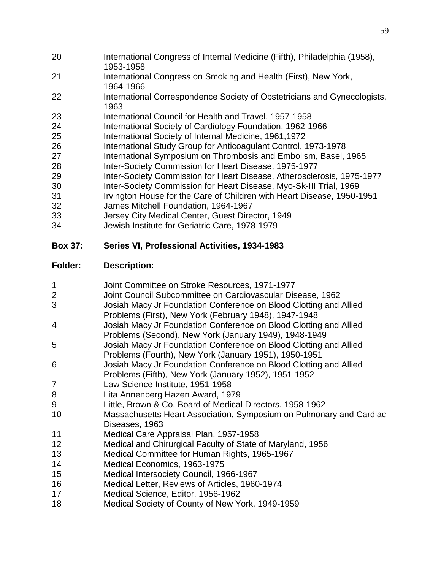- International Congress of Internal Medicine (Fifth), Philadelphia (1958), 1953-1958
- International Congress on Smoking and Health (First), New York, 1964-1966
- International Correspondence Society of Obstetricians and Gynecologists,
- International Council for Health and Travel, 1957-1958
- International Society of Cardiology Foundation, 1962-1966
- International Society of Internal Medicine, 1961,1972
- 26 International Study Group for Anticoagulant Control, 1973-1978<br>27 International Symposium on Thrombosis and Embolism, Basel,
- International Symposium on Thrombosis and Embolism, Basel, 1965
- Inter-Society Commission for Heart Disease, 1975-1977
- Inter-Society Commission for Heart Disease, Atherosclerosis, 1975-1977
- Inter-Society Commission for Heart Disease, Myo-Sk-III Trial, 1969
- Irvington House for the Care of Children with Heart Disease, 1950-1951
- James Mitchell Foundation, 1964-1967
- Jersey City Medical Center, Guest Director, 1949
- Jewish Institute for Geriatric Care, 1978-1979

# **Box 37: Series VI, Professional Activities, 1934-1983**

- Joint Committee on Stroke Resources, 1971-1977 Joint Council Subcommittee on Cardiovascular Disease, 1962 Josiah Macy Jr Foundation Conference on Blood Clotting and Allied Problems (First), New York (February 1948), 1947-1948 Josiah Macy Jr Foundation Conference on Blood Clotting and Allied Problems (Second), New York (January 1949), 1948-1949 Josiah Macy Jr Foundation Conference on Blood Clotting and Allied Problems (Fourth), New York (January 1951), 1950-1951 Josiah Macy Jr Foundation Conference on Blood Clotting and Allied Problems (Fifth), New York (January 1952), 1951-1952 Law Science Institute, 1951-1958 Lita Annenberg Hazen Award, 1979 Little, Brown & Co, Board of Medical Directors, 1958-1962 Massachusetts Heart Association, Symposium on Pulmonary and Cardiac Diseases, 1963 Medical Care Appraisal Plan, 1957-1958 Medical and Chirurgical Faculty of State of Maryland, 1956 Medical Committee for Human Rights, 1965-1967 Medical Economics, 1963-1975 Medical Intersociety Council, 1966-1967 Medical Letter, Reviews of Articles, 1960-1974 Medical Science, Editor, 1956-1962
- Medical Society of County of New York, 1949-1959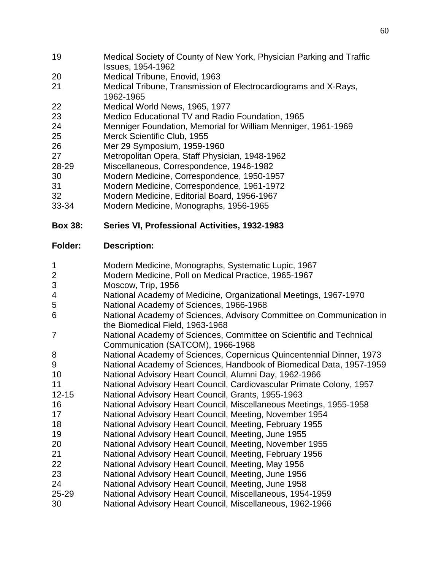- Medical Society of County of New York, Physician Parking and Traffic Issues, 1954-1962
- Medical Tribune, Enovid, 1963
- Medical Tribune, Transmission of Electrocardiograms and X-Rays, 1962-1965
- Medical World News, 1965, 1977
- Medico Educational TV and Radio Foundation, 1965
- Menniger Foundation, Memorial for William Menniger, 1961-1969
- Merck Scientific Club, 1955
- Mer 29 Symposium, 1959-1960
- Metropolitan Opera, Staff Physician, 1948-1962
- 28-29 Miscellaneous, Correspondence, 1946-1982
- Modern Medicine, Correspondence, 1950-1957
- Modern Medicine, Correspondence, 1961-1972
- Modern Medicine, Editorial Board, 1956-1967
- 33-34 Modern Medicine, Monographs, 1956-1965

# **Box 38: Series VI, Professional Activities, 1932-1983**

- Modern Medicine, Monographs, Systematic Lupic, 1967
- Modern Medicine, Poll on Medical Practice, 1965-1967
- Moscow, Trip, 1956
- National Academy of Medicine, Organizational Meetings, 1967-1970
- National Academy of Sciences, 1966-1968
- National Academy of Sciences, Advisory Committee on Communication in the Biomedical Field, 1963-1968
- National Academy of Sciences, Committee on Scientific and Technical Communication (SATCOM), 1966-1968
- National Academy of Sciences, Copernicus Quincentennial Dinner, 1973
- National Academy of Sciences, Handbook of Biomedical Data, 1957-1959
- National Advisory Heart Council, Alumni Day, 1962-1966
- National Advisory Heart Council, Cardiovascular Primate Colony, 1957
- 12-15 National Advisory Heart Council, Grants, 1955-1963
- National Advisory Heart Council, Miscellaneous Meetings, 1955-1958
- National Advisory Heart Council, Meeting, November 1954
- National Advisory Heart Council, Meeting, February 1955
- National Advisory Heart Council, Meeting, June 1955
- National Advisory Heart Council, Meeting, November 1955
- National Advisory Heart Council, Meeting, February 1956
- National Advisory Heart Council, Meeting, May 1956
- National Advisory Heart Council, Meeting, June 1956
- National Advisory Heart Council, Meeting, June 1958
- 25-29 National Advisory Heart Council, Miscellaneous, 1954-1959
- National Advisory Heart Council, Miscellaneous, 1962-1966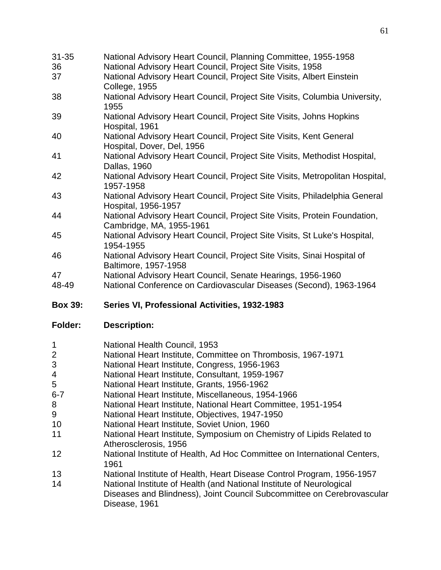| $31 - 35$ | National Advisory Heart Council, Planning Committee, 1955-1958                                        |
|-----------|-------------------------------------------------------------------------------------------------------|
| 36        | National Advisory Heart Council, Project Site Visits, 1958                                            |
| 37        | National Advisory Heart Council, Project Site Visits, Albert Einstein<br>College, 1955                |
| 38        | National Advisory Heart Council, Project Site Visits, Columbia University,<br>1955                    |
| 39        | National Advisory Heart Council, Project Site Visits, Johns Hopkins<br>Hospital, 1961                 |
| 40        | National Advisory Heart Council, Project Site Visits, Kent General<br>Hospital, Dover, Del, 1956      |
| 41        | National Advisory Heart Council, Project Site Visits, Methodist Hospital,<br>Dallas, 1960             |
| 42        | National Advisory Heart Council, Project Site Visits, Metropolitan Hospital,<br>1957-1958             |
| 43        | National Advisory Heart Council, Project Site Visits, Philadelphia General<br>Hospital, 1956-1957     |
| 44        | National Advisory Heart Council, Project Site Visits, Protein Foundation,<br>Cambridge, MA, 1955-1961 |
| 45        | National Advisory Heart Council, Project Site Visits, St Luke's Hospital,<br>1954-1955                |
| 46        | National Advisory Heart Council, Project Site Visits, Sinai Hospital of<br>Baltimore, 1957-1958       |
| 47        | National Advisory Heart Council, Senate Hearings, 1956-1960                                           |
| $19 - 10$ | National Conference on Cardiovascular Diseases (Second) 1963-1964                                     |

48-49 National Conference on Cardiovascular Diseases (Second), 1963-1964

# **Box 39: Series VI, Professional Activities, 1932-1983**

| $\mathbf 1$    | National Health Council, 1953                                                    |
|----------------|----------------------------------------------------------------------------------|
| $\overline{2}$ | National Heart Institute, Committee on Thrombosis, 1967-1971                     |
| 3              | National Heart Institute, Congress, 1956-1963                                    |
| $\overline{4}$ | National Heart Institute, Consultant, 1959-1967                                  |
| 5              | National Heart Institute, Grants, 1956-1962                                      |
| $6 - 7$        | National Heart Institute, Miscellaneous, 1954-1966                               |
| 8              | National Heart Institute, National Heart Committee, 1951-1954                    |
| 9              | National Heart Institute, Objectives, 1947-1950                                  |
| 10             | National Heart Institute, Soviet Union, 1960                                     |
| 11             | National Heart Institute, Symposium on Chemistry of Lipids Related to            |
|                | Atherosclerosis, 1956                                                            |
| 12             | National Institute of Health, Ad Hoc Committee on International Centers,<br>1961 |
| 13             | National Institute of Health, Heart Disease Control Program, 1956-1957           |
| 14             | National Institute of Health (and National Institute of Neurological             |
|                | Diseases and Blindness), Joint Council Subcommittee on Cerebrovascular           |
|                | Disease, 1961                                                                    |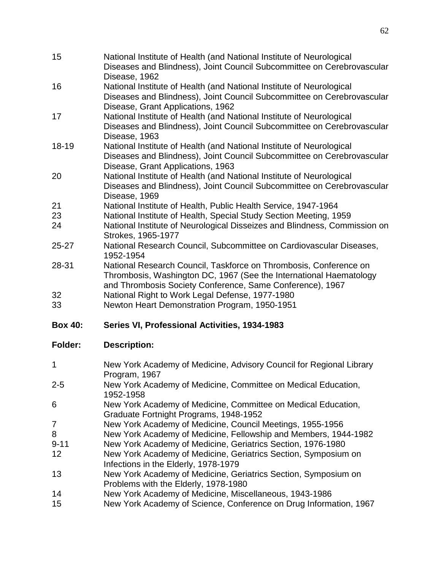| 15             | National Institute of Health (and National Institute of Neurological<br>Diseases and Blindness), Joint Council Subcommittee on Cerebrovascular<br>Disease, 1962                     |
|----------------|-------------------------------------------------------------------------------------------------------------------------------------------------------------------------------------|
| 16             | National Institute of Health (and National Institute of Neurological<br>Diseases and Blindness), Joint Council Subcommittee on Cerebrovascular                                      |
| 17             | Disease, Grant Applications, 1962<br>National Institute of Health (and National Institute of Neurological<br>Diseases and Blindness), Joint Council Subcommittee on Cerebrovascular |
| 18-19          | Disease, 1963<br>National Institute of Health (and National Institute of Neurological<br>Diseases and Blindness), Joint Council Subcommittee on Cerebrovascular                     |
| 20             | Disease, Grant Applications, 1963<br>National Institute of Health (and National Institute of Neurological<br>Diseases and Blindness), Joint Council Subcommittee on Cerebrovascular |
|                | Disease, 1969                                                                                                                                                                       |
| 21             | National Institute of Health, Public Health Service, 1947-1964                                                                                                                      |
| 23             | National Institute of Health, Special Study Section Meeting, 1959                                                                                                                   |
| 24             | National Institute of Neurological Disseizes and Blindness, Commission on<br>Strokes, 1965-1977                                                                                     |
| $25 - 27$      | National Research Council, Subcommittee on Cardiovascular Diseases,<br>1952-1954                                                                                                    |
| 28-31          | National Research Council, Taskforce on Thrombosis, Conference on<br>Thrombosis, Washington DC, 1967 (See the International Haematology                                             |
|                |                                                                                                                                                                                     |
|                | and Thrombosis Society Conference, Same Conference), 1967                                                                                                                           |
| 32<br>33       | National Right to Work Legal Defense, 1977-1980<br>Newton Heart Demonstration Program, 1950-1951                                                                                    |
| <b>Box 40:</b> | Series VI, Professional Activities, 1934-1983                                                                                                                                       |
| <b>Folder:</b> | <b>Description:</b>                                                                                                                                                                 |
| $\mathbf 1$    | New York Academy of Medicine, Advisory Council for Regional Library                                                                                                                 |
| $2 - 5$        | Program, 1967<br>New York Academy of Medicine, Committee on Medical Education,                                                                                                      |
| 6              | 1952-1958<br>New York Academy of Medicine, Committee on Medical Education,                                                                                                          |
|                | Graduate Fortnight Programs, 1948-1952                                                                                                                                              |
| 7              | New York Academy of Medicine, Council Meetings, 1955-1956                                                                                                                           |
| 8              | New York Academy of Medicine, Fellowship and Members, 1944-1982                                                                                                                     |
| $9 - 11$<br>12 | New York Academy of Medicine, Geriatrics Section, 1976-1980<br>New York Academy of Medicine, Geriatrics Section, Symposium on                                                       |
| 13             | Infections in the Elderly, 1978-1979<br>New York Academy of Medicine, Geriatrics Section, Symposium on<br>Problems with the Elderly, 1978-1980                                      |
| 14             | New York Academy of Medicine, Miscellaneous, 1943-1986                                                                                                                              |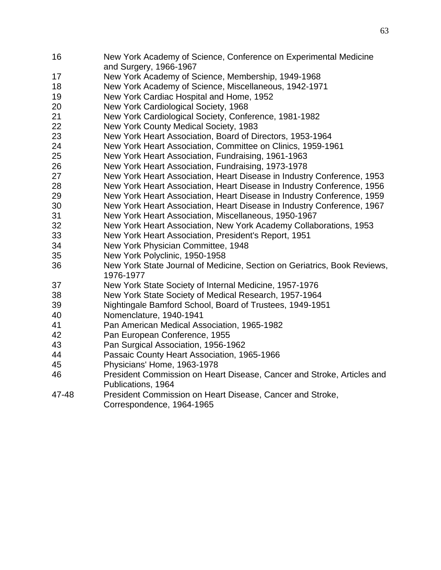- New York Academy of Science, Conference on Experimental Medicine and Surgery, 1966-1967
- New York Academy of Science, Membership, 1949-1968
- New York Academy of Science, Miscellaneous, 1942-1971
- New York Cardiac Hospital and Home, 1952
- New York Cardiological Society, 1968
- New York Cardiological Society, Conference, 1981-1982
- New York County Medical Society, 1983
- New York Heart Association, Board of Directors, 1953-1964
- New York Heart Association, Committee on Clinics, 1959-1961
- New York Heart Association, Fundraising, 1961-1963
- New York Heart Association, Fundraising, 1973-1978
- New York Heart Association, Heart Disease in Industry Conference, 1953
- New York Heart Association, Heart Disease in Industry Conference, 1956
- New York Heart Association, Heart Disease in Industry Conference, 1959
- New York Heart Association, Heart Disease in Industry Conference, 1967
- New York Heart Association, Miscellaneous, 1950-1967
- New York Heart Association, New York Academy Collaborations, 1953
- New York Heart Association, President's Report, 1951
- New York Physician Committee, 1948
- New York Polyclinic, 1950-1958
- New York State Journal of Medicine, Section on Geriatrics, Book Reviews, 1976-1977
- New York State Society of Internal Medicine, 1957-1976
- New York State Society of Medical Research, 1957-1964
- Nightingale Bamford School, Board of Trustees, 1949-1951
- Nomenclature, 1940-1941
- Pan American Medical Association, 1965-1982
- Pan European Conference, 1955
- Pan Surgical Association, 1956-1962
- Passaic County Heart Association, 1965-1966
- Physicians' Home, 1963-1978
- President Commission on Heart Disease, Cancer and Stroke, Articles and Publications, 1964
- 47-48 President Commission on Heart Disease, Cancer and Stroke, Correspondence, 1964-1965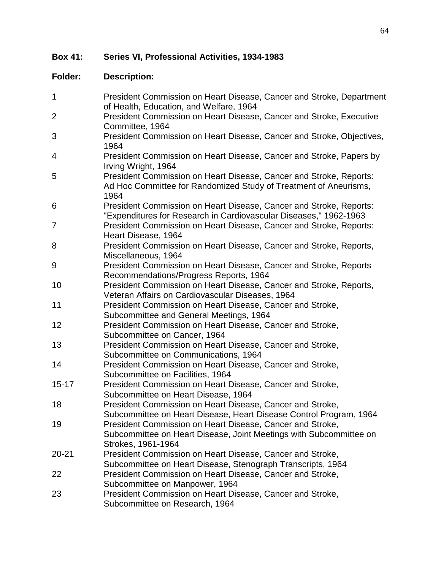**Box 41: Series VI, Professional Activities, 1934-1983**

| $\mathbf 1$    | President Commission on Heart Disease, Cancer and Stroke, Department<br>of Health, Education, and Welfare, 1964                                       |
|----------------|-------------------------------------------------------------------------------------------------------------------------------------------------------|
| $\overline{2}$ | President Commission on Heart Disease, Cancer and Stroke, Executive<br>Committee, 1964                                                                |
| 3              | President Commission on Heart Disease, Cancer and Stroke, Objectives,<br>1964                                                                         |
| 4              | President Commission on Heart Disease, Cancer and Stroke, Papers by<br>Irving Wright, 1964                                                            |
| 5              | President Commission on Heart Disease, Cancer and Stroke, Reports:<br>Ad Hoc Committee for Randomized Study of Treatment of Aneurisms,<br>1964        |
| 6              | President Commission on Heart Disease, Cancer and Stroke, Reports:<br>"Expenditures for Research in Cardiovascular Diseases," 1962-1963               |
| 7              | President Commission on Heart Disease, Cancer and Stroke, Reports:<br>Heart Disease, 1964                                                             |
| 8              | President Commission on Heart Disease, Cancer and Stroke, Reports,<br>Miscellaneous, 1964                                                             |
| 9              | President Commission on Heart Disease, Cancer and Stroke, Reports<br>Recommendations/Progress Reports, 1964                                           |
| 10             | President Commission on Heart Disease, Cancer and Stroke, Reports,<br>Veteran Affairs on Cardiovascular Diseases, 1964                                |
| 11             | President Commission on Heart Disease, Cancer and Stroke,<br>Subcommittee and General Meetings, 1964                                                  |
| 12             | President Commission on Heart Disease, Cancer and Stroke,<br>Subcommittee on Cancer, 1964                                                             |
| 13             | President Commission on Heart Disease, Cancer and Stroke,<br>Subcommittee on Communications, 1964                                                     |
| 14             | President Commission on Heart Disease, Cancer and Stroke,<br>Subcommittee on Facilities, 1964                                                         |
| $15 - 17$      | President Commission on Heart Disease, Cancer and Stroke,<br>Subcommittee on Heart Disease, 1964                                                      |
| 18             | President Commission on Heart Disease, Cancer and Stroke,<br>Subcommittee on Heart Disease, Heart Disease Control Program, 1964                       |
| 19             | President Commission on Heart Disease, Cancer and Stroke,<br>Subcommittee on Heart Disease, Joint Meetings with Subcommittee on<br>Strokes, 1961-1964 |
| $20 - 21$      | President Commission on Heart Disease, Cancer and Stroke,<br>Subcommittee on Heart Disease, Stenograph Transcripts, 1964                              |
| 22             | President Commission on Heart Disease, Cancer and Stroke,<br>Subcommittee on Manpower, 1964                                                           |
| 23             | President Commission on Heart Disease, Cancer and Stroke,<br>Subcommittee on Research, 1964                                                           |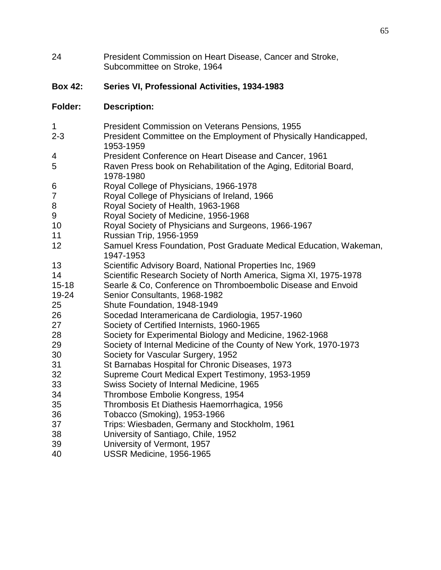| 24 | President Commission on Heart Disease, Cancer and Stroke, |
|----|-----------------------------------------------------------|
|    | Subcommittee on Stroke, 1964                              |

# **Box 42: Series VI, Professional Activities, 1934-1983**

| $\mathbf 1$    | President Commission on Veterans Pensions, 1955                                 |
|----------------|---------------------------------------------------------------------------------|
| $2 - 3$        | President Committee on the Employment of Physically Handicapped,<br>1953-1959   |
| 4              | President Conference on Heart Disease and Cancer, 1961                          |
| 5              | Raven Press book on Rehabilitation of the Aging, Editorial Board,<br>1978-1980  |
| 6              | Royal College of Physicians, 1966-1978                                          |
| $\overline{7}$ | Royal College of Physicians of Ireland, 1966                                    |
| 8              | Royal Society of Health, 1963-1968                                              |
| 9              | Royal Society of Medicine, 1956-1968                                            |
| 10             | Royal Society of Physicians and Surgeons, 1966-1967                             |
| 11             | Russian Trip, 1956-1959                                                         |
| 12             | Samuel Kress Foundation, Post Graduate Medical Education, Wakeman,<br>1947-1953 |
| 13             | Scientific Advisory Board, National Properties Inc, 1969                        |
| 14             | Scientific Research Society of North America, Sigma XI, 1975-1978               |
| $15 - 18$      | Searle & Co, Conference on Thromboembolic Disease and Envoid                    |
| 19-24          | Senior Consultants, 1968-1982                                                   |
| 25             | Shute Foundation, 1948-1949                                                     |
| 26             | Socedad Interamericana de Cardiologia, 1957-1960                                |
| 27             | Society of Certified Internists, 1960-1965                                      |
| 28             | Society for Experimental Biology and Medicine, 1962-1968                        |
| 29             | Society of Internal Medicine of the County of New York, 1970-1973               |
| 30             | Society for Vascular Surgery, 1952                                              |
| 31             | St Barnabas Hospital for Chronic Diseases, 1973                                 |
| 32             | Supreme Court Medical Expert Testimony, 1953-1959                               |
| 33             | Swiss Society of Internal Medicine, 1965                                        |
| 34             | Thrombose Embolie Kongress, 1954                                                |
| 35             | Thrombosis Et Diathesis Haemorrhagica, 1956                                     |
| 36             | Tobacco (Smoking), 1953-1966                                                    |
| 37             | Trips: Wiesbaden, Germany and Stockholm, 1961                                   |
| 38             | University of Santiago, Chile, 1952                                             |
| 39             | University of Vermont, 1957                                                     |
| 40             | USSR Medicine, 1956-1965                                                        |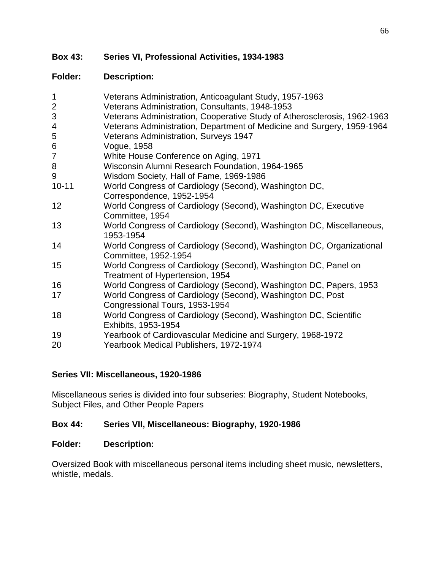## **Box 43: Series VI, Professional Activities, 1934-1983**

#### **Folder: Description:**

| $\mathbf 1$    | Veterans Administration, Anticoagulant Study, 1957-1963                  |
|----------------|--------------------------------------------------------------------------|
| $\overline{2}$ | Veterans Administration, Consultants, 1948-1953                          |
| $\mathfrak{S}$ | Veterans Administration, Cooperative Study of Atherosclerosis, 1962-1963 |
| 4              | Veterans Administration, Department of Medicine and Surgery, 1959-1964   |
| 5              | Veterans Administration, Surveys 1947                                    |
| 6              | Vogue, 1958                                                              |
| $\overline{7}$ | White House Conference on Aging, 1971                                    |
| $\bf{8}$       | Wisconsin Alumni Research Foundation, 1964-1965                          |
| 9              | Wisdom Society, Hall of Fame, 1969-1986                                  |
| $10 - 11$      | World Congress of Cardiology (Second), Washington DC,                    |
|                | Correspondence, 1952-1954                                                |
| 12             | World Congress of Cardiology (Second), Washington DC, Executive          |
|                | Committee, 1954                                                          |
| 13             | World Congress of Cardiology (Second), Washington DC, Miscellaneous,     |
|                | 1953-1954                                                                |
| 14             | World Congress of Cardiology (Second), Washington DC, Organizational     |
|                | Committee, 1952-1954                                                     |
| 15             | World Congress of Cardiology (Second), Washington DC, Panel on           |
|                | Treatment of Hypertension, 1954                                          |
| 16             | World Congress of Cardiology (Second), Washington DC, Papers, 1953       |
| 17             | World Congress of Cardiology (Second), Washington DC, Post               |
|                | Congressional Tours, 1953-1954                                           |
| 18             | World Congress of Cardiology (Second), Washington DC, Scientific         |
|                | Exhibits, 1953-1954                                                      |
| 19             | Yearbook of Cardiovascular Medicine and Surgery, 1968-1972               |
| 20             | Yearbook Medical Publishers, 1972-1974                                   |
|                |                                                                          |

#### **Series VII: Miscellaneous, 1920-1986**

Miscellaneous series is divided into four subseries: Biography, Student Notebooks, Subject Files, and Other People Papers

#### **Box 44: Series VII, Miscellaneous: Biography, 1920-1986**

#### **Folder: Description:**

Oversized Book with miscellaneous personal items including sheet music, newsletters, whistle, medals.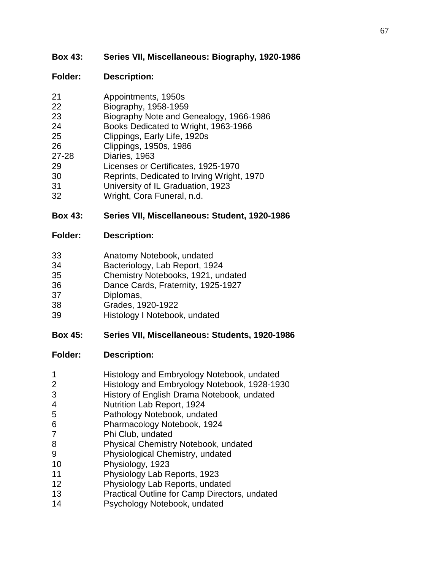# **Box 43: Series VII, Miscellaneous: Biography, 1920-1986**

# **Folder: Description:**

| 21        | Appointments, 1950s                     |
|-----------|-----------------------------------------|
| 22        | Biography, 1958-1959                    |
| 23        | Biography Note and Genealogy, 1966-1986 |
| 24        | Books Dedicated to Wright, 1963-1966    |
| 25        | Clippings, Early Life, 1920s            |
| 26        | Clippings, 1950s, 1986                  |
| $27 - 28$ | Diaries, 1963                           |
| 29        | Licenses or Certificates, 1925-1970     |

- Reprints, Dedicated to Irving Wright, 1970
- University of IL Graduation, 1923
- Wright, Cora Funeral, n.d.

## **Box 43: Series VII, Miscellaneous: Student, 1920-1986**

#### **Folder: Description:**

| 33 | Anatomy Notebook, undated |
|----|---------------------------|
|----|---------------------------|

- Bacteriology, Lab Report, 1924
- Chemistry Notebooks, 1921, undated
- Dance Cards, Fraternity, 1925-1927
- Diplomas,
- Grades, 1920-1922
- Histology I Notebook, undated

## **Box 45: Series VII, Miscellaneous: Students, 1920-1986**

|  |  |  | Histology and Embryology Notebook, undated |
|--|--|--|--------------------------------------------|
|--|--|--|--------------------------------------------|

- Histology and Embryology Notebook, 1928-1930
- History of English Drama Notebook, undated
- Nutrition Lab Report, 1924
- Pathology Notebook, undated
- Pharmacology Notebook, 1924
- Phi Club, undated
- Physical Chemistry Notebook, undated
- Physiological Chemistry, undated
- Physiology, 1923
- Physiology Lab Reports, 1923
- Physiology Lab Reports, undated
- Practical Outline for Camp Directors, undated
- Psychology Notebook, undated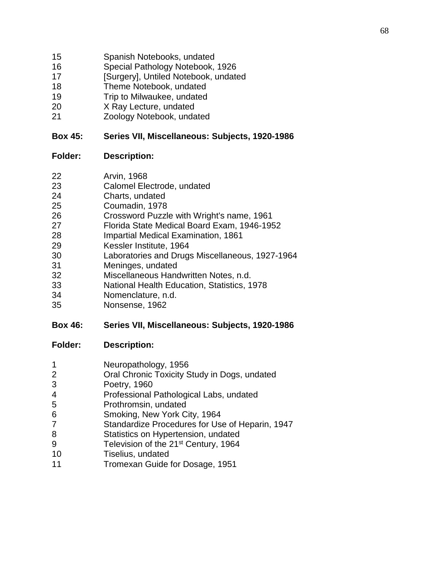- Spanish Notebooks, undated
- Special Pathology Notebook, 1926
- 17 [Surgery], Untiled Notebook, undated
- Theme Notebook, undated
- Trip to Milwaukee, undated
- X Ray Lecture, undated
- Zoology Notebook, undated

#### **Box 45: Series VII, Miscellaneous: Subjects, 1920-1986**

#### **Folder: Description:**

- Arvin, 1968
- Calomel Electrode, undated
- Charts, undated
- Coumadin, 1978
- Crossword Puzzle with Wright's name, 1961
- Florida State Medical Board Exam, 1946-1952
- Impartial Medical Examination, 1861
- Kessler Institute, 1964
- Laboratories and Drugs Miscellaneous, 1927-1964
- Meninges, undated
- Miscellaneous Handwritten Notes, n.d.
- National Health Education, Statistics, 1978
- Nomenclature, n.d.
- Nonsense, 1962

## **Box 46: Series VII, Miscellaneous: Subjects, 1920-1986**

- Neuropathology, 1956
- Oral Chronic Toxicity Study in Dogs, undated
- Poetry, 1960
- Professional Pathological Labs, undated
- Prothromsin, undated
- Smoking, New York City, 1964
- Standardize Procedures for Use of Heparin, 1947
- Statistics on Hypertension, undated
- 9 Television of the 21<sup>st</sup> Century, 1964
- Tiselius, undated
- Tromexan Guide for Dosage, 1951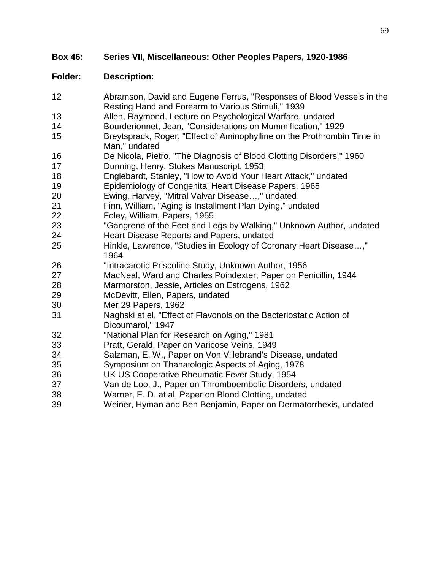| 12 | Abramson, David and Eugene Ferrus, "Responses of Blood Vessels in the<br>Resting Hand and Forearm to Various Stimuli," 1939 |
|----|-----------------------------------------------------------------------------------------------------------------------------|
| 13 | Allen, Raymond, Lecture on Psychological Warfare, undated                                                                   |
| 14 | Bourderionnet, Jean, "Considerations on Mummification," 1929                                                                |
| 15 | Breytsprack, Roger, "Effect of Aminophylline on the Prothrombin Time in<br>Man," undated                                    |
| 16 | De Nicola, Pietro, "The Diagnosis of Blood Clotting Disorders," 1960                                                        |
| 17 | Dunning, Henry, Stokes Manuscript, 1953                                                                                     |
| 18 | Englebardt, Stanley, "How to Avoid Your Heart Attack," undated                                                              |
| 19 | Epidemiology of Congenital Heart Disease Papers, 1965                                                                       |
| 20 | Ewing, Harvey, "Mitral Valvar Disease," undated                                                                             |
| 21 | Finn, William, "Aging is Installment Plan Dying," undated                                                                   |
| 22 | Foley, William, Papers, 1955                                                                                                |
| 23 | "Gangrene of the Feet and Legs by Walking," Unknown Author, undated                                                         |
| 24 | Heart Disease Reports and Papers, undated                                                                                   |
| 25 | Hinkle, Lawrence, "Studies in Ecology of Coronary Heart Disease,"<br>1964                                                   |
| 26 | "Intracarotid Priscoline Study, Unknown Author, 1956                                                                        |
| 27 | MacNeal, Ward and Charles Poindexter, Paper on Penicillin, 1944                                                             |
| 28 | Marmorston, Jessie, Articles on Estrogens, 1962                                                                             |
| 29 | McDevitt, Ellen, Papers, undated                                                                                            |
| 30 | Mer 29 Papers, 1962                                                                                                         |
| 31 | Naghski at el, "Effect of Flavonols on the Bacteriostatic Action of<br>Dicoumarol," 1947                                    |
| 32 | "National Plan for Research on Aging," 1981                                                                                 |
| 33 | Pratt, Gerald, Paper on Varicose Veins, 1949                                                                                |
| 34 | Salzman, E. W., Paper on Von Villebrand's Disease, undated                                                                  |
| 35 | Symposium on Thanatologic Aspects of Aging, 1978                                                                            |
| 36 | UK US Cooperative Rheumatic Fever Study, 1954                                                                               |
| 37 | Van de Loo, J., Paper on Thromboembolic Disorders, undated                                                                  |
| 38 | Warner, E. D. at al, Paper on Blood Clotting, undated                                                                       |
| 39 | Weiner, Hyman and Ben Benjamin, Paper on Dermatorrhexis, undated                                                            |